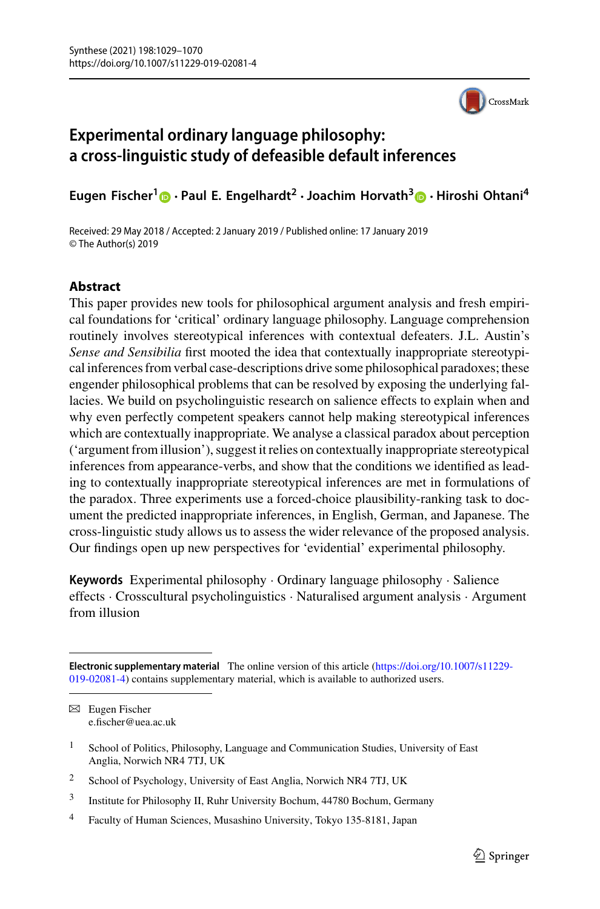

# **Experimental ordinary language philosophy: a cross-linguistic study of defeasible default inferences**

**Eugen Fischer[1](http://orcid.org/0000-0003-2088-1610) · Paul E. Engelhardt<sup>2</sup> ·Joachim Horvath[3](http://orcid.org/0000-0003-2713-5135) · Hiroshi Ohtani<sup>4</sup>**

Received: 29 May 2018 / Accepted: 2 January 2019 / Published online: 17 January 2019 © The Author(s) 2019

### **Abstract**

This paper provides new tools for philosophical argument analysis and fresh empirical foundations for 'critical' ordinary language philosophy. Language comprehension routinely involves stereotypical inferences with contextual defeaters. J.L. Austin's *Sense and Sensibilia* first mooted the idea that contextually inappropriate stereotypical inferences from verbal case-descriptions drive some philosophical paradoxes; these engender philosophical problems that can be resolved by exposing the underlying fallacies. We build on psycholinguistic research on salience effects to explain when and why even perfectly competent speakers cannot help making stereotypical inferences which are contextually inappropriate. We analyse a classical paradox about perception ('argument from illusion'), suggest it relies on contextually inappropriate stereotypical inferences from appearance-verbs, and show that the conditions we identified as leading to contextually inappropriate stereotypical inferences are met in formulations of the paradox. Three experiments use a forced-choice plausibility-ranking task to document the predicted inappropriate inferences, in English, German, and Japanese. The cross-linguistic study allows us to assess the wider relevance of the proposed analysis. Our findings open up new perspectives for 'evidential' experimental philosophy.

**Keywords** Experimental philosophy · Ordinary language philosophy · Salience effects · Crosscultural psycholinguistics · Naturalised argument analysis · Argument from illusion

**Electronic supplementary material** The online version of this article (https://doi.org/10.1007/s11229- [019-02081-4\) contains supplementary material, which is available to authorized users.](https://doi.org/10.1007/s11229-019-02081-4)

 $\boxtimes$  Eugen Fischer e.fischer@uea.ac.uk

<sup>&</sup>lt;sup>1</sup> School of Politics, Philosophy, Language and Communication Studies, University of East Anglia, Norwich NR4 7TJ, UK

<sup>&</sup>lt;sup>2</sup> School of Psychology, University of East Anglia, Norwich NR4 7TJ, UK

<sup>3</sup> Institute for Philosophy II, Ruhr University Bochum, 44780 Bochum, Germany

<sup>4</sup> Faculty of Human Sciences, Musashino University, Tokyo 135-8181, Japan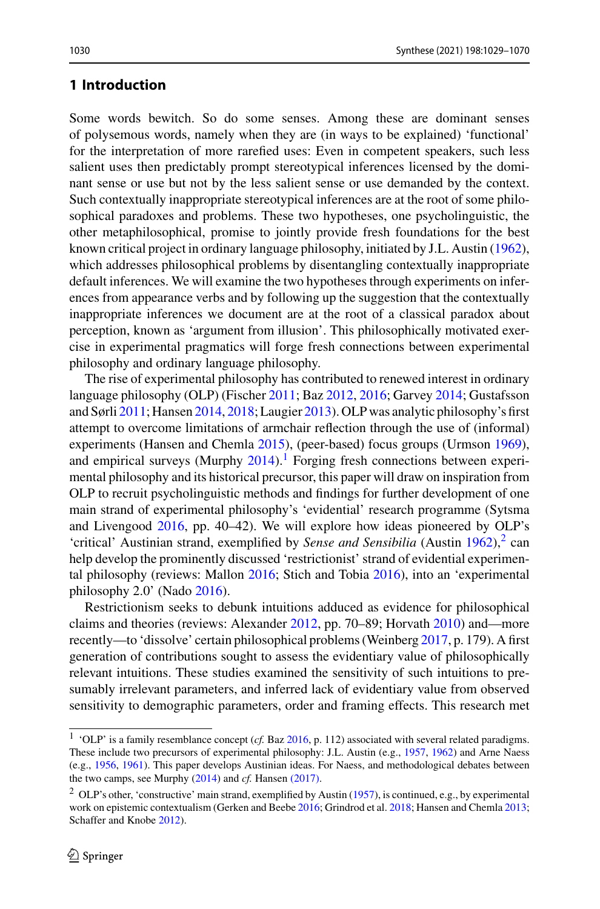### <span id="page-1-2"></span>**1 Introduction**

Some words bewitch. So do some senses. Among these are dominant senses of polysemous words, namely when they are (in ways to be explained) 'functional' for the interpretation of more rarefied uses: Even in competent speakers, such less salient uses then predictably prompt stereotypical inferences licensed by the dominant sense or use but not by the less salient sense or use demanded by the context. Such contextually inappropriate stereotypical inferences are at the root of some philosophical paradoxes and problems. These two hypotheses, one psycholinguistic, the other metaphilosophical, promise to jointly provide fresh foundations for the best known critical project in ordinary language philosophy, initiated by J.L. Austin [\(1962\)](#page-35-0), which addresses philosophical problems by disentangling contextually inappropriate default inferences. We will examine the two hypotheses through experiments on inferences from appearance verbs and by following up the suggestion that the contextually inappropriate inferences we document are at the root of a classical paradox about perception, known as 'argument from illusion'. This philosophically motivated exercise in experimental pragmatics will forge fresh connections between experimental philosophy and ordinary language philosophy.

The rise of experimental philosophy has contributed to renewed interest in ordinary language philosophy (OLP) (Fischer [2011;](#page-36-0) Baz [2012,](#page-35-1) [2016;](#page-35-2) Garvey [2014;](#page-37-0) Gustafsson and Sørli [2011;](#page-37-1) Hansen [2014,](#page-37-2) [2018;](#page-38-0) Laugier [2013\)](#page-38-1). OLP was analytic philosophy's first attempt to overcome limitations of armchair reflection through the use of (informal) experiments (Hansen and Chemla [2015\)](#page-38-2), (peer-based) focus groups (Urmson [1969\)](#page-41-0), and empirical surveys (Murphy  $2014$  $2014$  $2014$ ).<sup>1</sup> Forging fresh connections between experimental philosophy and its historical precursor, this paper will draw on inspiration from OLP to recruit psycholinguistic methods and findings for further development of one main strand of experimental philosophy's 'evidential' research programme (Sytsma and Livengood [2016,](#page-41-1) pp. 40–42). We will explore how ideas pioneered by OLP's 'critical' Austinian strand, exemplified by *Sense and Sensibilia* (Austin  $1962$  $1962$ ),<sup>2</sup> can help develop the prominently discussed 'restrictionist' strand of evidential experimental philosophy (reviews: Mallon [2016;](#page-39-1) Stich and Tobia [2016\)](#page-41-2), into an 'experimental philosophy 2.0' (Nado [2016\)](#page-39-2).

Restrictionism seeks to debunk intuitions adduced as evidence for philosophical claims and theories (reviews: Alexander [2012,](#page-35-3) pp. 70–89; Horvath [2010\)](#page-38-3) and—more recently—to 'dissolve' certain philosophical problems (Weinberg [2017,](#page-41-3) p. 179). A first generation of contributions sought to assess the evidentiary value of philosophically relevant intuitions. These studies examined the sensitivity of such intuitions to presumably irrelevant parameters, and inferred lack of evidentiary value from observed sensitivity to demographic parameters, order and framing effects. This research met

<span id="page-1-0"></span><sup>&</sup>lt;sup>1</sup> 'OLP' is a family resemblance concept (*cf.* Baz [2016,](#page-35-2) p. 112) associated with several related paradigms. These include two precursors of experimental philosophy: J.L. Austin (e.g., [1957,](#page-35-4) [1962\)](#page-35-0) and Arne Naess (e.g., [1956,](#page-39-3) [1961\)](#page-39-4). This paper develops Austinian ideas. For Naess, and methodological debates between the two camps, see Murphy [\(2014\)](#page-39-2) and *cf.* Hansen [\(2017\).](#page-38-2)

<span id="page-1-1"></span><sup>2</sup> OLP's other, 'constructive' main strand, exemplified by Austin [\(1957\)](#page-35-4), is continued, e.g., by experimental work on epistemic contextualism (Gerken and Beebe [2016;](#page-37-3) Grindrod et al. [2018;](#page-37-4) Hansen and Chemla [2013;](#page-38-4) Schaffer and Knobe [2012\)](#page-40-0).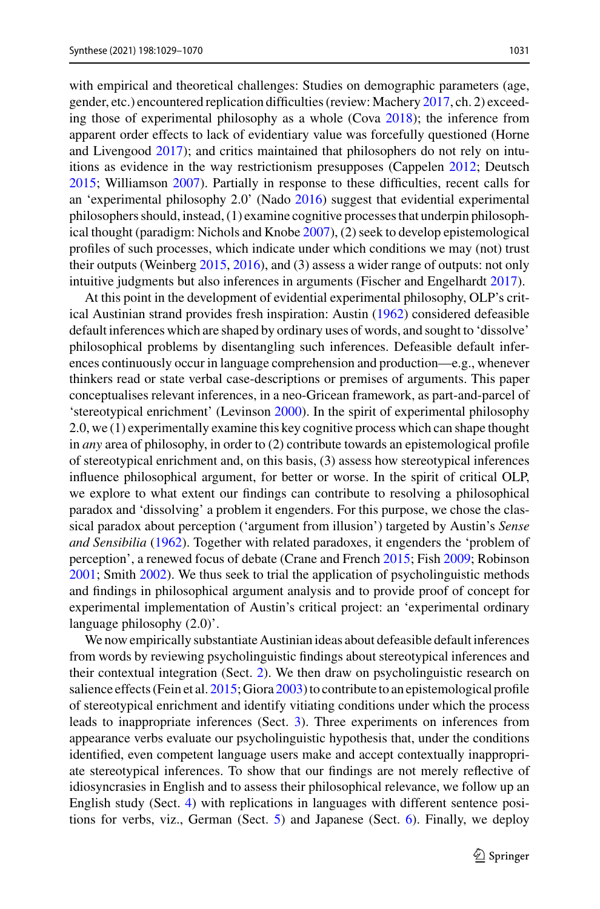with empirical and theoretical challenges: Studies on demographic parameters (age, gender, etc.) encountered replication difficulties (review: Machery [2017,](#page-39-5) ch. 2) exceeding those of experimental philosophy as a whole (Cova [2018\)](#page-36-1); the inference from apparent order effects to lack of evidentiary value was forcefully questioned (Horne and Livengood [2017\)](#page-38-5); and critics maintained that philosophers do not rely on intuitions as evidence in the way restrictionism presupposes (Cappelen [2012;](#page-36-2) Deutsch [2015;](#page-36-3) Williamson [2007\)](#page-41-4). Partially in response to these difficulties, recent calls for an 'experimental philosophy 2.0' (Nado [2016\)](#page-39-2) suggest that evidential experimental philosophers should, instead, (1) examine cognitive processes that underpin philosophical thought (paradigm: Nichols and Knobe [2007\)](#page-39-6), (2) seek to develop epistemological profiles of such processes, which indicate under which conditions we may (not) trust their outputs (Weinberg [2015,](#page-41-5) [2016\)](#page-41-6), and (3) assess a wider range of outputs: not only intuitive judgments but also inferences in arguments (Fischer and Engelhardt [2017\)](#page-37-5).

At this point in the development of evidential experimental philosophy, OLP's critical Austinian strand provides fresh inspiration: Austin [\(1962\)](#page-35-0) considered defeasible default inferences which are shaped by ordinary uses of words, and sought to 'dissolve' philosophical problems by disentangling such inferences. Defeasible default inferences continuously occur in language comprehension and production—e.g., whenever thinkers read or state verbal case-descriptions or premises of arguments. This paper conceptualises relevant inferences, in a neo-Gricean framework, as part-and-parcel of 'stereotypical enrichment' (Levinson [2000\)](#page-38-6). In the spirit of experimental philosophy 2.0, we (1) experimentally examine this key cognitive process which can shape thought in *any* area of philosophy, in order to (2) contribute towards an epistemological profile of stereotypical enrichment and, on this basis, (3) assess how stereotypical inferences influence philosophical argument, for better or worse. In the spirit of critical OLP, we explore to what extent our findings can contribute to resolving a philosophical paradox and 'dissolving' a problem it engenders. For this purpose, we chose the classical paradox about perception ('argument from illusion') targeted by Austin's *Sense and Sensibilia* [\(1962\)](#page-35-0). Together with related paradoxes, it engenders the 'problem of perception', a renewed focus of debate (Crane and French [2015;](#page-36-4) Fish [2009;](#page-37-6) Robinson [2001;](#page-40-1) Smith [2002\)](#page-40-2). We thus seek to trial the application of psycholinguistic methods and findings in philosophical argument analysis and to provide proof of concept for experimental implementation of Austin's critical project: an 'experimental ordinary language philosophy (2.0)'.

We now empirically substantiate Austinian ideas about defeasible default inferences from words by reviewing psycholinguistic findings about stereotypical inferences and their contextual integration (Sect. [2\)](#page-3-0). We then draw on psycholinguistic research on salience effects (Fein et al. [2015;](#page-36-5) Giora [2003\)](#page-37-7) to contribute to an epistemological profile of stereotypical enrichment and identify vitiating conditions under which the process leads to inappropriate inferences (Sect. [3\)](#page-1-2). Three experiments on inferences from appearance verbs evaluate our psycholinguistic hypothesis that, under the conditions identified, even competent language users make and accept contextually inappropriate stereotypical inferences. To show that our findings are not merely reflective of idiosyncrasies in English and to assess their philosophical relevance, we follow up an English study (Sect. [4\)](#page-3-0) with replications in languages with different sentence positions for verbs, viz., German (Sect. [5\)](#page-18-0) and Japanese (Sect. [6\)](#page-20-0). Finally, we deploy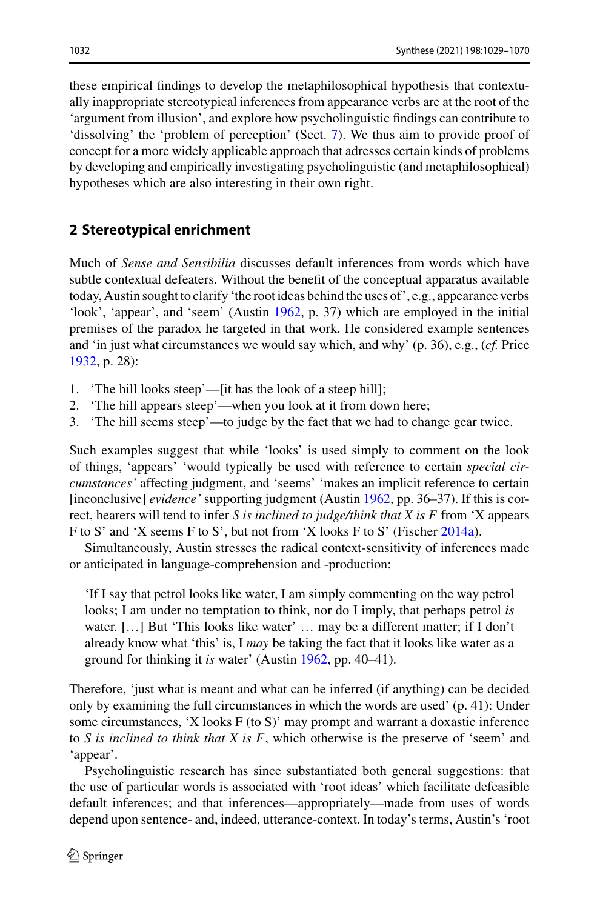these empirical findings to develop the metaphilosophical hypothesis that contextually inappropriate stereotypical inferences from appearance verbs are at the root of the 'argument from illusion', and explore how psycholinguistic findings can contribute to 'dissolving' the 'problem of perception' (Sect. [7\)](#page-22-0). We thus aim to provide proof of concept for a more widely applicable approach that adresses certain kinds of problems by developing and empirically investigating psycholinguistic (and metaphilosophical) hypotheses which are also interesting in their own right.

## <span id="page-3-0"></span>**2 Stereotypical enrichment**

Much of *Sense and Sensibilia* discusses default inferences from words which have subtle contextual defeaters. Without the benefit of the conceptual apparatus available today, Austin sought to clarify 'the root ideas behind the uses of', e.g., appearance verbs 'look', 'appear', and 'seem' (Austin [1962,](#page-35-0) p. 37) which are employed in the initial premises of the paradox he targeted in that work. He considered example sentences and 'in just what circumstances we would say which, and why' (p. 36), e.g., (*cf.* Price [1932,](#page-40-3) p. 28):

- 1. 'The hill looks steep'—[it has the look of a steep hill];
- 2. 'The hill appears steep'—when you look at it from down here;
- 3. 'The hill seems steep'—to judge by the fact that we had to change gear twice.

Such examples suggest that while 'looks' is used simply to comment on the look of things, 'appears' 'would typically be used with reference to certain *special circumstances'* affecting judgment, and 'seems' 'makes an implicit reference to certain [inconclusive] *evidence'* supporting judgment (Austin [1962,](#page-35-0) pp. 36–37). If this is correct, hearers will tend to infer *S is inclined to judge/think that X is F* from 'X appears F to S' and 'X seems F to S', but not from 'X looks F to S' (Fischer [2014a\)](#page-36-6).

Simultaneously, Austin stresses the radical context-sensitivity of inferences made or anticipated in language-comprehension and -production:

'If I say that petrol looks like water, I am simply commenting on the way petrol looks; I am under no temptation to think, nor do I imply, that perhaps petrol *is* water. […] But 'This looks like water' … may be a different matter; if I don't already know what 'this' is, I *may* be taking the fact that it looks like water as a ground for thinking it *is* water' (Austin [1962,](#page-35-0) pp. 40–41).

Therefore, 'just what is meant and what can be inferred (if anything) can be decided only by examining the full circumstances in which the words are used' (p. 41): Under some circumstances, 'X looks F (to S)' may prompt and warrant a doxastic inference to *S is inclined to think that X is F*, which otherwise is the preserve of 'seem' and 'appear'.

Psycholinguistic research has since substantiated both general suggestions: that the use of particular words is associated with 'root ideas' which facilitate defeasible default inferences; and that inferences—appropriately—made from uses of words depend upon sentence- and, indeed, utterance-context. In today's terms, Austin's 'root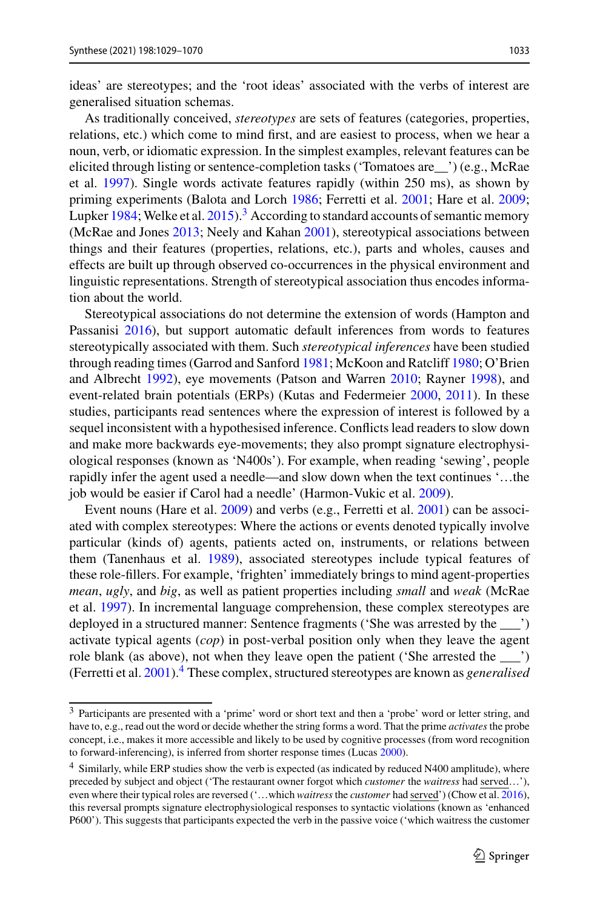ideas' are stereotypes; and the 'root ideas' associated with the verbs of interest are generalised situation schemas.

As traditionally conceived, *stereotypes* are sets of features (categories, properties, relations, etc.) which come to mind first, and are easiest to process, when we hear a noun, verb, or idiomatic expression. In the simplest examples, relevant features can be elicited through listing or sentence-completion tasks ('Tomatoes are\_\_') (e.g., McRae et al. [1997\)](#page-39-7). Single words activate features rapidly (within 250 ms), as shown by priming experiments (Balota and Lorch [1986;](#page-35-5) Ferretti et al. [2001;](#page-36-7) Hare et al. [2009;](#page-38-7) Lupker [1984;](#page-39-8) Welke et al.  $2015$ ).<sup>[3](#page-4-0)</sup> According to standard accounts of semantic memory (McRae and Jones [2013;](#page-39-9) Neely and Kahan [2001\)](#page-39-10), stereotypical associations between things and their features (properties, relations, etc.), parts and wholes, causes and effects are built up through observed co-occurrences in the physical environment and linguistic representations. Strength of stereotypical association thus encodes information about the world.

Stereotypical associations do not determine the extension of words (Hampton and Passanisi [2016\)](#page-37-8), but support automatic default inferences from words to features stereotypically associated with them. Such *stereotypical inferences* have been studied through reading times (Garrod and Sanford [1981;](#page-37-9) McKoon and Ratcliff [1980;](#page-39-11) O'Brien and Albrecht [1992\)](#page-39-12), eye movements (Patson and Warren [2010;](#page-40-4) Rayner [1998\)](#page-40-5), and event-related brain potentials (ERPs) (Kutas and Federmeier [2000,](#page-38-8) [2011\)](#page-38-9). In these studies, participants read sentences where the expression of interest is followed by a sequel inconsistent with a hypothesised inference. Conflicts lead readers to slow down and make more backwards eye-movements; they also prompt signature electrophysiological responses (known as 'N400s'). For example, when reading 'sewing', people rapidly infer the agent used a needle—and slow down when the text continues '…the job would be easier if Carol had a needle' (Harmon-Vukic et al. [2009\)](#page-38-10).

Event nouns (Hare et al. [2009\)](#page-38-7) and verbs (e.g., Ferretti et al. [2001\)](#page-36-7) can be associated with complex stereotypes: Where the actions or events denoted typically involve particular (kinds of) agents, patients acted on, instruments, or relations between them (Tanenhaus et al. [1989\)](#page-41-8), associated stereotypes include typical features of these role-fillers. For example, 'frighten' immediately brings to mind agent-properties *mean*, *ugly*, and *big*, as well as patient properties including *small* and *weak* (McRae et al. [1997\)](#page-39-7). In incremental language comprehension, these complex stereotypes are deployed in a structured manner: Sentence fragments ('She was arrested by the \_\_\_') activate typical agents (*cop*) in post-verbal position only when they leave the agent role blank (as above), not when they leave open the patient ('She arrested the \_\_\_') (Ferretti et al. [2001\)](#page-36-7)[.4](#page-4-1) These complex, structured stereotypes are known as *generalised*

<span id="page-4-0"></span><sup>3</sup> Participants are presented with a 'prime' word or short text and then a 'probe' word or letter string, and have to, e.g., read out the word or decide whether the string forms a word. That the prime *activates* the probe concept, i.e., makes it more accessible and likely to be used by cognitive processes (from word recognition to forward-inferencing), is inferred from shorter response times (Lucas [2000\)](#page-38-11).

<span id="page-4-1"></span><sup>&</sup>lt;sup>4</sup> Similarly, while ERP studies show the verb is expected (as indicated by reduced N400 amplitude), where preceded by subject and object ('The restaurant owner forgot which *customer* the *waitress* had served…'), even where their typical roles are reversed ('…which *waitress*the *customer* had served') (Chow et al. [2016\)](#page-36-8), this reversal prompts signature electrophysiological responses to syntactic violations (known as 'enhanced P600'). This suggests that participants expected the verb in the passive voice ('which waitress the customer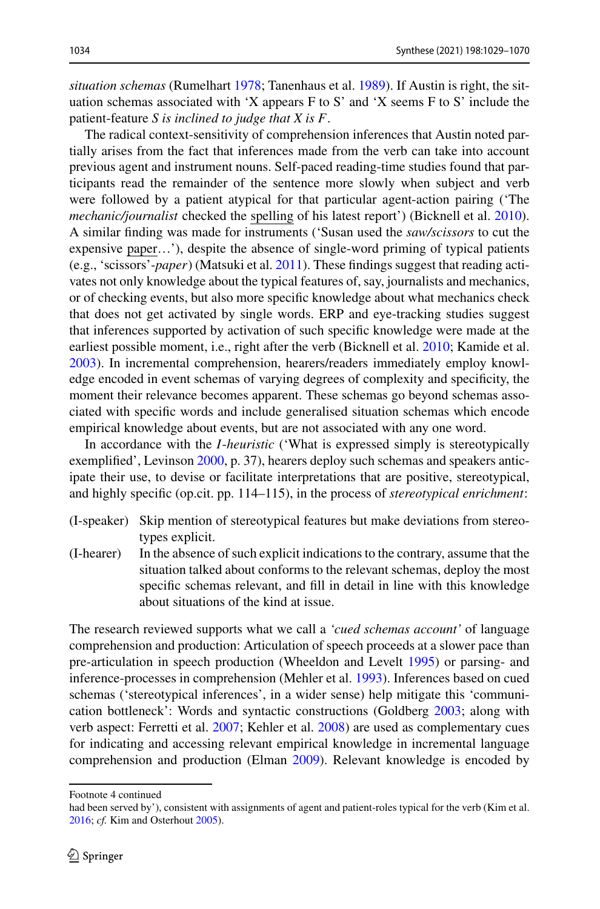*situation schemas* (Rumelhart [1978;](#page-40-6) Tanenhaus et al. [1989\)](#page-41-8). If Austin is right, the situation schemas associated with 'X appears F to S' and 'X seems F to S' include the patient-feature *S is inclined to judge that X is F*.

The radical context-sensitivity of comprehension inferences that Austin noted partially arises from the fact that inferences made from the verb can take into account previous agent and instrument nouns. Self-paced reading-time studies found that participants read the remainder of the sentence more slowly when subject and verb were followed by a patient atypical for that particular agent-action pairing ('The *mechanic/journalist* checked the spelling of his latest report') (Bicknell et al. [2010\)](#page-35-6). A similar finding was made for instruments ('Susan used the *saw/scissors* to cut the expensive paper…'), despite the absence of single-word priming of typical patients (e.g., 'scissors'-*paper*) (Matsuki et al. [2011\)](#page-39-13). These findings suggest that reading activates not only knowledge about the typical features of, say, journalists and mechanics, or of checking events, but also more specific knowledge about what mechanics check that does not get activated by single words. ERP and eye-tracking studies suggest that inferences supported by activation of such specific knowledge were made at the earliest possible moment, i.e., right after the verb (Bicknell et al. [2010;](#page-35-6) Kamide et al. [2003\)](#page-38-12). In incremental comprehension, hearers/readers immediately employ knowledge encoded in event schemas of varying degrees of complexity and specificity, the moment their relevance becomes apparent. These schemas go beyond schemas associated with specific words and include generalised situation schemas which encode empirical knowledge about events, but are not associated with any one word.

In accordance with the *I*-*heuristic* ('What is expressed simply is stereotypically exemplified', Levinson [2000,](#page-38-6) p. 37), hearers deploy such schemas and speakers anticipate their use, to devise or facilitate interpretations that are positive, stereotypical, and highly specific (op.cit. pp. 114–115), in the process of *stereotypical enrichment*:

- (I-speaker) Skip mention of stereotypical features but make deviations from stereotypes explicit.
- (I-hearer) In the absence of such explicit indications to the contrary, assume that the situation talked about conforms to the relevant schemas, deploy the most specific schemas relevant, and fill in detail in line with this knowledge about situations of the kind at issue.

The research reviewed supports what we call a *'cued schemas account'* of language comprehension and production: Articulation of speech proceeds at a slower pace than pre-articulation in speech production (Wheeldon and Levelt [1995\)](#page-41-9) or parsing- and inference-processes in comprehension (Mehler et al. [1993\)](#page-39-14). Inferences based on cued schemas ('stereotypical inferences', in a wider sense) help mitigate this 'communication bottleneck': Words and syntactic constructions (Goldberg [2003;](#page-37-10) along with verb aspect: Ferretti et al. [2007;](#page-36-9) Kehler et al. [2008\)](#page-38-13) are used as complementary cues for indicating and accessing relevant empirical knowledge in incremental language comprehension and production (Elman [2009\)](#page-36-10). Relevant knowledge is encoded by

Footnote 4 continued

had been served by'), consistent with assignments of agent and patient-roles typical for the verb (Kim et al. [2016;](#page-38-14) *cf.* Kim and Osterhout [2005\)](#page-38-15).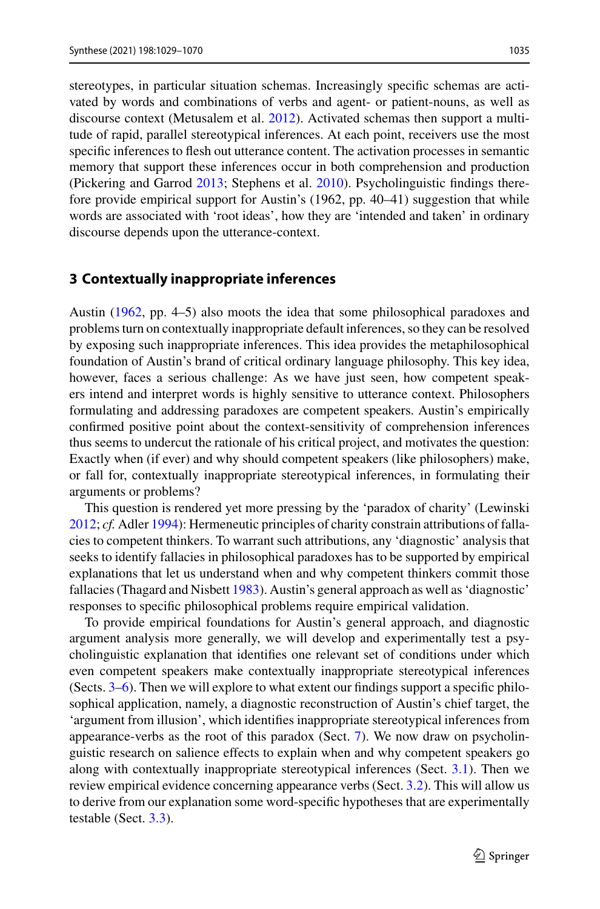stereotypes, in particular situation schemas. Increasingly specific schemas are activated by words and combinations of verbs and agent- or patient-nouns, as well as discourse context (Metusalem et al. [2012\)](#page-39-15). Activated schemas then support a multitude of rapid, parallel stereotypical inferences. At each point, receivers use the most specific inferences to flesh out utterance content. The activation processes in semantic memory that support these inferences occur in both comprehension and production (Pickering and Garrod [2013;](#page-40-7) Stephens et al. [2010\)](#page-41-10). Psycholinguistic findings therefore provide empirical support for Austin's (1962, pp. 40–41) suggestion that while words are associated with 'root ideas', how they are 'intended and taken' in ordinary discourse depends upon the utterance-context.

### <span id="page-6-0"></span>**3 Contextually inappropriate inferences**

Austin [\(1962,](#page-35-0) pp. 4–5) also moots the idea that some philosophical paradoxes and problems turn on contextually inappropriate default inferences, so they can be resolved by exposing such inappropriate inferences. This idea provides the metaphilosophical foundation of Austin's brand of critical ordinary language philosophy. This key idea, however, faces a serious challenge: As we have just seen, how competent speakers intend and interpret words is highly sensitive to utterance context. Philosophers formulating and addressing paradoxes are competent speakers. Austin's empirically confirmed positive point about the context-sensitivity of comprehension inferences thus seems to undercut the rationale of his critical project, and motivates the question: Exactly when (if ever) and why should competent speakers (like philosophers) make, or fall for, contextually inappropriate stereotypical inferences, in formulating their arguments or problems?

This question is rendered yet more pressing by the 'paradox of charity' (Lewinski [2012;](#page-38-16) *cf.* Adler [1994\)](#page-35-7): Hermeneutic principles of charity constrain attributions of fallacies to competent thinkers. To warrant such attributions, any 'diagnostic' analysis that seeks to identify fallacies in philosophical paradoxes has to be supported by empirical explanations that let us understand when and why competent thinkers commit those fallacies (Thagard and Nisbett [1983\)](#page-41-11). Austin's general approach as well as 'diagnostic' responses to specific philosophical problems require empirical validation.

To provide empirical foundations for Austin's general approach, and diagnostic argument analysis more generally, we will develop and experimentally test a psycholinguistic explanation that identifies one relevant set of conditions under which even competent speakers make contextually inappropriate stereotypical inferences (Sects. [3](#page-6-0)[–6\)](#page-20-0). Then we will explore to what extent our findings support a specific philosophical application, namely, a diagnostic reconstruction of Austin's chief target, the 'argument from illusion', which identifies inappropriate stereotypical inferences from appearance-verbs as the root of this paradox (Sect. [7\)](#page-22-0). We now draw on psycholinguistic research on salience effects to explain when and why competent speakers go along with contextually inappropriate stereotypical inferences (Sect. [3.1\)](#page-7-0). Then we review empirical evidence concerning appearance verbs (Sect. [3.2\)](#page-9-0). This will allow us to derive from our explanation some word-specific hypotheses that are experimentally testable (Sect. [3.3\)](#page-10-0).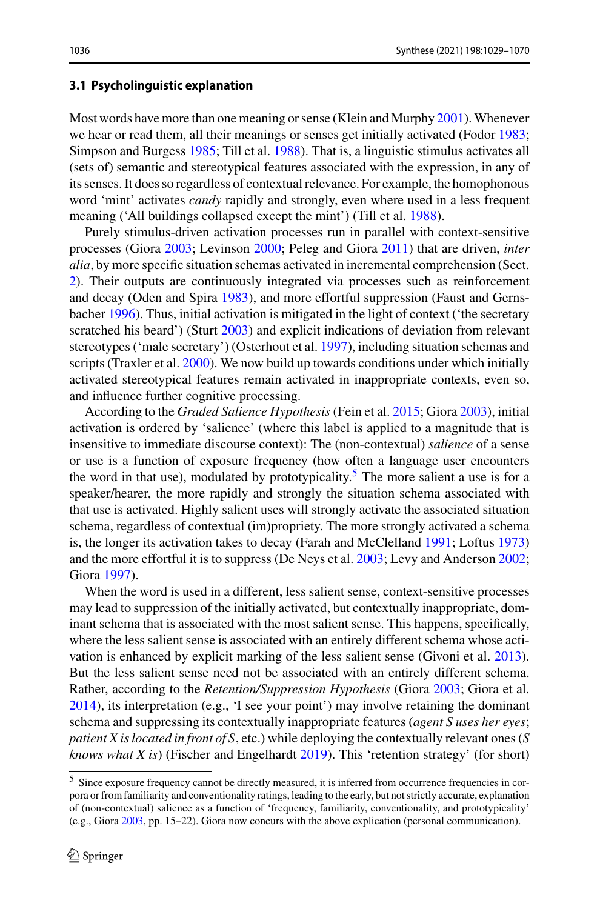#### <span id="page-7-0"></span>**3.1 Psycholinguistic explanation**

Most words have more than one meaning or sense (Klein and Murphy [2001\)](#page-38-17). Whenever we hear or read them, all their meanings or senses get initially activated (Fodor [1983;](#page-37-11) Simpson and Burgess [1985;](#page-40-8) Till et al. [1988\)](#page-41-12). That is, a linguistic stimulus activates all (sets of) semantic and stereotypical features associated with the expression, in any of its senses. It does so regardless of contextual relevance. For example, the homophonous word 'mint' activates *candy* rapidly and strongly, even where used in a less frequent meaning ('All buildings collapsed except the mint') (Till et al. [1988\)](#page-41-12).

Purely stimulus-driven activation processes run in parallel with context-sensitive processes (Giora [2003;](#page-37-7) Levinson [2000;](#page-38-6) Peleg and Giora [2011\)](#page-40-9) that are driven, *inter alia*, by more specific situation schemas activated in incremental comprehension (Sect. [2\)](#page-3-0). Their outputs are continuously integrated via processes such as reinforcement and decay (Oden and Spira [1983\)](#page-40-10), and more effortful suppression (Faust and Gernsbacher [1996\)](#page-36-11). Thus, initial activation is mitigated in the light of context ('the secretary scratched his beard') (Sturt [2003\)](#page-41-13) and explicit indications of deviation from relevant stereotypes ('male secretary') (Osterhout et al. [1997\)](#page-40-11), including situation schemas and scripts (Traxler et al. [2000\)](#page-41-14). We now build up towards conditions under which initially activated stereotypical features remain activated in inappropriate contexts, even so, and influence further cognitive processing.

According to the *Graded Salience Hypothesis* (Fein et al. [2015;](#page-36-5) Giora [2003\)](#page-37-7), initial activation is ordered by 'salience' (where this label is applied to a magnitude that is insensitive to immediate discourse context): The (non-contextual) *salience* of a sense or use is a function of exposure frequency (how often a language user encounters the word in that use), modulated by prototypicality.<sup>[5](#page-7-1)</sup> The more salient a use is for a speaker/hearer, the more rapidly and strongly the situation schema associated with that use is activated. Highly salient uses will strongly activate the associated situation schema, regardless of contextual (im)propriety. The more strongly activated a schema is, the longer its activation takes to decay (Farah and McClelland [1991;](#page-36-12) Loftus [1973\)](#page-38-18) and the more effortful it is to suppress (De Neys et al. [2003;](#page-36-13) Levy and Anderson [2002;](#page-38-19) Giora [1997\)](#page-37-12).

When the word is used in a different, less salient sense, context-sensitive processes may lead to suppression of the initially activated, but contextually inappropriate, dominant schema that is associated with the most salient sense. This happens, specifically, where the less salient sense is associated with an entirely different schema whose activation is enhanced by explicit marking of the less salient sense (Givoni et al. [2013\)](#page-37-13). But the less salient sense need not be associated with an entirely different schema. Rather, according to the *Retention/Suppression Hypothesis* (Giora [2003;](#page-37-7) Giora et al. [2014\)](#page-37-14), its interpretation (e.g., 'I see your point') may involve retaining the dominant schema and suppressing its contextually inappropriate features (*agent S uses her eyes*; *patient X is located in front of S*, etc.) while deploying the contextually relevant ones (*S knows what X is*) (Fischer and Engelhardt [2019\)](#page-37-15). This 'retention strategy' (for short)

<span id="page-7-1"></span><sup>5</sup> Since exposure frequency cannot be directly measured, it is inferred from occurrence frequencies in corpora or from familiarity and conventionality ratings, leading to the early, but not strictly accurate, explanation of (non-contextual) salience as a function of 'frequency, familiarity, conventionality, and prototypicality' (e.g., Giora [2003,](#page-37-16) pp. 15–22). Giora now concurs with the above explication (personal communication).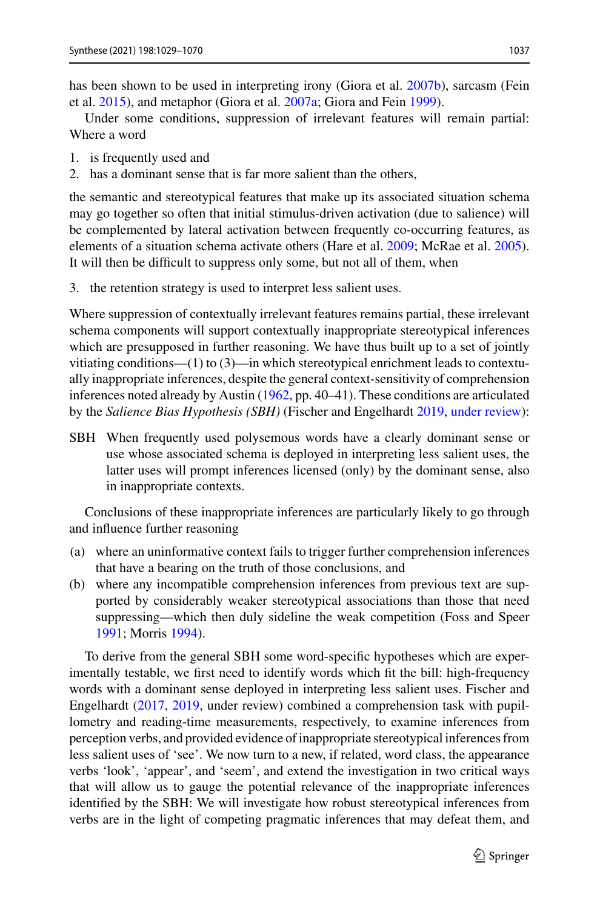Under some conditions, suppression of irrelevant features will remain partial: Where a word

- 1. is frequently used and
- 2. has a dominant sense that is far more salient than the others,

the semantic and stereotypical features that make up its associated situation schema may go together so often that initial stimulus-driven activation (due to salience) will be complemented by lateral activation between frequently co-occurring features, as elements of a situation schema activate others (Hare et al. [2009;](#page-38-7) McRae et al. [2005\)](#page-39-16). It will then be difficult to suppress only some, but not all of them, when

3. the retention strategy is used to interpret less salient uses.

Where suppression of contextually irrelevant features remains partial, these irrelevant schema components will support contextually inappropriate stereotypical inferences which are presupposed in further reasoning. We have thus built up to a set of jointly vitiating conditions—(1) to (3)—in which stereotypical enrichment leads to contextually inappropriate inferences, despite the general context-sensitivity of comprehension inferences noted already by Austin [\(1962,](#page-35-0) pp. 40–41). These conditions are articulated by the *Salience Bias Hypothesis (SBH)* (Fischer and Engelhardt [2019,](#page-37-15) [under review\)](#page-37-19):

SBH When frequently used polysemous words have a clearly dominant sense or use whose associated schema is deployed in interpreting less salient uses, the latter uses will prompt inferences licensed (only) by the dominant sense, also in inappropriate contexts.

Conclusions of these inappropriate inferences are particularly likely to go through and influence further reasoning

- (a) where an uninformative context fails to trigger further comprehension inferences that have a bearing on the truth of those conclusions, and
- (b) where any incompatible comprehension inferences from previous text are supported by considerably weaker stereotypical associations than those that need suppressing—which then duly sideline the weak competition (Foss and Speer [1991;](#page-37-20) Morris [1994\)](#page-39-17).

To derive from the general SBH some word-specific hypotheses which are experimentally testable, we first need to identify words which fit the bill: high-frequency words with a dominant sense deployed in interpreting less salient uses. Fischer and Engelhardt [\(2017,](#page-37-5) [2019,](#page-37-15) under review) combined a comprehension task with pupillometry and reading-time measurements, respectively, to examine inferences from perception verbs, and provided evidence of inappropriate stereotypical inferences from less salient uses of 'see'. We now turn to a new, if related, word class, the appearance verbs 'look', 'appear', and 'seem', and extend the investigation in two critical ways that will allow us to gauge the potential relevance of the inappropriate inferences identified by the SBH: We will investigate how robust stereotypical inferences from verbs are in the light of competing pragmatic inferences that may defeat them, and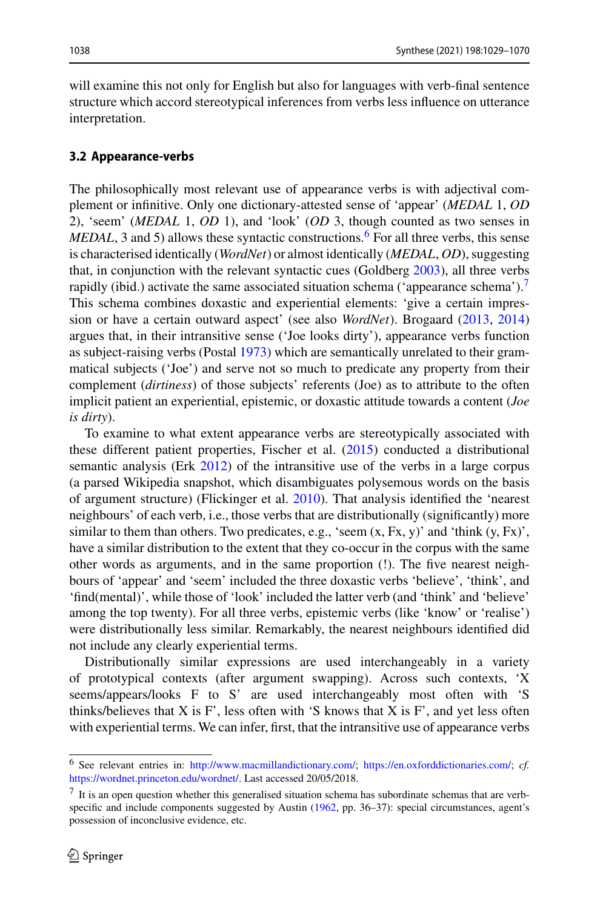will examine this not only for English but also for languages with verb-final sentence structure which accord stereotypical inferences from verbs less influence on utterance interpretation.

#### <span id="page-9-0"></span>**3.2 Appearance-verbs**

The philosophically most relevant use of appearance verbs is with adjectival complement or infinitive. Only one dictionary-attested sense of 'appear' (*MEDAL* 1, *OD* 2), 'seem' (*MEDAL* 1, *OD* 1), and 'look' (*OD* 3, though counted as two senses in *MEDAL*, 3 and 5) allows these syntactic constructions.<sup>6</sup> For all three verbs, this sense is characterised identically (*WordNet*) or almost identically (*MEDAL*, *OD*), suggesting that, in conjunction with the relevant syntactic cues (Goldberg [2003\)](#page-37-10), all three verbs rapidly (ibid.) activate the same associated situation schema ('appearance schema').<sup>7</sup> This schema combines doxastic and experiential elements: 'give a certain impression or have a certain outward aspect' (see also *WordNet*). Brogaard [\(2013,](#page-35-8) [2014\)](#page-36-14) argues that, in their intransitive sense ('Joe looks dirty'), appearance verbs function as subject-raising verbs (Postal [1973\)](#page-40-12) which are semantically unrelated to their grammatical subjects ('Joe') and serve not so much to predicate any property from their complement (*dirtiness*) of those subjects' referents (Joe) as to attribute to the often implicit patient an experiential, epistemic, or doxastic attitude towards a content (*Joe is dirty*).

To examine to what extent appearance verbs are stereotypically associated with these different patient properties, Fischer et al. [\(2015\)](#page-37-21) conducted a distributional semantic analysis (Erk [2012\)](#page-36-15) of the intransitive use of the verbs in a large corpus (a parsed Wikipedia snapshot, which disambiguates polysemous words on the basis of argument structure) (Flickinger et al. [2010\)](#page-37-22). That analysis identified the 'nearest neighbours' of each verb, i.e., those verbs that are distributionally (significantly) more similar to them than others. Two predicates, e.g., 'seem  $(x, Fx, y)$ ' and 'think  $(y, Fx)$ ', have a similar distribution to the extent that they co-occur in the corpus with the same other words as arguments, and in the same proportion (!). The five nearest neighbours of 'appear' and 'seem' included the three doxastic verbs 'believe', 'think', and 'find(mental)', while those of 'look' included the latter verb (and 'think' and 'believe' among the top twenty). For all three verbs, epistemic verbs (like 'know' or 'realise') were distributionally less similar. Remarkably, the nearest neighbours identified did not include any clearly experiential terms.

Distributionally similar expressions are used interchangeably in a variety of prototypical contexts (after argument swapping). Across such contexts, 'X seems/appears/looks F to S' are used interchangeably most often with 'S thinks/believes that  $X$  is  $F'$ , less often with 'S knows that  $X$  is  $F'$ , and yet less often with experiential terms. We can infer, first, that the intransitive use of appearance verbs

<span id="page-9-2"></span><span id="page-9-1"></span><sup>6</sup> See relevant entries in: [http://www.macmillandictionary.com/;](http://www.macmillandictionary.com/) [https://en.oxforddictionaries.com/;](https://en.oxforddictionaries.com/) *cf.* [https://wordnet.princeton.edu/wordnet/.](https://wordnet.princeton.edu/wordnet/) Last accessed 20/05/2018.

 $<sup>7</sup>$  It is an open question whether this generalised situation schema has subordinate schemas that are verb-</sup> specific and include components suggested by Austin [\(1962,](#page-35-0) pp. 36–37): special circumstances, agent's possession of inconclusive evidence, etc.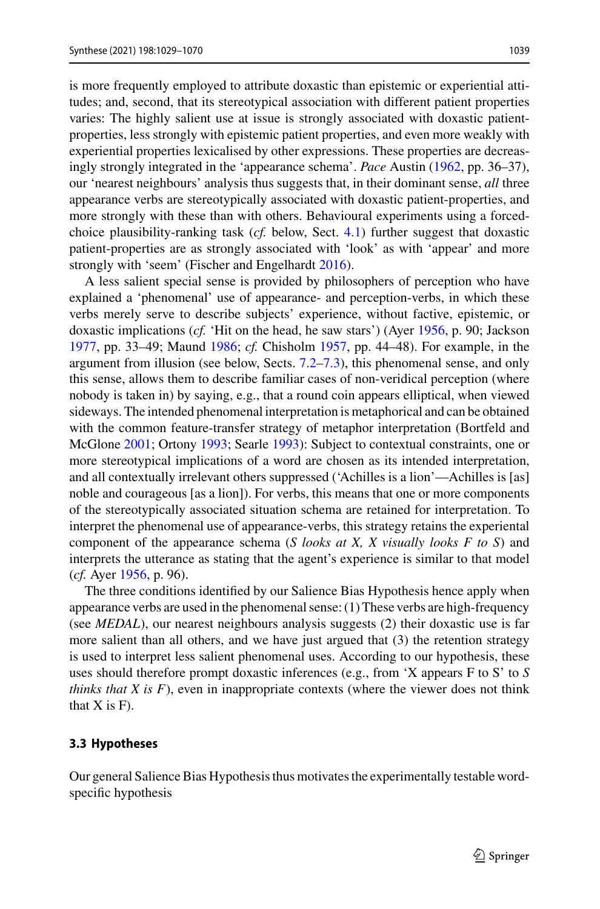is more frequently employed to attribute doxastic than epistemic or experiential attitudes; and, second, that its stereotypical association with different patient properties varies: The highly salient use at issue is strongly associated with doxastic patientproperties, less strongly with epistemic patient properties, and even more weakly with experiential properties lexicalised by other expressions. These properties are decreasingly strongly integrated in the 'appearance schema'. *Pace* Austin [\(1962,](#page-35-0) pp. 36–37), our 'nearest neighbours' analysis thus suggests that, in their dominant sense, *all* three appearance verbs are stereotypically associated with doxastic patient-properties, and more strongly with these than with others. Behavioural experiments using a forcedchoice plausibility-ranking task (*cf.* below, Sect. [4.1\)](#page-13-0) further suggest that doxastic patient-properties are as strongly associated with 'look' as with 'appear' and more strongly with 'seem' (Fischer and Engelhardt [2016\)](#page-36-16).

A less salient special sense is provided by philosophers of perception who have explained a 'phenomenal' use of appearance- and perception-verbs, in which these verbs merely serve to describe subjects' experience, without factive, epistemic, or doxastic implications (*cf.* 'Hit on the head, he saw stars') (Ayer [1956,](#page-35-9) p. 90; Jackson [1977,](#page-38-20) pp. 33–49; Maund [1986;](#page-39-18) *cf.* Chisholm [1957,](#page-36-17) pp. 44–48). For example, in the argument from illusion (see below, Sects. [7.2–](#page-24-0)[7.3\)](#page-28-0), this phenomenal sense, and only this sense, allows them to describe familiar cases of non-veridical perception (where nobody is taken in) by saying, e.g., that a round coin appears elliptical, when viewed sideways. The intended phenomenal interpretation is metaphorical and can be obtained with the common feature-transfer strategy of metaphor interpretation (Bortfeld and McGlone [2001;](#page-35-10) Ortony [1993;](#page-40-13) Searle [1993\)](#page-40-14): Subject to contextual constraints, one or more stereotypical implications of a word are chosen as its intended interpretation, and all contextually irrelevant others suppressed ('Achilles is a lion'—Achilles is [as] noble and courageous [as a lion]). For verbs, this means that one or more components of the stereotypically associated situation schema are retained for interpretation. To interpret the phenomenal use of appearance-verbs, this strategy retains the experiental component of the appearance schema (*S looks at X, X visually looks F to S*) and interprets the utterance as stating that the agent's experience is similar to that model (*cf.* Ayer [1956,](#page-35-9) p. 96).

The three conditions identified by our Salience Bias Hypothesis hence apply when appearance verbs are used in the phenomenal sense: (1) These verbs are high-frequency (see *MEDAL*), our nearest neighbours analysis suggests (2) their doxastic use is far more salient than all others, and we have just argued that (3) the retention strategy is used to interpret less salient phenomenal uses. According to our hypothesis, these uses should therefore prompt doxastic inferences (e.g., from 'X appears F to S' to *S thinks that X is F*), even in inappropriate contexts (where the viewer does not think that  $X$  is  $F$ ).

#### <span id="page-10-0"></span>**3.3 Hypotheses**

Our general Salience Bias Hypothesis thus motivates the experimentally testable wordspecific hypothesis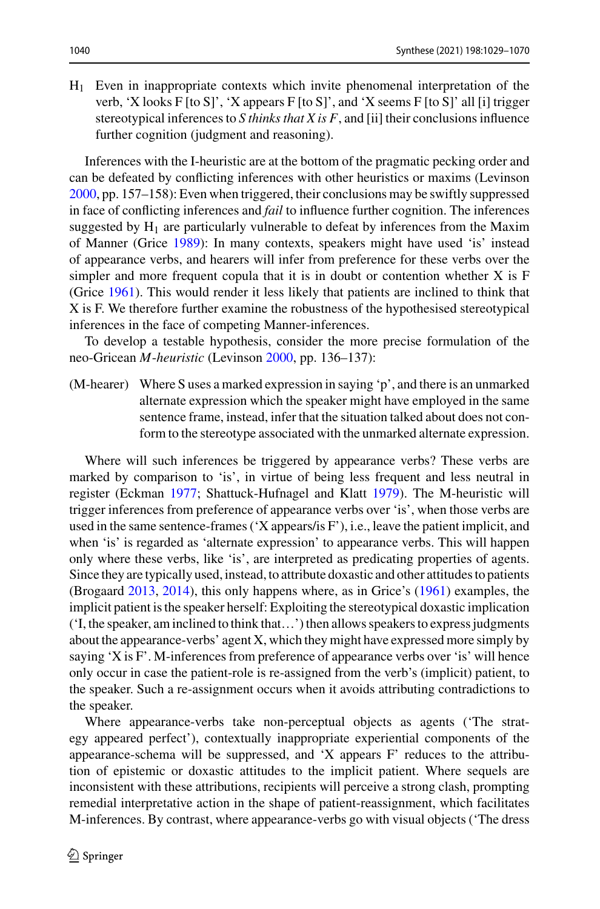H1 Even in inappropriate contexts which invite phenomenal interpretation of the verb, 'X looks F [to S]', 'X appears F [to S]', and 'X seems F [to S]' all [i] trigger stereotypical inferences to *S thinks that X is F*, and [ii] their conclusions influence further cognition (judgment and reasoning).

Inferences with the I-heuristic are at the bottom of the pragmatic pecking order and can be defeated by conflicting inferences with other heuristics or maxims (Levinson [2000,](#page-38-6) pp. 157–158): Even when triggered, their conclusions may be swiftly suppressed in face of conflicting inferences and *fail* to influence further cognition. The inferences suggested by  $H_1$  are particularly vulnerable to defeat by inferences from the Maxim of Manner (Grice [1989\)](#page-37-23): In many contexts, speakers might have used 'is' instead of appearance verbs, and hearers will infer from preference for these verbs over the simpler and more frequent copula that it is in doubt or contention whether X is F (Grice [1961\)](#page-37-24). This would render it less likely that patients are inclined to think that X is F. We therefore further examine the robustness of the hypothesised stereotypical inferences in the face of competing Manner-inferences.

To develop a testable hypothesis, consider the more precise formulation of the neo-Gricean *M*-*heuristic* (Levinson [2000,](#page-38-6) pp. 136–137):

(M-hearer) Where S uses a marked expression in saying 'p', and there is an unmarked alternate expression which the speaker might have employed in the same sentence frame, instead, infer that the situation talked about does not conform to the stereotype associated with the unmarked alternate expression.

Where will such inferences be triggered by appearance verbs? These verbs are marked by comparison to 'is', in virtue of being less frequent and less neutral in register (Eckman [1977;](#page-36-18) Shattuck-Hufnagel and Klatt [1979\)](#page-40-15). The M-heuristic will trigger inferences from preference of appearance verbs over 'is', when those verbs are used in the same sentence-frames ('X appears/is F'), i.e., leave the patient implicit, and when 'is' is regarded as 'alternate expression' to appearance verbs. This will happen only where these verbs, like 'is', are interpreted as predicating properties of agents. Since they are typically used, instead, to attribute doxastic and other attitudes to patients (Brogaard [2013,](#page-35-8) [2014\)](#page-36-14), this only happens where, as in Grice's [\(1961\)](#page-37-24) examples, the implicit patient is the speaker herself: Exploiting the stereotypical doxastic implication ('I, the speaker, am inclined to think that…') then allows speakers to express judgments about the appearance-verbs' agent X, which they might have expressed more simply by saying 'X is F'. M-inferences from preference of appearance verbs over 'is' will hence only occur in case the patient-role is re-assigned from the verb's (implicit) patient, to the speaker. Such a re-assignment occurs when it avoids attributing contradictions to the speaker.

Where appearance-verbs take non-perceptual objects as agents ('The strategy appeared perfect'), contextually inappropriate experiential components of the appearance-schema will be suppressed, and 'X appears F' reduces to the attribution of epistemic or doxastic attitudes to the implicit patient. Where sequels are inconsistent with these attributions, recipients will perceive a strong clash, prompting remedial interpretative action in the shape of patient-reassignment, which facilitates M-inferences. By contrast, where appearance-verbs go with visual objects ('The dress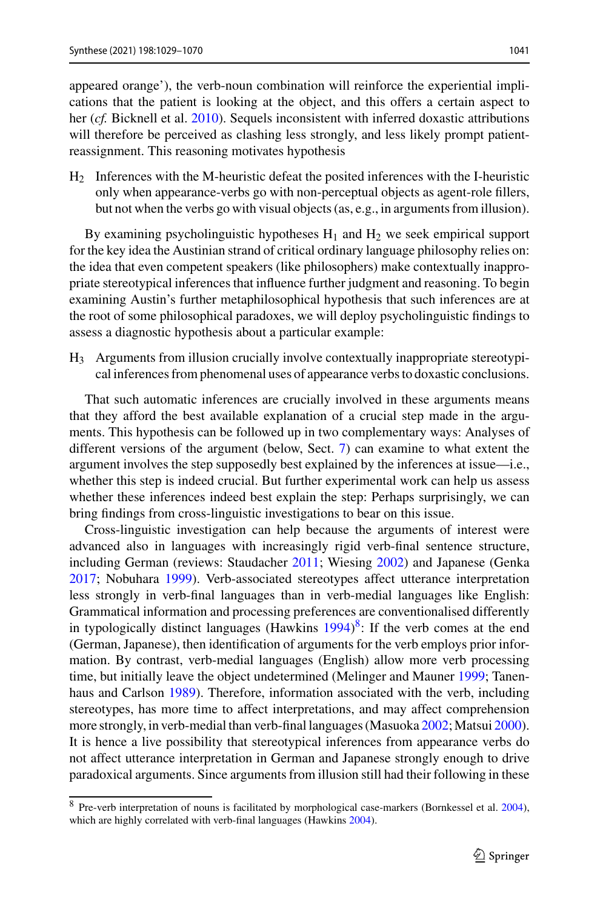appeared orange'), the verb-noun combination will reinforce the experiential implications that the patient is looking at the object, and this offers a certain aspect to her (*cf.* Bicknell et al. [2010\)](#page-35-6). Sequels inconsistent with inferred doxastic attributions will therefore be perceived as clashing less strongly, and less likely prompt patientreassignment. This reasoning motivates hypothesis

H2 Inferences with the M-heuristic defeat the posited inferences with the I-heuristic only when appearance-verbs go with non-perceptual objects as agent-role fillers, but not when the verbs go with visual objects (as, e.g., in arguments from illusion).

By examining psycholinguistic hypotheses  $H_1$  and  $H_2$  we seek empirical support for the key idea the Austinian strand of critical ordinary language philosophy relies on: the idea that even competent speakers (like philosophers) make contextually inappropriate stereotypical inferences that influence further judgment and reasoning. To begin examining Austin's further metaphilosophical hypothesis that such inferences are at the root of some philosophical paradoxes, we will deploy psycholinguistic findings to assess a diagnostic hypothesis about a particular example:

H3 Arguments from illusion crucially involve contextually inappropriate stereotypical inferences from phenomenal uses of appearance verbs to doxastic conclusions.

That such automatic inferences are crucially involved in these arguments means that they afford the best available explanation of a crucial step made in the arguments. This hypothesis can be followed up in two complementary ways: Analyses of different versions of the argument (below, Sect. [7\)](#page-22-0) can examine to what extent the argument involves the step supposedly best explained by the inferences at issue—i.e., whether this step is indeed crucial. But further experimental work can help us assess whether these inferences indeed best explain the step: Perhaps surprisingly, we can bring findings from cross-linguistic investigations to bear on this issue.

Cross-linguistic investigation can help because the arguments of interest were advanced also in languages with increasingly rigid verb-final sentence structure, including German (reviews: Staudacher [2011;](#page-41-15) Wiesing [2002\)](#page-41-16) and Japanese (Genka [2017;](#page-37-25) Nobuhara [1999\)](#page-39-19). Verb-associated stereotypes affect utterance interpretation less strongly in verb-final languages than in verb-medial languages like English: Grammatical information and processing preferences are conventionalised differently in typologically distinct languages (Hawkins  $1994$ )<sup>8</sup>: If the verb comes at the end (German, Japanese), then identification of arguments for the verb employs prior information. By contrast, verb-medial languages (English) allow more verb processing time, but initially leave the object undetermined (Melinger and Mauner [1999;](#page-39-20) Tanenhaus and Carlson [1989\)](#page-41-17). Therefore, information associated with the verb, including stereotypes, has more time to affect interpretations, and may affect comprehension more strongly, in verb-medial than verb-final languages (Masuoka [2002;](#page-39-21) Matsui [2000\)](#page-39-22). It is hence a live possibility that stereotypical inferences from appearance verbs do not affect utterance interpretation in German and Japanese strongly enough to drive paradoxical arguments. Since arguments from illusion still had their following in these

<span id="page-12-0"></span><sup>8</sup> Pre-verb interpretation of nouns is facilitated by morphological case-markers (Bornkessel et al. [2004\)](#page-35-11), which are highly correlated with verb-final languages (Hawkins [2004\)](#page-38-22).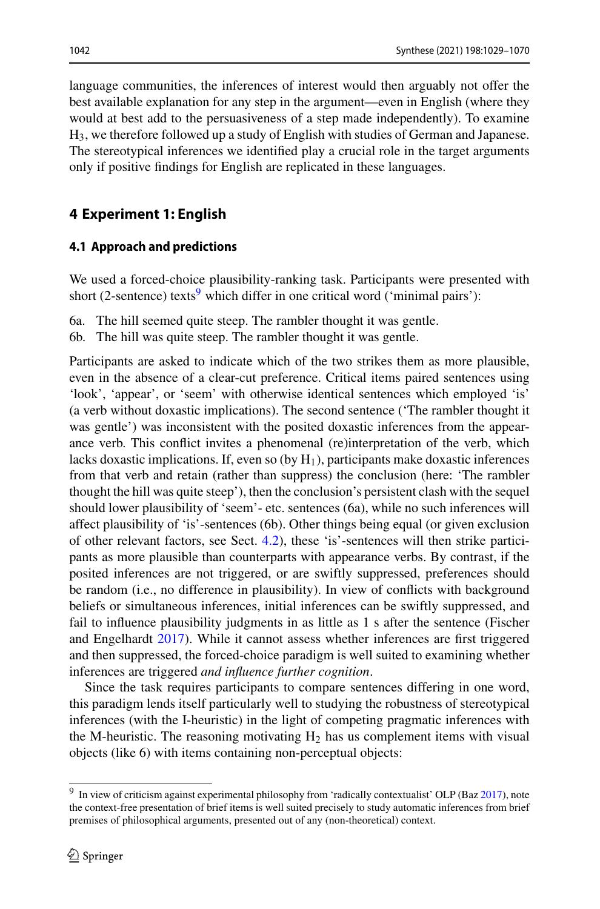language communities, the inferences of interest would then arguably not offer the best available explanation for any step in the argument—even in English (where they would at best add to the persuasiveness of a step made independently). To examine H3, we therefore followed up a study of English with studies of German and Japanese. The stereotypical inferences we identified play a crucial role in the target arguments only if positive findings for English are replicated in these languages.

### **4 Experiment 1: English**

### <span id="page-13-0"></span>**4.1 Approach and predictions**

We used a forced-choice plausibility-ranking task. Participants were presented with short (2-sentence) texts<sup>9</sup> which differ in one critical word ('minimal pairs'):

6a. The hill seemed quite steep. The rambler thought it was gentle.

6b. The hill was quite steep. The rambler thought it was gentle.

Participants are asked to indicate which of the two strikes them as more plausible, even in the absence of a clear-cut preference. Critical items paired sentences using 'look', 'appear', or 'seem' with otherwise identical sentences which employed 'is' (a verb without doxastic implications). The second sentence ('The rambler thought it was gentle') was inconsistent with the posited doxastic inferences from the appearance verb. This conflict invites a phenomenal (re)interpretation of the verb, which lacks doxastic implications. If, even so (by  $H_1$ ), participants make doxastic inferences from that verb and retain (rather than suppress) the conclusion (here: 'The rambler thought the hill was quite steep'), then the conclusion's persistent clash with the sequel should lower plausibility of 'seem'- etc. sentences (6a), while no such inferences will affect plausibility of 'is'-sentences (6b). Other things being equal (or given exclusion of other relevant factors, see Sect. [4.2\)](#page-14-0), these 'is'-sentences will then strike participants as more plausible than counterparts with appearance verbs. By contrast, if the posited inferences are not triggered, or are swiftly suppressed, preferences should be random (i.e., no difference in plausibility). In view of conflicts with background beliefs or simultaneous inferences, initial inferences can be swiftly suppressed, and fail to influence plausibility judgments in as little as 1 s after the sentence (Fischer and Engelhardt [2017\)](#page-37-5). While it cannot assess whether inferences are first triggered and then suppressed, the forced-choice paradigm is well suited to examining whether inferences are triggered *and influence further cognition*.

Since the task requires participants to compare sentences differing in one word, this paradigm lends itself particularly well to studying the robustness of stereotypical inferences (with the I-heuristic) in the light of competing pragmatic inferences with the M-heuristic. The reasoning motivating  $H_2$  has us complement items with visual objects (like 6) with items containing non-perceptual objects:

<span id="page-13-1"></span><sup>&</sup>lt;sup>9</sup> In view of criticism against experimental philosophy from 'radically contextualist' OLP (Baz [2017\)](#page-35-12), note the context-free presentation of brief items is well suited precisely to study automatic inferences from brief premises of philosophical arguments, presented out of any (non-theoretical) context.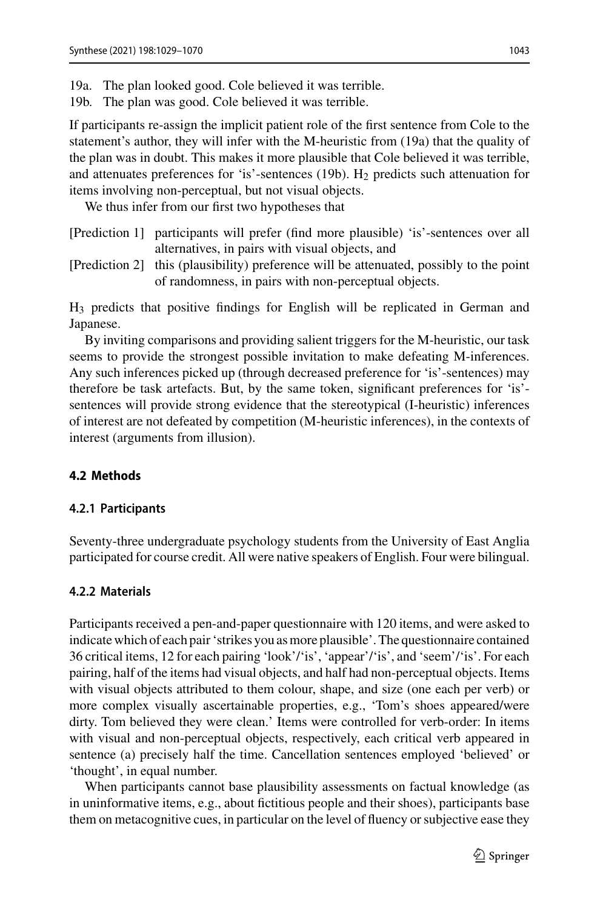- 19a. The plan looked good. Cole believed it was terrible.
- 19b. The plan was good. Cole believed it was terrible.

If participants re-assign the implicit patient role of the first sentence from Cole to the statement's author, they will infer with the M-heuristic from (19a) that the quality of the plan was in doubt. This makes it more plausible that Cole believed it was terrible, and attenuates preferences for 'is'-sentences (19b).  $H_2$  predicts such attenuation for items involving non-perceptual, but not visual objects.

We thus infer from our first two hypotheses that

- [Prediction 1] participants will prefer (find more plausible) 'is'-sentences over all alternatives, in pairs with visual objects, and
- [Prediction 2] this (plausibility) preference will be attenuated, possibly to the point of randomness, in pairs with non-perceptual objects.

H3 predicts that positive findings for English will be replicated in German and Japanese.

By inviting comparisons and providing salient triggers for the M-heuristic, our task seems to provide the strongest possible invitation to make defeating M-inferences. Any such inferences picked up (through decreased preference for 'is'-sentences) may therefore be task artefacts. But, by the same token, significant preferences for 'is' sentences will provide strong evidence that the stereotypical (I-heuristic) inferences of interest are not defeated by competition (M-heuristic inferences), in the contexts of interest (arguments from illusion).

#### <span id="page-14-0"></span>**4.2 Methods**

#### **4.2.1 Participants**

Seventy-three undergraduate psychology students from the University of East Anglia participated for course credit. All were native speakers of English. Four were bilingual.

#### <span id="page-14-1"></span>**4.2.2 Materials**

Participants received a pen-and-paper questionnaire with 120 items, and were asked to indicate which of each pair 'strikes you as more plausible'. The questionnaire contained 36 critical items, 12 for each pairing 'look'/'is', 'appear'/'is', and 'seem'/'is'. For each pairing, half of the items had visual objects, and half had non-perceptual objects. Items with visual objects attributed to them colour, shape, and size (one each per verb) or more complex visually ascertainable properties, e.g., 'Tom's shoes appeared/were dirty. Tom believed they were clean.' Items were controlled for verb-order: In items with visual and non-perceptual objects, respectively, each critical verb appeared in sentence (a) precisely half the time. Cancellation sentences employed 'believed' or 'thought', in equal number.

When participants cannot base plausibility assessments on factual knowledge (as in uninformative items, e.g., about fictitious people and their shoes), participants base them on metacognitive cues, in particular on the level of fluency or subjective ease they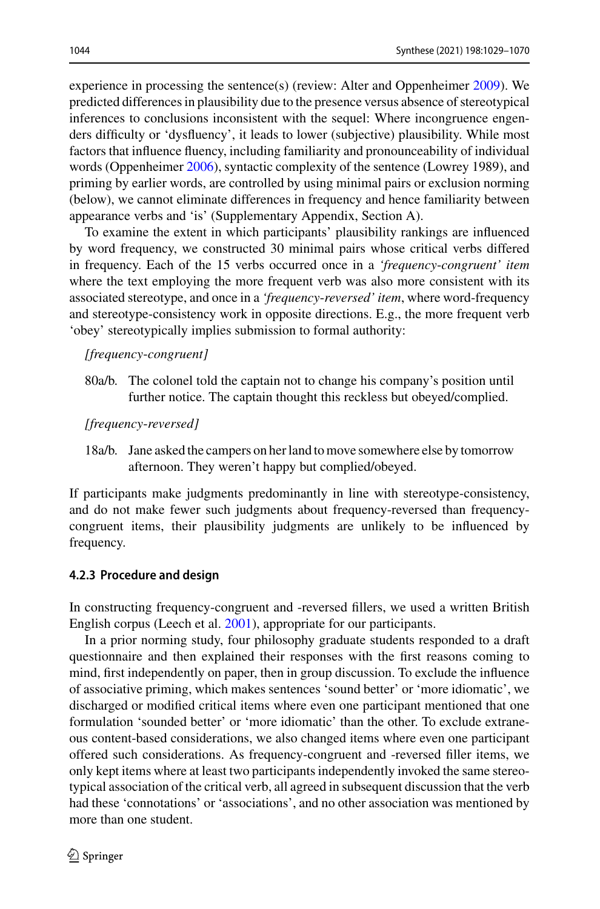experience in processing the sentence(s) (review: Alter and Oppenheimer [2009\)](#page-35-13). We predicted differences in plausibility due to the presence versus absence of stereotypical inferences to conclusions inconsistent with the sequel: Where incongruence engenders difficulty or 'dysfluency', it leads to lower (subjective) plausibility. While most factors that influence fluency, including familiarity and pronounceability of individual words (Oppenheimer [2006\)](#page-40-16), syntactic complexity of the sentence (Lowrey 1989), and priming by earlier words, are controlled by using minimal pairs or exclusion norming (below), we cannot eliminate differences in frequency and hence familiarity between appearance verbs and 'is' (Supplementary Appendix, Section A).

To examine the extent in which participants' plausibility rankings are influenced by word frequency, we constructed 30 minimal pairs whose critical verbs differed in frequency. Each of the 15 verbs occurred once in a *'frequency*-*congruent' item* where the text employing the more frequent verb was also more consistent with its associated stereotype, and once in a *'frequency*-*reversed' item*, where word-frequency and stereotype-consistency work in opposite directions. E.g., the more frequent verb 'obey' stereotypically implies submission to formal authority:

#### *[frequency*-*congruent]*

80a/b. The colonel told the captain not to change his company's position until further notice. The captain thought this reckless but obeyed/complied.

#### *[frequency*-*reversed]*

18a/b. Jane asked the campers on her land to move somewhere else by tomorrow afternoon. They weren't happy but complied/obeyed.

If participants make judgments predominantly in line with stereotype-consistency, and do not make fewer such judgments about frequency-reversed than frequencycongruent items, their plausibility judgments are unlikely to be influenced by frequency.

#### **4.2.3 Procedure and design**

In constructing frequency-congruent and -reversed fillers, we used a written British English corpus (Leech et al. [2001\)](#page-38-23), appropriate for our participants.

In a prior norming study, four philosophy graduate students responded to a draft questionnaire and then explained their responses with the first reasons coming to mind, first independently on paper, then in group discussion. To exclude the influence of associative priming, which makes sentences 'sound better' or 'more idiomatic', we discharged or modified critical items where even one participant mentioned that one formulation 'sounded better' or 'more idiomatic' than the other. To exclude extraneous content-based considerations, we also changed items where even one participant offered such considerations. As frequency-congruent and -reversed filler items, we only kept items where at least two participants independently invoked the same stereotypical association of the critical verb, all agreed in subsequent discussion that the verb had these 'connotations' or 'associations', and no other association was mentioned by more than one student.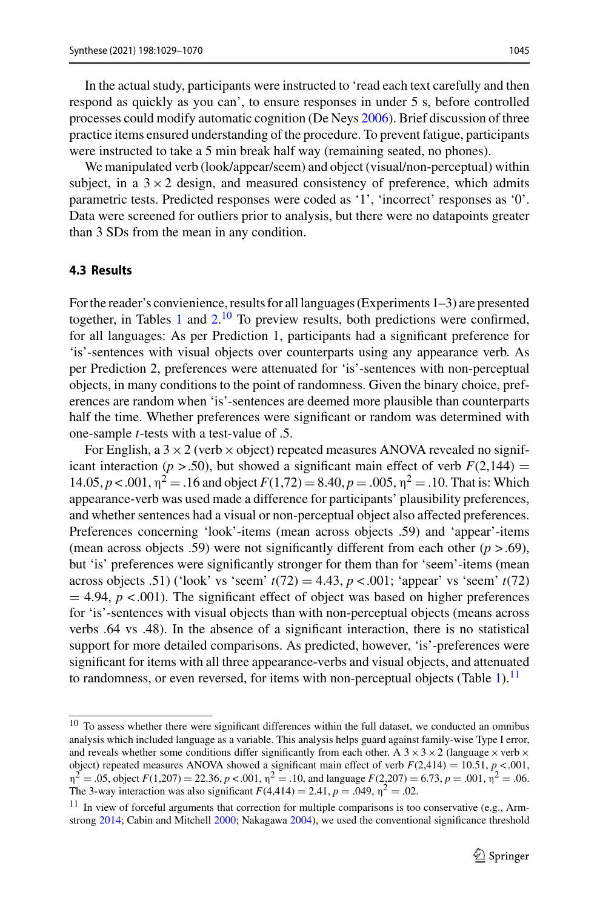In the actual study, participants were instructed to 'read each text carefully and then respond as quickly as you can', to ensure responses in under 5 s, before controlled processes could modify automatic cognition (De Neys [2006\)](#page-36-19). Brief discussion of three practice items ensured understanding of the procedure. To prevent fatigue, participants were instructed to take a 5 min break half way (remaining seated, no phones).

We manipulated verb (look/appear/seem) and object (visual/non-perceptual) within subject, in a  $3 \times 2$  design, and measured consistency of preference, which admits parametric tests. Predicted responses were coded as '1', 'incorrect' responses as '0'. Data were screened for outliers prior to analysis, but there were no datapoints greater than 3 SDs from the mean in any condition.

### **4.3 Results**

For the reader's convienience, results for all languages (Experiments 1–3) are presented together, in Tables [1](#page-17-0) and  $2<sup>10</sup>$  $2<sup>10</sup>$  $2<sup>10</sup>$  To preview results, both predictions were confirmed, for all languages: As per Prediction 1, participants had a significant preference for 'is'-sentences with visual objects over counterparts using any appearance verb. As per Prediction 2, preferences were attenuated for 'is'-sentences with non-perceptual objects, in many conditions to the point of randomness. Given the binary choice, preferences are random when 'is'-sentences are deemed more plausible than counterparts half the time. Whether preferences were significant or random was determined with one-sample *t*-tests with a test-value of .5.

For English, a  $3 \times 2$  (verb  $\times$  object) repeated measures ANOVA revealed no significant interaction ( $p > .50$ ), but showed a significant main effect of verb  $F(2,144) =$ 14.05, *p* < .001,  $η<sup>2</sup> = .16$  and object  $F(1,72) = 8.40$ ,  $p = .005$ ,  $η<sup>2</sup> = .10$ . That is: Which appearance-verb was used made a difference for participants' plausibility preferences, and whether sentences had a visual or non-perceptual object also affected preferences. Preferences concerning 'look'-items (mean across objects .59) and 'appear'-items (mean across objects .59) were not significantly different from each other  $(p > .69)$ , but 'is' preferences were significantly stronger for them than for 'seem'-items (mean across objects .51) ('look' vs 'seem'  $t(72) = 4.43$ ,  $p < .001$ ; 'appear' vs 'seem'  $t(72)$  $=$  4.94,  $p$  < .001). The significant effect of object was based on higher preferences for 'is'-sentences with visual objects than with non-perceptual objects (means across verbs .64 vs .48). In the absence of a significant interaction, there is no statistical support for more detailed comparisons. As predicted, however, 'is'-preferences were significant for items with all three appearance-verbs and visual objects, and attenuated to randomness, or even reversed, for items with non-perceptual objects (Table [1\)](#page-17-0).<sup>[11](#page-16-1)</sup>

<span id="page-16-0"></span> $10$  To assess whether there were significant differences within the full dataset, we conducted an omnibus analysis which included language as a variable. This analysis helps guard against family-wise Type I error, and reveals whether some conditions differ significantly from each other. A  $3 \times 3 \times 2$  (language  $\times$  verb  $\times$ object) repeated measures ANOVA showed a significant main effect of verb  $F(2,414) = 10.51$ ,  $p < .001$ ,  $n^2 = .05$ , object  $F(1,207) = 22.36$ ,  $p < .001$ ,  $n^2 = .10$ , and language  $F(2,207) = 6.73$ ,  $p = .001$ ,  $n^2 = .06$ . The 3-way interaction was also significant  $F(4,414) = 2.41$ ,  $p = .049$ ,  $\eta^2 = .02$ .

<span id="page-16-1"></span> $11$  In view of forceful arguments that correction for multiple comparisons is too conservative (e.g., Arm-strong [2014;](#page-35-14) Cabin and Mitchell [2000;](#page-36-20) Nakagawa [2004\)](#page-39-23), we used the conventional significance threshold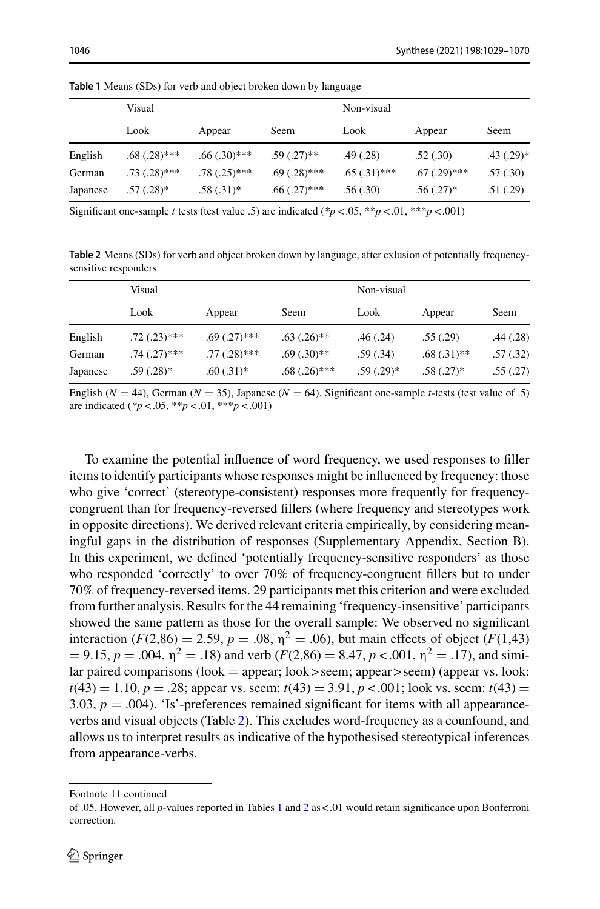|          | Visual         |                |                   | Non-visual     |                   |                |
|----------|----------------|----------------|-------------------|----------------|-------------------|----------------|
|          | Look           | Appear         | Seem              | Look           | Appear            | Seem           |
| English  | $.68(.28)$ *** | $.66(.30)$ *** | $.59(.27)$ **     | .49(0.28)      | .52(.30)          | $.43$ $(.29)*$ |
| German   | $.73(.28)$ *** | $.78(.25)$ *** | $.69(.28)$ ***    | $.65(.31)$ *** | $.67$ $(.29)$ *** | .57(.30)       |
| Japanese | $.57(.28)$ *   | $.58(.31)$ *   | $.66$ $(.27)$ *** | .56(.30)       | $.56(.27)^*$      | .51(.29)       |

<span id="page-17-0"></span>**Table 1** Means (SDs) for verb and object broken down by language

Significant one-sample *t* tests (test value .5) are indicated ( $*p < .05$ ,  $**p < .01$ ,  $***p < .001$ )

<span id="page-17-1"></span>**Table 2** Means (SDs) for verb and object broken down by language, after exlusion of potentially frequencysensitive responders

|          | Visual            |                |                | Non-visual   |               |          |
|----------|-------------------|----------------|----------------|--------------|---------------|----------|
|          | Look              | Appear         | Seem           | Look         | Appear        | Seem     |
| English  | $.72(.23)$ ***    | $.69(.27)$ *** | $.63(.26)$ **  | .46(.24)     | .55(.29)      | .44(.28) |
| German   | $.74$ $(.27)$ *** | $.77(.28)$ *** | $.69(.30)$ **  | .59(.34)     | $.68(.31)$ ** | .57(.32) |
| Japanese | $.59(.28)*$       | $.60(.31)*$    | $.68(.26)$ *** | $.59(.29)$ * | $.58(.27)$ *  | .55(.27) |

English ( $N = 44$ ), German ( $N = 35$ ), Japanese ( $N = 64$ ). Significant one-sample *t*-tests (test value of .5) are indicated (*\*p* < .05, \*\**p* < .01, \*\*\**p* < .001)

To examine the potential influence of word frequency, we used responses to filler items to identify participants whose responses might be influenced by frequency: those who give 'correct' (stereotype-consistent) responses more frequently for frequencycongruent than for frequency-reversed fillers (where frequency and stereotypes work in opposite directions). We derived relevant criteria empirically, by considering meaningful gaps in the distribution of responses (Supplementary Appendix, Section B). In this experiment, we defined 'potentially frequency-sensitive responders' as those who responded 'correctly' to over 70% of frequency-congruent fillers but to under 70% of frequency-reversed items. 29 participants met this criterion and were excluded from further analysis. Results for the 44 remaining 'frequency-insensitive' participants showed the same pattern as those for the overall sample: We observed no significant interaction ( $F(2,86) = 2.59$ ,  $p = .08$ ,  $\eta^2 = .06$ ), but main effects of object ( $F(1,43)$ )  $= 9.15, p = .004, \eta^2 = .18$ ) and verb ( $F(2,86) = 8.47, p < .001, \eta^2 = .17$ ), and similar paired comparisons (look = appear; look > seem; appear > seem) (appear vs. look:  $t(43) = 1.10, p = .28$ ; appear vs. seem:  $t(43) = 3.91, p < .001$ ; look vs. seem:  $t(43) =$ 3.03,  $p = .004$ ). 'Is'-preferences remained significant for items with all appearanceverbs and visual objects (Table [2\)](#page-17-1). This excludes word-frequency as a counfound, and allows us to interpret results as indicative of the hypothesised stereotypical inferences from appearance-verbs.

Footnote 11 continued

of .05. However, all *p*-values reported in Tables [1](#page-17-0) and [2](#page-17-1) as < .01 would retain significance upon Bonferroni correction.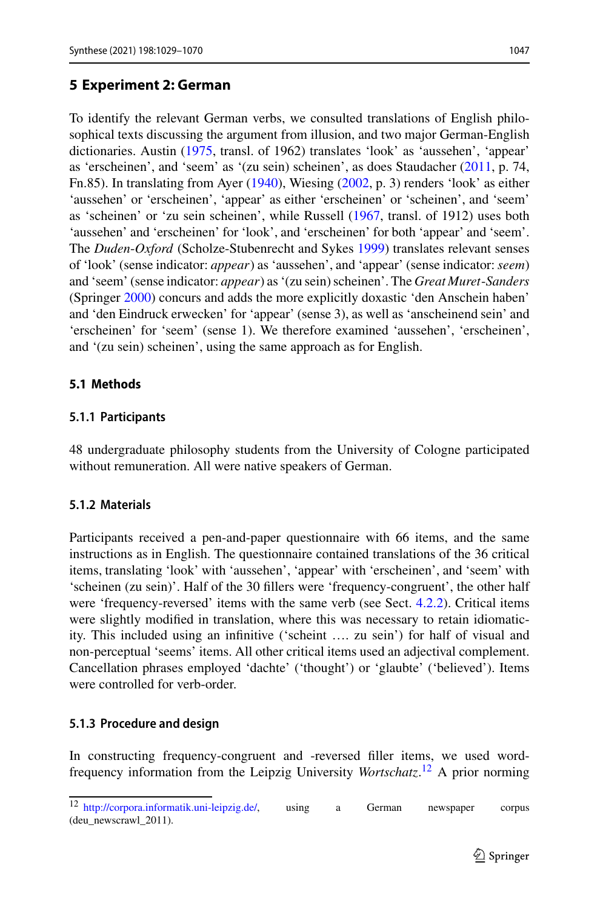## <span id="page-18-0"></span>**5 Experiment 2: German**

To identify the relevant German verbs, we consulted translations of English philosophical texts discussing the argument from illusion, and two major German-English dictionaries. Austin [\(1975,](#page-35-15) transl. of 1962) translates 'look' as 'aussehen', 'appear' as 'erscheinen', and 'seem' as '(zu sein) scheinen', as does Staudacher [\(2011,](#page-41-15) p. 74, Fn.85). In translating from Ayer [\(1940\)](#page-35-16), Wiesing [\(2002,](#page-41-16) p. 3) renders 'look' as either 'aussehen' or 'erscheinen', 'appear' as either 'erscheinen' or 'scheinen', and 'seem' as 'scheinen' or 'zu sein scheinen', while Russell [\(1967,](#page-40-17) transl. of 1912) uses both 'aussehen' and 'erscheinen' for 'look', and 'erscheinen' for both 'appear' and 'seem'. The *Duden*-*Oxford* (Scholze-Stubenrecht and Sykes [1999\)](#page-40-18) translates relevant senses of 'look' (sense indicator: *appear*) as 'aussehen', and 'appear' (sense indicator: *seem*) and 'seem' (sense indicator: *appear*) as '(zu sein) scheinen'. The *Great Muret*-*Sanders* (Springer [2000\)](#page-40-19) concurs and adds the more explicitly doxastic 'den Anschein haben' and 'den Eindruck erwecken' for 'appear' (sense 3), as well as 'anscheinend sein' and 'erscheinen' for 'seem' (sense 1). We therefore examined 'aussehen', 'erscheinen', and '(zu sein) scheinen', using the same approach as for English.

### **5.1 Methods**

### **5.1.1 Participants**

48 undergraduate philosophy students from the University of Cologne participated without remuneration. All were native speakers of German.

### **5.1.2 Materials**

Participants received a pen-and-paper questionnaire with 66 items, and the same instructions as in English. The questionnaire contained translations of the 36 critical items, translating 'look' with 'aussehen', 'appear' with 'erscheinen', and 'seem' with 'scheinen (zu sein)'. Half of the 30 fillers were 'frequency-congruent', the other half were 'frequency-reversed' items with the same verb (see Sect. [4.2.2\)](#page-14-1). Critical items were slightly modified in translation, where this was necessary to retain idiomaticity. This included using an infinitive ('scheint …. zu sein') for half of visual and non-perceptual 'seems' items. All other critical items used an adjectival complement. Cancellation phrases employed 'dachte' ('thought') or 'glaubte' ('believed'). Items were controlled for verb-order.

## **5.1.3 Procedure and design**

In constructing frequency-congruent and -reversed filler items, we used wordfrequency information from the Leipzig University *Wortschatz*. [12](#page-18-1) A prior norming

<span id="page-18-1"></span><sup>12</sup> [http://corpora.informatik.uni-leipzig.de/,](http://corpora.informatik.uni-leipzig.de/) using a German newspaper corpus (deu\_newscrawl\_2011).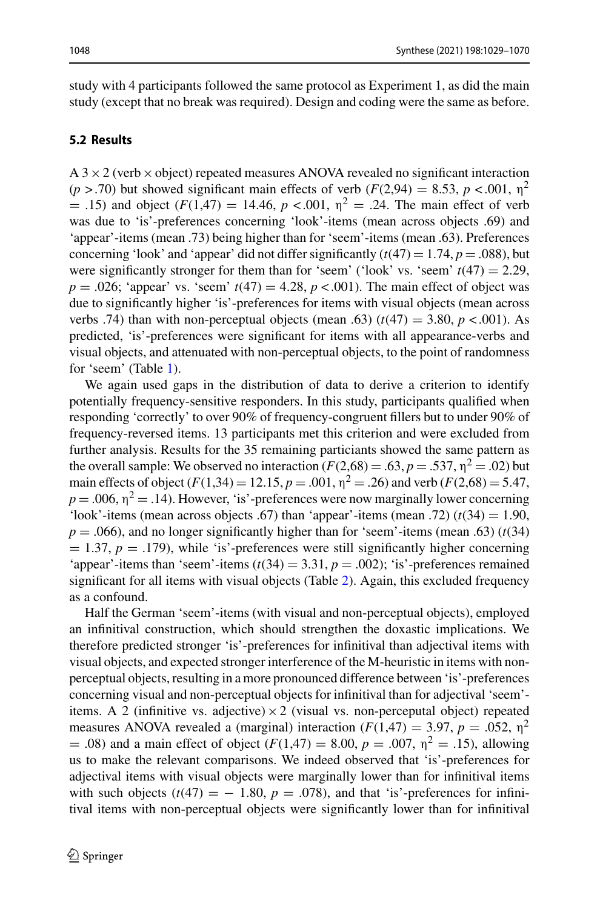study with 4 participants followed the same protocol as Experiment 1, as did the main study (except that no break was required). Design and coding were the same as before.

### **5.2 Results**

 $A$  3  $\times$  2 (verb  $\times$  object) repeated measures ANOVA revealed no significant interaction ( $p > .70$ ) but showed significant main effects of verb ( $F(2,94) = 8.53$ ,  $p < .001$ ,  $p<sup>2</sup>$ ) = .15) and object  $(F(1,47) = 14.46, p < .001, \eta^2 = .24$ . The main effect of verb was due to 'is'-preferences concerning 'look'-items (mean across objects .69) and 'appear'-items (mean .73) being higher than for 'seem'-items (mean .63). Preferences concerning 'look' and 'appear' did not differ significantly  $(t(47) = 1.74, p = .088)$ , but were significantly stronger for them than for 'seem' ('look' vs. 'seem'  $t(47) = 2.29$ ,  $p = .026$ ; 'appear' vs. 'seem'  $t(47) = 4.28$ ,  $p < .001$ ). The main effect of object was due to significantly higher 'is'-preferences for items with visual objects (mean across verbs .74) than with non-perceptual objects (mean .63)  $(t(47) = 3.80, p < .001)$ . As predicted, 'is'-preferences were significant for items with all appearance-verbs and visual objects, and attenuated with non-perceptual objects, to the point of randomness for 'seem' (Table [1\)](#page-17-0).

We again used gaps in the distribution of data to derive a criterion to identify potentially frequency-sensitive responders. In this study, participants qualified when responding 'correctly' to over 90% of frequency-congruent fillers but to under 90% of frequency-reversed items. 13 participants met this criterion and were excluded from further analysis. Results for the 35 remaining particiants showed the same pattern as the overall sample: We observed no interaction  $(F(2,68) = .63, p = .537, \eta^2 = .02)$  but main effects of object  $(F(1,34) = 12.15, p = .001, \eta^2 = .26)$  and verb  $(F(2,68) = 5.47,$  $p = .006$ ,  $\eta^2 = .14$ ). However, 'is'-preferences were now marginally lower concerning 'look'-items (mean across objects .67) than 'appear'-items (mean .72)  $(t(34) = 1.90,$  $p = .066$ ), and no longer significantly higher than for 'seem'-items (mean .63) ( $t(34)$  $= 1.37, p = .179$ ), while 'is'-preferences were still significantly higher concerning 'appear'-items than 'seem'-items  $(t(34) = 3.31, p = .002)$ ; 'is'-preferences remained significant for all items with visual objects (Table [2\)](#page-17-1). Again, this excluded frequency as a confound.

Half the German 'seem'-items (with visual and non-perceptual objects), employed an infinitival construction, which should strengthen the doxastic implications. We therefore predicted stronger 'is'-preferences for infinitival than adjectival items with visual objects, and expected stronger interference of the M-heuristic in items with nonperceptual objects, resulting in a more pronounced difference between 'is'-preferences concerning visual and non-perceptual objects for infinitival than for adjectival 'seem' items. A 2 (infinitive vs. adjective)  $\times$  2 (visual vs. non-perceputal object) repeated measures ANOVA revealed a (marginal) interaction  $(F(1,47) = 3.97, p = .052, \eta^2)$ = .08) and a main effect of object  $(F(1,47) = 8.00, p = .007, \eta^2 = .15)$ , allowing us to make the relevant comparisons. We indeed observed that 'is'-preferences for adjectival items with visual objects were marginally lower than for infinitival items with such objects  $(t(47) = -1.80, p = .078)$ , and that 'is'-preferences for infinitival items with non-perceptual objects were significantly lower than for infinitival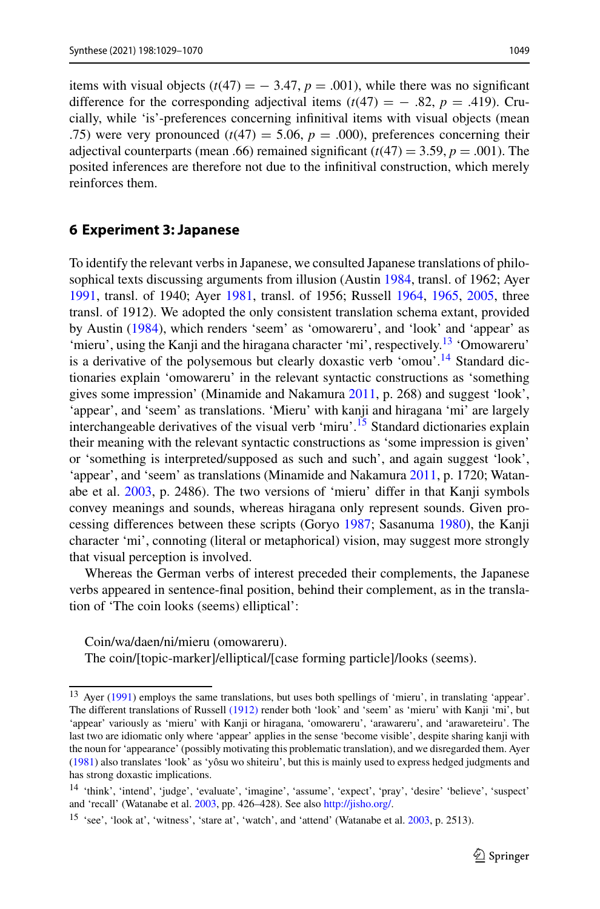items with visual objects  $(t(47) = -3.47, p = .001)$ , while there was no significant difference for the corresponding adjectival items  $(t(47) = -0.82, p = 0.419)$ . Crucially, while 'is'-preferences concerning infinitival items with visual objects (mean .75) were very pronounced  $(t(47) = 5.06, p = .000)$ , preferences concerning their adjectival counterparts (mean .66) remained significant  $(t(47) = 3.59, p = .001)$ . The posited inferences are therefore not due to the infinitival construction, which merely reinforces them.

### <span id="page-20-0"></span>**6 Experiment 3: Japanese**

To identify the relevant verbs in Japanese, we consulted Japanese translations of philosophical texts discussing arguments from illusion (Austin [1984,](#page-35-17) transl. of 1962; Ayer [1991,](#page-35-18) transl. of 1940; Ayer [1981,](#page-35-19) transl. of 1956; Russell [1964,](#page-40-20) [1965,](#page-40-21) [2005,](#page-40-22) three transl. of 1912). We adopted the only consistent translation schema extant, provided by Austin [\(1984\)](#page-35-17), which renders 'seem' as 'omowareru', and 'look' and 'appear' as 'mieru', using the Kanji and the hiragana character 'mi', respectively.<sup>13</sup> 'Omowareru' is a derivative of the polysemous but clearly doxastic verb 'omou'.<sup>14</sup> Standard dictionaries explain 'omowareru' in the relevant syntactic constructions as 'something gives some impression' (Minamide and Nakamura [2011,](#page-39-24) p. 268) and suggest 'look', 'appear', and 'seem' as translations. 'Mieru' with kanji and hiragana 'mi' are largely interchangeable derivatives of the visual verb 'miru'.<sup>15</sup> Standard dictionaries explain their meaning with the relevant syntactic constructions as 'some impression is given' or 'something is interpreted/supposed as such and such', and again suggest 'look', 'appear', and 'seem' as translations (Minamide and Nakamura [2011,](#page-39-24) p. 1720; Watanabe et al. [2003,](#page-41-18) p. 2486). The two versions of 'mieru' differ in that Kanji symbols convey meanings and sounds, whereas hiragana only represent sounds. Given processing differences between these scripts (Goryo [1987;](#page-37-26) Sasanuma [1980\)](#page-40-23), the Kanji character 'mi', connoting (literal or metaphorical) vision, may suggest more strongly that visual perception is involved.

Whereas the German verbs of interest preceded their complements, the Japanese verbs appeared in sentence-final position, behind their complement, as in the translation of 'The coin looks (seems) elliptical':

Coin/wa/daen/ni/mieru (omowareru). The coin/[topic-marker]/elliptical/[case forming particle]/looks (seems).

<span id="page-20-1"></span><sup>&</sup>lt;sup>13</sup> Ayer [\(1991\)](#page-35-18) employs the same translations, but uses both spellings of 'mieru', in translating 'appear'. The different translations of Russell [\(1912\)](#page-40-20) render both 'look' and 'seem' as 'mieru' with Kanji 'mi', but 'appear' variously as 'mieru' with Kanji or hiragana, 'omowareru', 'arawareru', and 'arawareteiru'. The last two are idiomatic only where 'appear' applies in the sense 'become visible', despite sharing kanji with the noun for 'appearance' (possibly motivating this problematic translation), and we disregarded them. Ayer [\(1981\)](#page-35-19) also translates 'look' as 'yôsu wo shiteiru', but this is mainly used to express hedged judgments and has strong doxastic implications.

<span id="page-20-3"></span><span id="page-20-2"></span><sup>14</sup> 'think', 'intend', 'judge', 'evaluate', 'imagine', 'assume', 'expect', 'pray', 'desire' 'believe', 'suspect' and 'recall' (Watanabe et al. [2003,](#page-41-5) pp. 426–428). See also [http://jisho.org/.](http://jisho.org/)

<sup>&</sup>lt;sup>15</sup> 'see', 'look at', 'witness', 'stare at', 'watch', and 'attend' (Watanabe et al. [2003,](#page-41-5) p. 2513).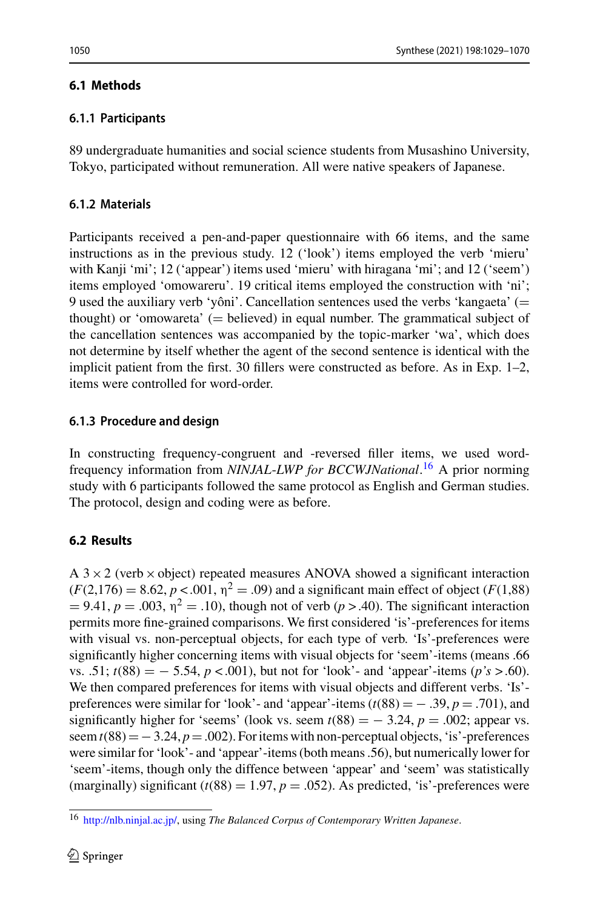## **6.1 Methods**

89 undergraduate humanities and social science students from Musashino University, Tokyo, participated without remuneration. All were native speakers of Japanese.

## **6.1.2 Materials**

Participants received a pen-and-paper questionnaire with 66 items, and the same instructions as in the previous study. 12 ('look') items employed the verb 'mieru' with Kanji 'mi'; 12 ('appear') items used 'mieru' with hiragana 'mi'; and 12 ('seem') items employed 'omowareru'. 19 critical items employed the construction with 'ni'; 9 used the auxiliary verb 'yôni'. Cancellation sentences used the verbs 'kangaeta' (= thought) or 'omowareta'  $(=$  believed) in equal number. The grammatical subject of the cancellation sentences was accompanied by the topic-marker 'wa', which does not determine by itself whether the agent of the second sentence is identical with the implicit patient from the first. 30 fillers were constructed as before. As in Exp. 1–2, items were controlled for word-order.

## **6.1.3 Procedure and design**

In constructing frequency-congruent and -reversed filler items, we used wordfrequency information from *NINJAL*-*LWP for BCCWJNational*. [16](#page-21-0) A prior norming study with 6 participants followed the same protocol as English and German studies. The protocol, design and coding were as before.

## **6.2 Results**

A  $3 \times 2$  (verb  $\times$  object) repeated measures ANOVA showed a significant interaction  $(F(2, 176) = 8.62, p < 0.001, \eta^2 = .09)$  and a significant main effect of object (*F*(1,88)  $= 9.41, p = .003, \eta^2 = .10$ , though not of verb ( $p > .40$ ). The significant interaction permits more fine-grained comparisons. We first considered 'is'-preferences for items with visual vs. non-perceptual objects, for each type of verb. 'Is'-preferences were significantly higher concerning items with visual objects for 'seem'-items (means .66 vs. .51;  $t(88) = -5.54$ ,  $p < .001$ ), but not for 'look'- and 'appear'-items ( $p's > .60$ ). We then compared preferences for items with visual objects and different verbs. 'Is' preferences were similar for 'look'- and 'appear'-items  $(t(88) = -0.39, p = 0.701)$ , and significantly higher for 'seems' (look vs. seem  $t(88) = -3.24$ ,  $p = .002$ ; appear vs. seem  $t(88) = -3.24$ ,  $p = .002$ ). For items with non-perceptual objects, 'is'-preferences were similar for 'look'- and 'appear'-items (both means .56), but numerically lower for 'seem'-items, though only the diffence between 'appear' and 'seem' was statistically (marginally) significant  $(t(88) = 1.97, p = .052)$ . As predicted, 'is'-preferences were

<span id="page-21-0"></span><sup>16</sup> [http://nlb.ninjal.ac.jp/,](http://nlb.ninjal.ac.jp/) using *The Balanced Corpus of Contemporary Written Japanese*.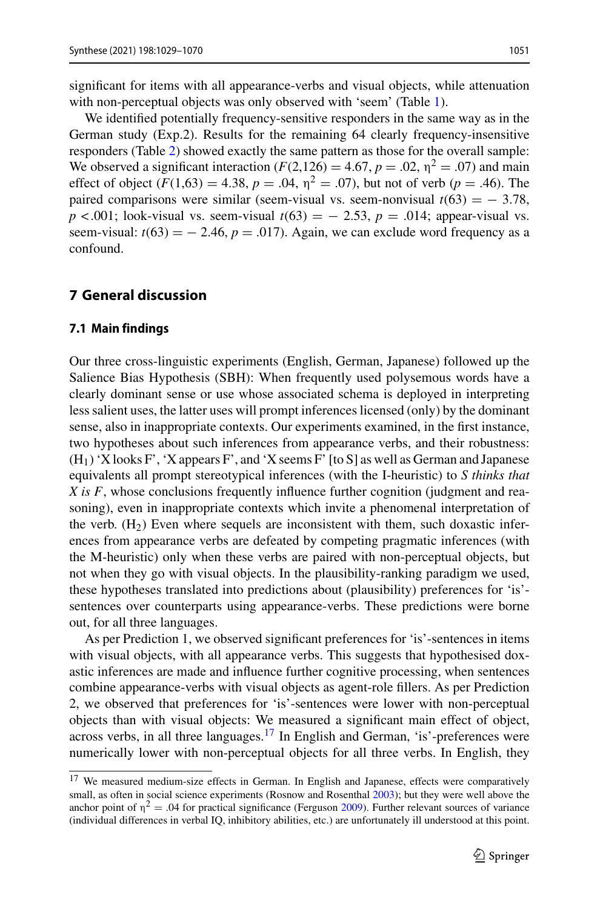significant for items with all appearance-verbs and visual objects, while attenuation with non-perceptual objects was only observed with 'seem' (Table [1\)](#page-17-0).

We identified potentially frequency-sensitive responders in the same way as in the German study (Exp.2). Results for the remaining 64 clearly frequency-insensitive responders (Table [2\)](#page-17-1) showed exactly the same pattern as those for the overall sample: We observed a significant interaction  $(F(2,126) = 4.67, p = .02, \eta^2 = .07)$  and main effect of object  $(F(1,63) = 4.38, p = .04, \eta^2 = .07)$ , but not of verb  $(p = .46)$ . The paired comparisons were similar (seem-visual vs. seem-nonvisual  $t(63) = -3.78$ , *p* < .001; look-visual vs. seem-visual  $t(63) = -2.53$ ,  $p = .014$ ; appear-visual vs. seem-visual:  $t(63) = -2.46$ ,  $p = .017$ ). Again, we can exclude word frequency as a confound.

### <span id="page-22-2"></span><span id="page-22-0"></span>**7 General discussion**

#### **7.1 Main findings**

Our three cross-linguistic experiments (English, German, Japanese) followed up the Salience Bias Hypothesis (SBH): When frequently used polysemous words have a clearly dominant sense or use whose associated schema is deployed in interpreting less salient uses, the latter uses will prompt inferences licensed (only) by the dominant sense, also in inappropriate contexts. Our experiments examined, in the first instance, two hypotheses about such inferences from appearance verbs, and their robustness:  $(H<sub>1</sub>)$  'X looks F', 'X appears F', and 'X seems F' [to S] as well as German and Japanese equivalents all prompt stereotypical inferences (with the I-heuristic) to *S thinks that X is F*, whose conclusions frequently influence further cognition (judgment and reasoning), even in inappropriate contexts which invite a phenomenal interpretation of the verb.  $(H_2)$  Even where sequels are inconsistent with them, such doxastic inferences from appearance verbs are defeated by competing pragmatic inferences (with the M-heuristic) only when these verbs are paired with non-perceptual objects, but not when they go with visual objects. In the plausibility-ranking paradigm we used, these hypotheses translated into predictions about (plausibility) preferences for 'is' sentences over counterparts using appearance-verbs. These predictions were borne out, for all three languages.

As per Prediction 1, we observed significant preferences for 'is'-sentences in items with visual objects, with all appearance verbs. This suggests that hypothesised doxastic inferences are made and influence further cognitive processing, when sentences combine appearance-verbs with visual objects as agent-role fillers. As per Prediction 2, we observed that preferences for 'is'-sentences were lower with non-perceptual objects than with visual objects: We measured a significant main effect of object, across verbs, in all three languages.<sup>17</sup> In English and German, 'is'-preferences were numerically lower with non-perceptual objects for all three verbs. In English, they

<span id="page-22-1"></span><sup>&</sup>lt;sup>17</sup> We measured medium-size effects in German. In English and Japanese, effects were comparatively small, as often in social science experiments (Rosnow and Rosenthal [2003\)](#page-40-24); but they were well above the anchor point of  $\eta^2 = .04$  for practical significance (Ferguson [2009\)](#page-36-21). Further relevant sources of variance (individual differences in verbal IQ, inhibitory abilities, etc.) are unfortunately ill understood at this point.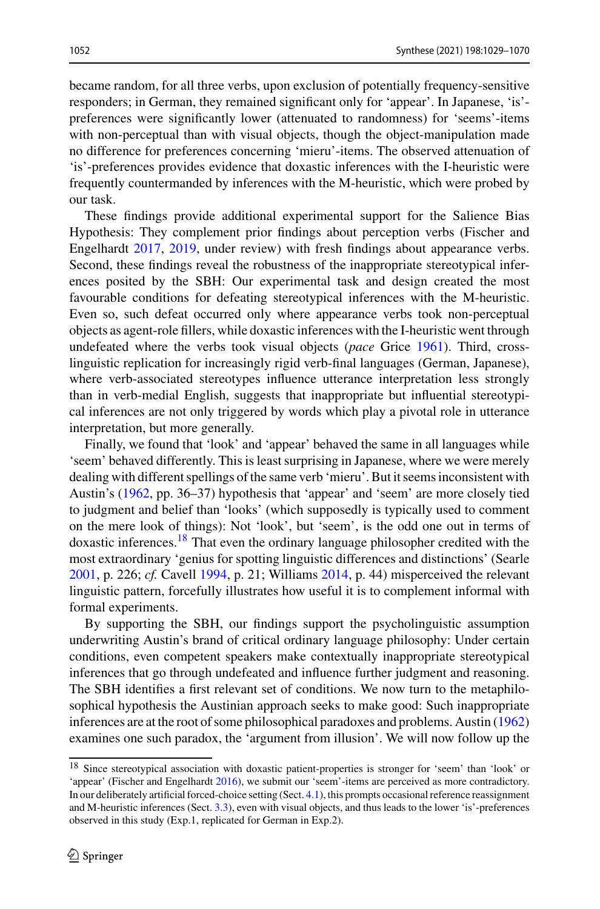became random, for all three verbs, upon exclusion of potentially frequency-sensitive responders; in German, they remained significant only for 'appear'. In Japanese, 'is' preferences were significantly lower (attenuated to randomness) for 'seems'-items with non-perceptual than with visual objects, though the object-manipulation made no difference for preferences concerning 'mieru'-items. The observed attenuation of 'is'-preferences provides evidence that doxastic inferences with the I-heuristic were frequently countermanded by inferences with the M-heuristic, which were probed by our task.

These findings provide additional experimental support for the Salience Bias Hypothesis: They complement prior findings about perception verbs (Fischer and Engelhardt [2017,](#page-37-5) [2019,](#page-37-15) under review) with fresh findings about appearance verbs. Second, these findings reveal the robustness of the inappropriate stereotypical inferences posited by the SBH: Our experimental task and design created the most favourable conditions for defeating stereotypical inferences with the M-heuristic. Even so, such defeat occurred only where appearance verbs took non-perceptual objects as agent-role fillers, while doxastic inferences with the I-heuristic went through undefeated where the verbs took visual objects (*pace* Grice [1961\)](#page-37-24). Third, crosslinguistic replication for increasingly rigid verb-final languages (German, Japanese), where verb-associated stereotypes influence utterance interpretation less strongly than in verb-medial English, suggests that inappropriate but influential stereotypical inferences are not only triggered by words which play a pivotal role in utterance interpretation, but more generally.

Finally, we found that 'look' and 'appear' behaved the same in all languages while 'seem' behaved differently. This is least surprising in Japanese, where we were merely dealing with different spellings of the same verb 'mieru'. But it seems inconsistent with Austin's [\(1962,](#page-35-0) pp. 36–37) hypothesis that 'appear' and 'seem' are more closely tied to judgment and belief than 'looks' (which supposedly is typically used to comment on the mere look of things): Not 'look', but 'seem', is the odd one out in terms of doxastic inferences.<sup>18</sup> That even the ordinary language philosopher credited with the most extraordinary 'genius for spotting linguistic differences and distinctions' (Searle [2001,](#page-40-25) p. 226; *cf.* Cavell [1994,](#page-36-22) p. 21; Williams [2014,](#page-41-19) p. 44) misperceived the relevant linguistic pattern, forcefully illustrates how useful it is to complement informal with formal experiments.

By supporting the SBH, our findings support the psycholinguistic assumption underwriting Austin's brand of critical ordinary language philosophy: Under certain conditions, even competent speakers make contextually inappropriate stereotypical inferences that go through undefeated and influence further judgment and reasoning. The SBH identifies a first relevant set of conditions. We now turn to the metaphilosophical hypothesis the Austinian approach seeks to make good: Such inappropriate inferences are at the root of some philosophical paradoxes and problems. Austin [\(1962\)](#page-35-0) examines one such paradox, the 'argument from illusion'. We will now follow up the

<span id="page-23-0"></span><sup>18</sup> Since stereotypical association with doxastic patient-properties is stronger for 'seem' than 'look' or 'appear' (Fischer and Engelhardt [2016\)](#page-36-16), we submit our 'seem'-items are perceived as more contradictory. In our deliberately artificial forced-choice setting (Sect. [4.1\)](#page-13-0), this prompts occasional reference reassignment and M-heuristic inferences (Sect. [3.3\)](#page-10-0), even with visual objects, and thus leads to the lower 'is'-preferences observed in this study (Exp.1, replicated for German in Exp.2).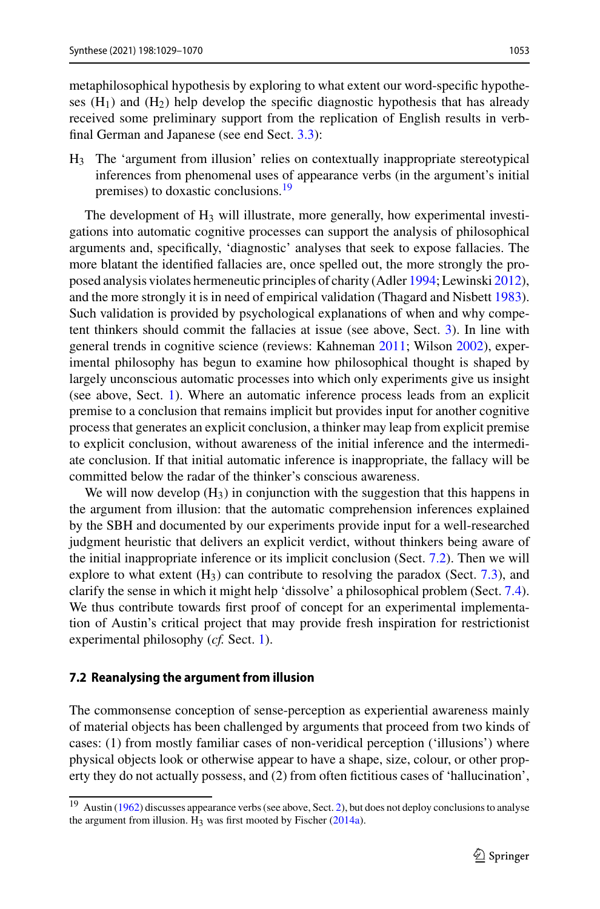metaphilosophical hypothesis by exploring to what extent our word-specific hypotheses  $(H_1)$  and  $(H_2)$  help develop the specific diagnostic hypothesis that has already received some preliminary support from the replication of English results in verbfinal German and Japanese (see end Sect. [3.3\)](#page-10-0):

H3 The 'argument from illusion' relies on contextually inappropriate stereotypical inferences from phenomenal uses of appearance verbs (in the argument's initial premises) to doxastic conclusions.<sup>19</sup>

The development of  $H_3$  will illustrate, more generally, how experimental investigations into automatic cognitive processes can support the analysis of philosophical arguments and, specifically, 'diagnostic' analyses that seek to expose fallacies. The more blatant the identified fallacies are, once spelled out, the more strongly the proposed analysis violates hermeneutic principles of charity (Adler [1994;](#page-35-7) Lewinski [2012\)](#page-38-16), and the more strongly it is in need of empirical validation (Thagard and Nisbett [1983\)](#page-41-11). Such validation is provided by psychological explanations of when and why competent thinkers should commit the fallacies at issue (see above, Sect. [3\)](#page-6-0). In line with general trends in cognitive science (reviews: Kahneman [2011;](#page-38-24) Wilson [2002\)](#page-41-20), experimental philosophy has begun to examine how philosophical thought is shaped by largely unconscious automatic processes into which only experiments give us insight (see above, Sect. [1\)](#page-1-2). Where an automatic inference process leads from an explicit premise to a conclusion that remains implicit but provides input for another cognitive process that generates an explicit conclusion, a thinker may leap from explicit premise to explicit conclusion, without awareness of the initial inference and the intermediate conclusion. If that initial automatic inference is inappropriate, the fallacy will be committed below the radar of the thinker's conscious awareness.

We will now develop  $(H<sub>3</sub>)$  in conjunction with the suggestion that this happens in the argument from illusion: that the automatic comprehension inferences explained by the SBH and documented by our experiments provide input for a well-researched judgment heuristic that delivers an explicit verdict, without thinkers being aware of the initial inappropriate inference or its implicit conclusion (Sect. [7.2\)](#page-24-0). Then we will explore to what extent  $(H_3)$  can contribute to resolving the paradox (Sect. [7.3\)](#page-28-0), and clarify the sense in which it might help 'dissolve' a philosophical problem (Sect. [7.4\)](#page-31-0). We thus contribute towards first proof of concept for an experimental implementation of Austin's critical project that may provide fresh inspiration for restrictionist experimental philosophy (*cf.* Sect. [1\)](#page-1-2).

#### <span id="page-24-0"></span>**7.2 Reanalysing the argument from illusion**

The commonsense conception of sense-perception as experiential awareness mainly of material objects has been challenged by arguments that proceed from two kinds of cases: (1) from mostly familiar cases of non-veridical perception ('illusions') where physical objects look or otherwise appear to have a shape, size, colour, or other property they do not actually possess, and (2) from often fictitious cases of 'hallucination',

<span id="page-24-1"></span><sup>19</sup> Austin [\(1962\)](#page-35-0) discusses appearance verbs (see above, Sect. [2\)](#page-3-0), but does not deploy conclusions to analyse the argument from illusion.  $H_3$  was first mooted by Fischer [\(2014a\)](#page-36-6).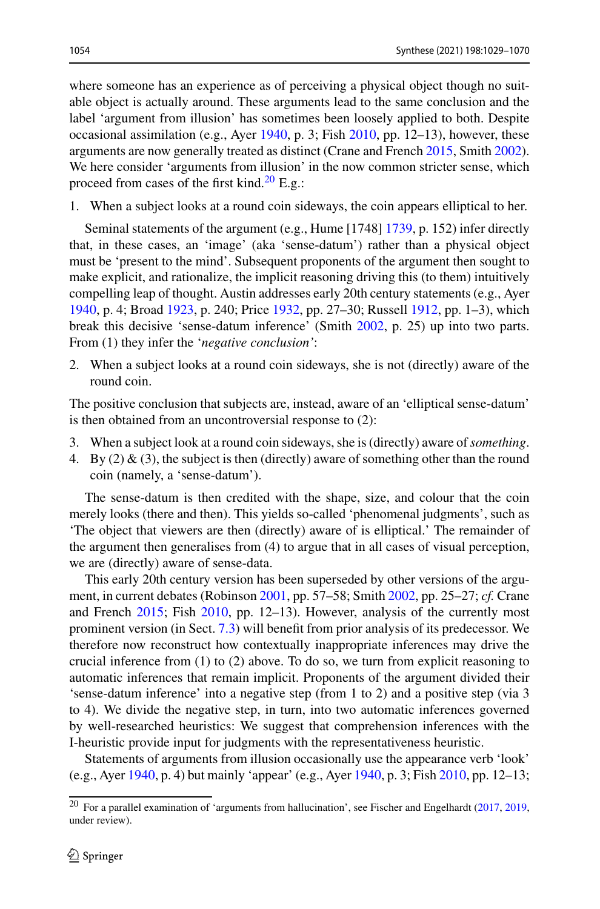where someone has an experience as of perceiving a physical object though no suitable object is actually around. These arguments lead to the same conclusion and the label 'argument from illusion' has sometimes been loosely applied to both. Despite occasional assimilation (e.g., Ayer [1940,](#page-35-16) p. 3; Fish [2010,](#page-37-27) pp. 12–13), however, these arguments are now generally treated as distinct (Crane and French [2015,](#page-36-4) Smith [2002\)](#page-40-2). We here consider 'arguments from illusion' in the now common stricter sense, which proceed from cases of the first kind. $^{20}$  $^{20}$  $^{20}$  E.g.:

1. When a subject looks at a round coin sideways, the coin appears elliptical to her.

Seminal statements of the argument (e.g., Hume [1748] [1739,](#page-38-25) p. 152) infer directly that, in these cases, an 'image' (aka 'sense-datum') rather than a physical object must be 'present to the mind'. Subsequent proponents of the argument then sought to make explicit, and rationalize, the implicit reasoning driving this (to them) intuitively compelling leap of thought. Austin addresses early 20th century statements (e.g., Ayer [1940,](#page-35-16) p. 4; Broad [1923,](#page-35-20) p. 240; Price [1932,](#page-40-3) pp. 27–30; Russell [1912,](#page-40-26) pp. 1–3), which break this decisive 'sense-datum inference' (Smith [2002,](#page-40-2) p. 25) up into two parts. From (1) they infer the '*negative conclusion'*:

2. When a subject looks at a round coin sideways, she is not (directly) aware of the round coin.

The positive conclusion that subjects are, instead, aware of an 'elliptical sense-datum' is then obtained from an uncontroversial response to (2):

- 3. When a subject look at a round coin sideways, she is (directly) aware of*something*.
- 4. By (2) & (3), the subject is then (directly) aware of something other than the round coin (namely, a 'sense-datum').

The sense-datum is then credited with the shape, size, and colour that the coin merely looks (there and then). This yields so-called 'phenomenal judgments', such as 'The object that viewers are then (directly) aware of is elliptical.' The remainder of the argument then generalises from (4) to argue that in all cases of visual perception, we are (directly) aware of sense-data.

This early 20th century version has been superseded by other versions of the argument, in current debates (Robinson [2001,](#page-40-1) pp. 57–58; Smith [2002,](#page-40-2) pp. 25–27; *cf.* Crane and French [2015;](#page-36-4) Fish [2010,](#page-37-27) pp. 12–13). However, analysis of the currently most prominent version (in Sect. [7.3\)](#page-28-0) will benefit from prior analysis of its predecessor. We therefore now reconstruct how contextually inappropriate inferences may drive the crucial inference from (1) to (2) above. To do so, we turn from explicit reasoning to automatic inferences that remain implicit. Proponents of the argument divided their 'sense-datum inference' into a negative step (from 1 to 2) and a positive step (via 3 to 4). We divide the negative step, in turn, into two automatic inferences governed by well-researched heuristics: We suggest that comprehension inferences with the I-heuristic provide input for judgments with the representativeness heuristic.

Statements of arguments from illusion occasionally use the appearance verb 'look' (e.g., Ayer [1940,](#page-35-16) p. 4) but mainly 'appear' (e.g., Ayer [1940,](#page-35-16) p. 3; Fish [2010,](#page-37-27) pp. 12–13;

<span id="page-25-0"></span><sup>20</sup> For a parallel examination of 'arguments from hallucination', see Fischer and Engelhardt [\(2017,](#page-37-5) [2019,](#page-37-15) under review).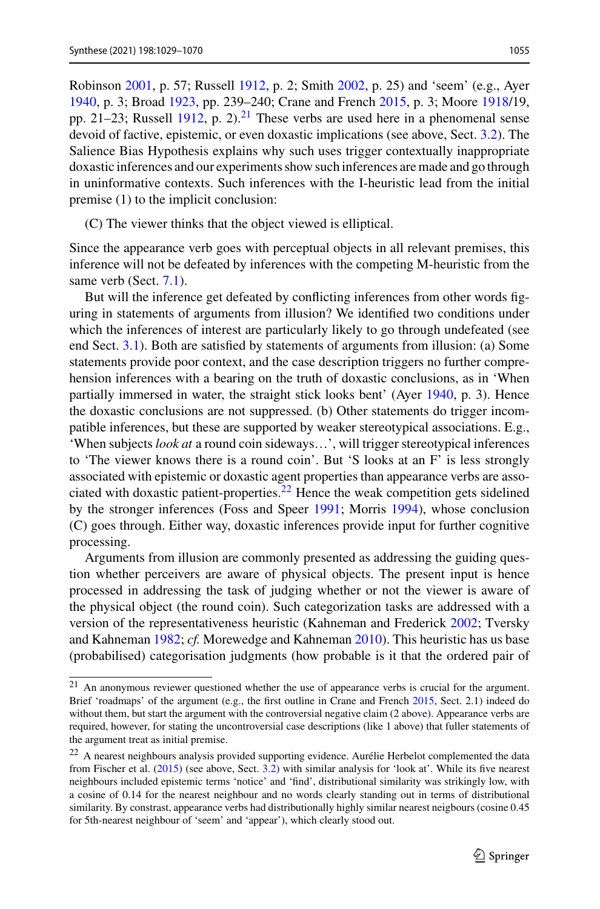Robinson [2001,](#page-40-1) p. 57; Russell [1912,](#page-40-26) p. 2; Smith [2002,](#page-40-2) p. 25) and 'seem' (e.g., Ayer [1940,](#page-35-16) p. 3; Broad [1923,](#page-35-20) pp. 239–240; Crane and French [2015,](#page-36-4) p. 3; Moore [1918/](#page-39-25)19, pp. 21–23; Russell [1912,](#page-40-26) p. 2).<sup>21</sup> These verbs are used here in a phenomenal sense devoid of factive, epistemic, or even doxastic implications (see above, Sect. [3.2\)](#page-9-0). The Salience Bias Hypothesis explains why such uses trigger contextually inappropriate doxastic inferences and our experiments show such inferences are made and go through in uninformative contexts. Such inferences with the I-heuristic lead from the initial premise (1) to the implicit conclusion:

(C) The viewer thinks that the object viewed is elliptical.

Since the appearance verb goes with perceptual objects in all relevant premises, this inference will not be defeated by inferences with the competing M-heuristic from the same verb (Sect. [7.1\)](#page-22-2).

But will the inference get defeated by conflicting inferences from other words figuring in statements of arguments from illusion? We identified two conditions under which the inferences of interest are particularly likely to go through undefeated (see end Sect. [3.1\)](#page-7-0). Both are satisfied by statements of arguments from illusion: (a) Some statements provide poor context, and the case description triggers no further comprehension inferences with a bearing on the truth of doxastic conclusions, as in 'When partially immersed in water, the straight stick looks bent' (Ayer [1940,](#page-35-16) p. 3). Hence the doxastic conclusions are not suppressed. (b) Other statements do trigger incompatible inferences, but these are supported by weaker stereotypical associations. E.g., 'When subjects *look at* a round coin sideways…', will trigger stereotypical inferences to 'The viewer knows there is a round coin'. But 'S looks at an F' is less strongly associated with epistemic or doxastic agent properties than appearance verbs are asso-ciated with doxastic patient-properties.<sup>[22](#page-26-1)</sup> Hence the weak competition gets sidelined by the stronger inferences (Foss and Speer [1991;](#page-37-20) Morris [1994\)](#page-39-17), whose conclusion (C) goes through. Either way, doxastic inferences provide input for further cognitive processing.

Arguments from illusion are commonly presented as addressing the guiding question whether perceivers are aware of physical objects. The present input is hence processed in addressing the task of judging whether or not the viewer is aware of the physical object (the round coin). Such categorization tasks are addressed with a version of the representativeness heuristic (Kahneman and Frederick [2002;](#page-38-26) Tversky and Kahneman [1982;](#page-41-21) *cf.* Morewedge and Kahneman [2010\)](#page-39-26). This heuristic has us base (probabilised) categorisation judgments (how probable is it that the ordered pair of

<span id="page-26-0"></span><sup>21</sup> An anonymous reviewer questioned whether the use of appearance verbs is crucial for the argument. Brief 'roadmaps' of the argument (e.g., the first outline in Crane and French [2015,](#page-36-4) Sect. 2.1) indeed do without them, but start the argument with the controversial negative claim (2 above). Appearance verbs are required, however, for stating the uncontroversial case descriptions (like 1 above) that fuller statements of the argument treat as initial premise.

<span id="page-26-1"></span><sup>&</sup>lt;sup>22</sup> A nearest neighbours analysis provided supporting evidence. Aurélie Herbelot complemented the data from Fischer et al. [\(2015\)](#page-37-21) (see above, Sect. [3.2\)](#page-9-0) with similar analysis for 'look at'. While its five nearest neighbours included epistemic terms 'notice' and 'find', distributional similarity was strikingly low, with a cosine of 0.14 for the nearest neighbour and no words clearly standing out in terms of distributional similarity. By constrast, appearance verbs had distributionally highly similar nearest neigbours (cosine 0.45 for 5th-nearest neighbour of 'seem' and 'appear'), which clearly stood out.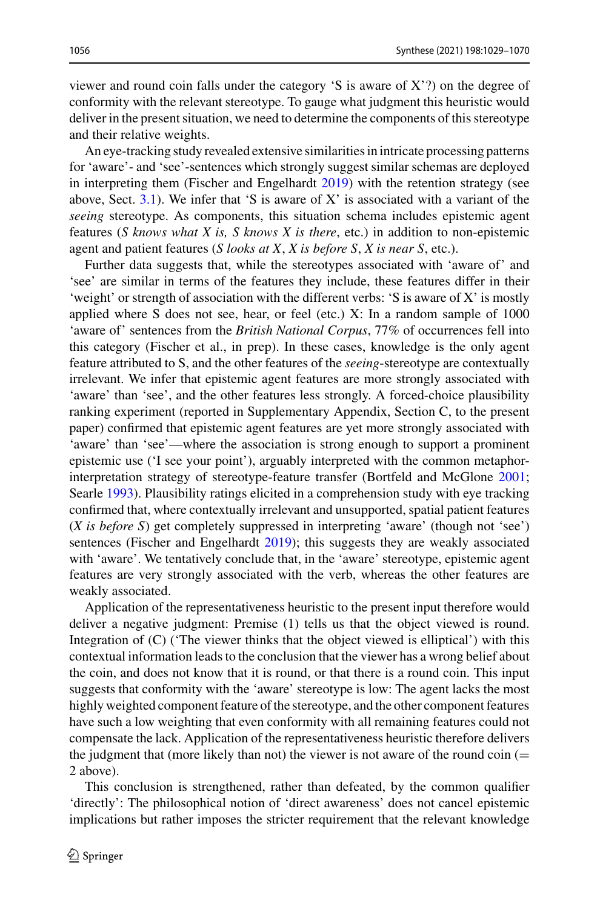viewer and round coin falls under the category 'S is aware of X'?) on the degree of conformity with the relevant stereotype. To gauge what judgment this heuristic would deliver in the present situation, we need to determine the components of this stereotype and their relative weights.

An eye-tracking study revealed extensive similarities in intricate processing patterns for 'aware'- and 'see'-sentences which strongly suggest similar schemas are deployed in interpreting them (Fischer and Engelhardt [2019\)](#page-37-15) with the retention strategy (see above, Sect. [3.1\)](#page-7-0). We infer that 'S is aware of X' is associated with a variant of the *seeing* stereotype. As components, this situation schema includes epistemic agent features (*S knows what X is, S knows X is there*, etc.) in addition to non-epistemic agent and patient features (*S looks at X*, *X is before S*, *X is near S*, etc.).

Further data suggests that, while the stereotypes associated with 'aware of' and 'see' are similar in terms of the features they include, these features differ in their 'weight' or strength of association with the different verbs: 'S is aware of X' is mostly applied where S does not see, hear, or feel (etc.) X: In a random sample of 1000 'aware of' sentences from the *British National Corpus*, 77% of occurrences fell into this category (Fischer et al., in prep). In these cases, knowledge is the only agent feature attributed to S, and the other features of the *seeing*-stereotype are contextually irrelevant. We infer that epistemic agent features are more strongly associated with 'aware' than 'see', and the other features less strongly. A forced-choice plausibility ranking experiment (reported in Supplementary Appendix, Section C, to the present paper) confirmed that epistemic agent features are yet more strongly associated with 'aware' than 'see'—where the association is strong enough to support a prominent epistemic use ('I see your point'), arguably interpreted with the common metaphorinterpretation strategy of stereotype-feature transfer (Bortfeld and McGlone [2001;](#page-35-10) Searle [1993\)](#page-40-14). Plausibility ratings elicited in a comprehension study with eye tracking confirmed that, where contextually irrelevant and unsupported, spatial patient features (*X is before S*) get completely suppressed in interpreting 'aware' (though not 'see') sentences (Fischer and Engelhardt [2019\)](#page-37-15); this suggests they are weakly associated with 'aware'. We tentatively conclude that, in the 'aware' stereotype, epistemic agent features are very strongly associated with the verb, whereas the other features are weakly associated.

Application of the representativeness heuristic to the present input therefore would deliver a negative judgment: Premise (1) tells us that the object viewed is round. Integration of  $(C)$  (The viewer thinks that the object viewed is elliptical') with this contextual information leads to the conclusion that the viewer has a wrong belief about the coin, and does not know that it is round, or that there is a round coin. This input suggests that conformity with the 'aware' stereotype is low: The agent lacks the most highly weighted component feature of the stereotype, and the other component features have such a low weighting that even conformity with all remaining features could not compensate the lack. Application of the representativeness heuristic therefore delivers the judgment that (more likely than not) the viewer is not aware of the round  $\text{coin}$  ( $=$ 2 above).

This conclusion is strengthened, rather than defeated, by the common qualifier 'directly': The philosophical notion of 'direct awareness' does not cancel epistemic implications but rather imposes the stricter requirement that the relevant knowledge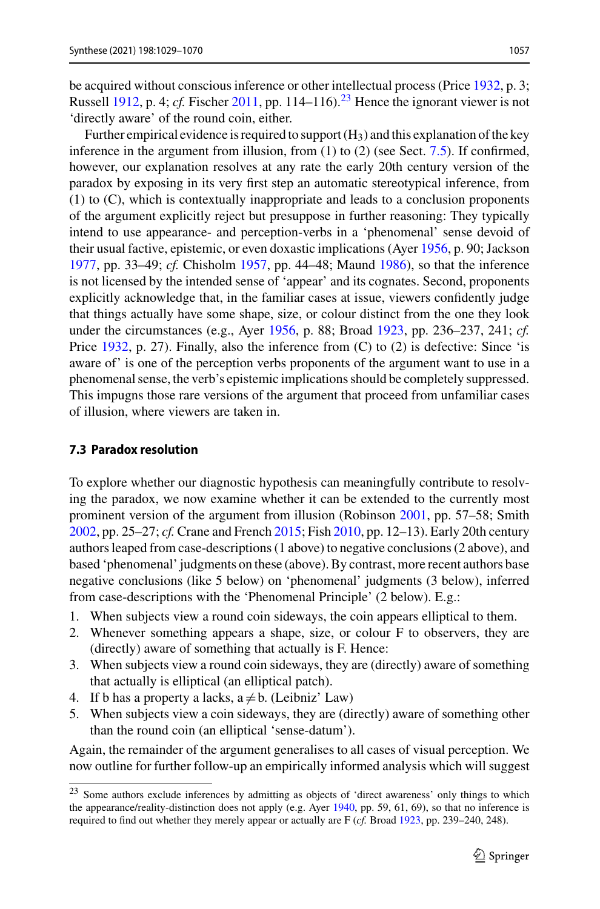be acquired without conscious inference or other intellectual process (Price [1932,](#page-40-3) p. 3; Russell [1912,](#page-40-26) p. 4; *cf.* Fischer [2011,](#page-36-0) pp. 114–116).<sup>[23](#page-28-1)</sup> Hence the ignorant viewer is not 'directly aware' of the round coin, either.

Further empirical evidence is required to support  $(H_3)$  and this explanation of the key inference in the argument from illusion, from (1) to (2) (see Sect. [7.5\)](#page-33-0). If confirmed, however, our explanation resolves at any rate the early 20th century version of the paradox by exposing in its very first step an automatic stereotypical inference, from (1) to (C), which is contextually inappropriate and leads to a conclusion proponents of the argument explicitly reject but presuppose in further reasoning: They typically intend to use appearance- and perception-verbs in a 'phenomenal' sense devoid of their usual factive, epistemic, or even doxastic implications (Ayer [1956,](#page-35-9) p. 90; Jackson [1977,](#page-38-20) pp. 33–49; *cf.* Chisholm [1957,](#page-36-17) pp. 44–48; Maund [1986\)](#page-39-18), so that the inference is not licensed by the intended sense of 'appear' and its cognates. Second, proponents explicitly acknowledge that, in the familiar cases at issue, viewers confidently judge that things actually have some shape, size, or colour distinct from the one they look under the circumstances (e.g., Ayer [1956,](#page-35-9) p. 88; Broad [1923,](#page-35-20) pp. 236–237, 241; *cf.* Price [1932,](#page-40-3) p. 27). Finally, also the inference from (C) to (2) is defective: Since 'is aware of' is one of the perception verbs proponents of the argument want to use in a phenomenal sense, the verb's epistemic implications should be completely suppressed. This impugns those rare versions of the argument that proceed from unfamiliar cases of illusion, where viewers are taken in.

#### <span id="page-28-0"></span>**7.3 Paradox resolution**

To explore whether our diagnostic hypothesis can meaningfully contribute to resolving the paradox, we now examine whether it can be extended to the currently most prominent version of the argument from illusion (Robinson [2001,](#page-40-1) pp. 57–58; Smith [2002,](#page-40-2) pp. 25–27; *cf.* Crane and French [2015;](#page-36-4) Fish [2010,](#page-37-27) pp. 12–13). Early 20th century authors leaped from case-descriptions (1 above) to negative conclusions (2 above), and based 'phenomenal' judgments on these (above). By contrast, more recent authors base negative conclusions (like 5 below) on 'phenomenal' judgments (3 below), inferred from case-descriptions with the 'Phenomenal Principle' (2 below). E.g.:

- 1. When subjects view a round coin sideways, the coin appears elliptical to them.
- 2. Whenever something appears a shape, size, or colour F to observers, they are (directly) aware of something that actually is F. Hence:
- 3. When subjects view a round coin sideways, they are (directly) aware of something that actually is elliptical (an elliptical patch).
- 4. If b has a property a lacks,  $a \neq b$ . (Leibniz' Law)
- 5. When subjects view a coin sideways, they are (directly) aware of something other than the round coin (an elliptical 'sense-datum').

Again, the remainder of the argument generalises to all cases of visual perception. We now outline for further follow-up an empirically informed analysis which will suggest

<span id="page-28-1"></span><sup>23</sup> Some authors exclude inferences by admitting as objects of 'direct awareness' only things to which the appearance/reality-distinction does not apply (e.g. Ayer [1940,](#page-35-16) pp. 59, 61, 69), so that no inference is required to find out whether they merely appear or actually are F (*cf.* Broad [1923,](#page-35-20) pp. 239–240, 248).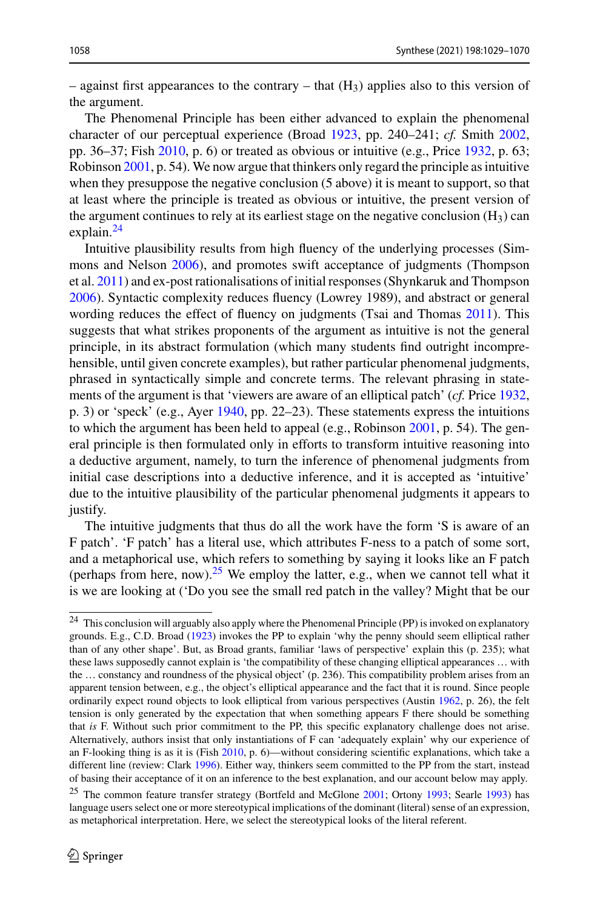– against first appearances to the contrary – that  $(H_3)$  applies also to this version of the argument.

The Phenomenal Principle has been either advanced to explain the phenomenal character of our perceptual experience (Broad [1923,](#page-35-20) pp. 240–241; *cf.* Smith [2002,](#page-40-2) pp. 36–37; Fish [2010,](#page-37-27) p. 6) or treated as obvious or intuitive (e.g., Price [1932,](#page-40-3) p. 63; Robinson [2001,](#page-40-1) p. 54). We now argue that thinkers only regard the principle as intuitive when they presuppose the negative conclusion (5 above) it is meant to support, so that at least where the principle is treated as obvious or intuitive, the present version of the argument continues to rely at its earliest stage on the negative conclusion  $(H_3)$  can explain.<sup>[24](#page-29-0)</sup>

Intuitive plausibility results from high fluency of the underlying processes (Simmons and Nelson [2006\)](#page-40-27), and promotes swift acceptance of judgments (Thompson et al. [2011\)](#page-41-22) and ex-post rationalisations of initial responses (Shynkaruk and Thompson [2006\)](#page-40-28). Syntactic complexity reduces fluency (Lowrey 1989), and abstract or general wording reduces the effect of fluency on judgments (Tsai and Thomas [2011\)](#page-41-23). This suggests that what strikes proponents of the argument as intuitive is not the general principle, in its abstract formulation (which many students find outright incomprehensible, until given concrete examples), but rather particular phenomenal judgments, phrased in syntactically simple and concrete terms. The relevant phrasing in statements of the argument is that 'viewers are aware of an elliptical patch' (*cf.* Price [1932,](#page-40-3) p. 3) or 'speck' (e.g., Ayer [1940,](#page-35-16) pp. 22–23). These statements express the intuitions to which the argument has been held to appeal (e.g., Robinson [2001,](#page-40-1) p. 54). The general principle is then formulated only in efforts to transform intuitive reasoning into a deductive argument, namely, to turn the inference of phenomenal judgments from initial case descriptions into a deductive inference, and it is accepted as 'intuitive' due to the intuitive plausibility of the particular phenomenal judgments it appears to justify.

The intuitive judgments that thus do all the work have the form 'S is aware of an F patch'. 'F patch' has a literal use, which attributes F-ness to a patch of some sort, and a metaphorical use, which refers to something by saying it looks like an F patch (perhaps from here, now).<sup>[25](#page-29-1)</sup> We employ the latter, e.g., when we cannot tell what it is we are looking at ('Do you see the small red patch in the valley? Might that be our

<span id="page-29-0"></span><sup>24</sup> This conclusion will arguably also apply where the Phenomenal Principle (PP) is invoked on explanatory grounds. E.g., C.D. Broad [\(1923\)](#page-35-20) invokes the PP to explain 'why the penny should seem elliptical rather than of any other shape'. But, as Broad grants, familiar 'laws of perspective' explain this (p. 235); what these laws supposedly cannot explain is 'the compatibility of these changing elliptical appearances … with the … constancy and roundness of the physical object' (p. 236). This compatibility problem arises from an apparent tension between, e.g., the object's elliptical appearance and the fact that it is round. Since people ordinarily expect round objects to look elliptical from various perspectives (Austin [1962,](#page-35-0) p. 26), the felt tension is only generated by the expectation that when something appears F there should be something that *is* F. Without such prior commitment to the PP, this specific explanatory challenge does not arise. Alternatively, authors insist that only instantiations of F can 'adequately explain' why our experience of an F-looking thing is as it is (Fish [2010,](#page-37-22) p. 6)—without considering scientific explanations, which take a different line (review: Clark [1996\)](#page-36-23). Either way, thinkers seem committed to the PP from the start, instead of basing their acceptance of it on an inference to the best explanation, and our account below may apply.

<span id="page-29-1"></span><sup>&</sup>lt;sup>25</sup> The common feature transfer strategy (Bortfeld and McGlone [2001;](#page-35-10) Ortony [1993;](#page-40-11) Searle [1993\)](#page-40-25) has language users select one or more stereotypical implications of the dominant (literal) sense of an expression, as metaphorical interpretation. Here, we select the stereotypical looks of the literal referent.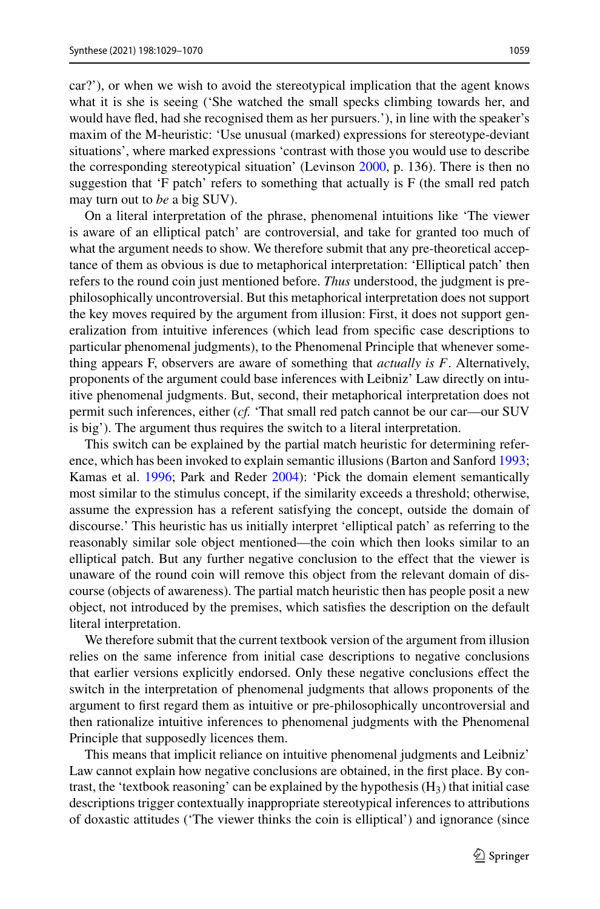car?'), or when we wish to avoid the stereotypical implication that the agent knows what it is she is seeing ('She watched the small specks climbing towards her, and would have fled, had she recognised them as her pursuers.'), in line with the speaker's maxim of the M-heuristic: 'Use unusual (marked) expressions for stereotype-deviant

situations', where marked expressions 'contrast with those you would use to describe the corresponding stereotypical situation' (Levinson [2000,](#page-38-6) p. 136). There is then no suggestion that 'F patch' refers to something that actually is F (the small red patch may turn out to *be* a big SUV).

On a literal interpretation of the phrase, phenomenal intuitions like 'The viewer is aware of an elliptical patch' are controversial, and take for granted too much of what the argument needs to show. We therefore submit that any pre-theoretical acceptance of them as obvious is due to metaphorical interpretation: 'Elliptical patch' then refers to the round coin just mentioned before. *Thus* understood, the judgment is prephilosophically uncontroversial. But this metaphorical interpretation does not support the key moves required by the argument from illusion: First, it does not support generalization from intuitive inferences (which lead from specific case descriptions to particular phenomenal judgments), to the Phenomenal Principle that whenever something appears F, observers are aware of something that *actually is F*. Alternatively, proponents of the argument could base inferences with Leibniz' Law directly on intuitive phenomenal judgments. But, second, their metaphorical interpretation does not permit such inferences, either (*cf.* 'That small red patch cannot be our car—our SUV is big'). The argument thus requires the switch to a literal interpretation.

This switch can be explained by the partial match heuristic for determining reference, which has been invoked to explain semantic illusions (Barton and Sanford [1993;](#page-35-21) Kamas et al. [1996;](#page-38-27) Park and Reder [2004\)](#page-40-29): 'Pick the domain element semantically most similar to the stimulus concept, if the similarity exceeds a threshold; otherwise, assume the expression has a referent satisfying the concept, outside the domain of discourse.' This heuristic has us initially interpret 'elliptical patch' as referring to the reasonably similar sole object mentioned—the coin which then looks similar to an elliptical patch. But any further negative conclusion to the effect that the viewer is unaware of the round coin will remove this object from the relevant domain of discourse (objects of awareness). The partial match heuristic then has people posit a new object, not introduced by the premises, which satisfies the description on the default literal interpretation.

We therefore submit that the current textbook version of the argument from illusion relies on the same inference from initial case descriptions to negative conclusions that earlier versions explicitly endorsed. Only these negative conclusions effect the switch in the interpretation of phenomenal judgments that allows proponents of the argument to first regard them as intuitive or pre-philosophically uncontroversial and then rationalize intuitive inferences to phenomenal judgments with the Phenomenal Principle that supposedly licences them.

This means that implicit reliance on intuitive phenomenal judgments and Leibniz' Law cannot explain how negative conclusions are obtained, in the first place. By contrast, the 'textbook reasoning' can be explained by the hypothesis  $(H_3)$  that initial case descriptions trigger contextually inappropriate stereotypical inferences to attributions of doxastic attitudes ('The viewer thinks the coin is elliptical') and ignorance (since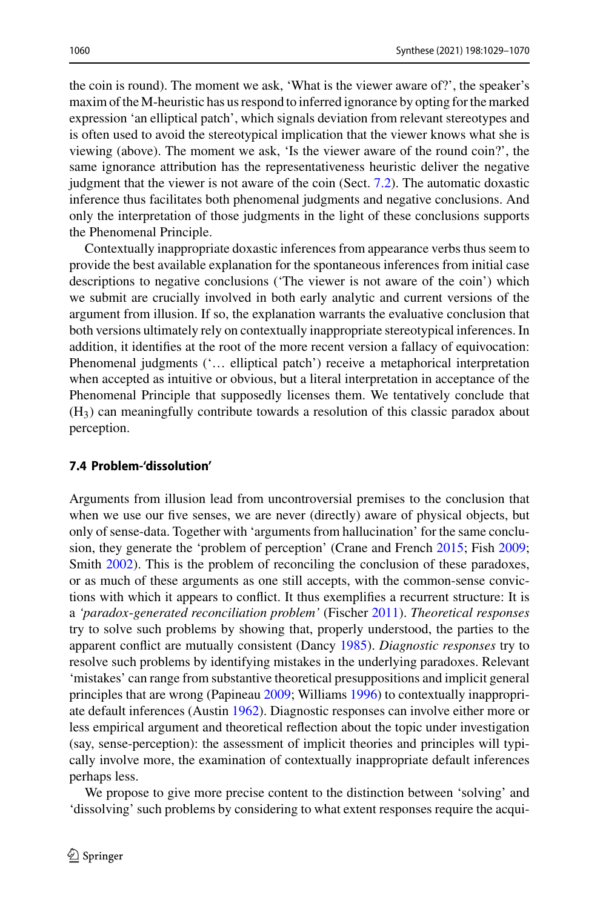the coin is round). The moment we ask, 'What is the viewer aware of?', the speaker's maxim of the M-heuristic has us respond to inferred ignorance by opting for the marked expression 'an elliptical patch', which signals deviation from relevant stereotypes and is often used to avoid the stereotypical implication that the viewer knows what she is viewing (above). The moment we ask, 'Is the viewer aware of the round coin?', the same ignorance attribution has the representativeness heuristic deliver the negative judgment that the viewer is not aware of the coin (Sect. [7.2\)](#page-24-0). The automatic doxastic inference thus facilitates both phenomenal judgments and negative conclusions. And only the interpretation of those judgments in the light of these conclusions supports the Phenomenal Principle.

Contextually inappropriate doxastic inferences from appearance verbs thus seem to provide the best available explanation for the spontaneous inferences from initial case descriptions to negative conclusions ('The viewer is not aware of the coin') which we submit are crucially involved in both early analytic and current versions of the argument from illusion. If so, the explanation warrants the evaluative conclusion that both versions ultimately rely on contextually inappropriate stereotypical inferences. In addition, it identifies at the root of the more recent version a fallacy of equivocation: Phenomenal judgments ('… elliptical patch') receive a metaphorical interpretation when accepted as intuitive or obvious, but a literal interpretation in acceptance of the Phenomenal Principle that supposedly licenses them. We tentatively conclude that  $(H<sub>3</sub>)$  can meaningfully contribute towards a resolution of this classic paradox about perception.

#### <span id="page-31-0"></span>**7.4 Problem-'dissolution'**

Arguments from illusion lead from uncontroversial premises to the conclusion that when we use our five senses, we are never (directly) aware of physical objects, but only of sense-data. Together with 'arguments from hallucination' for the same conclusion, they generate the 'problem of perception' (Crane and French [2015;](#page-36-4) Fish [2009;](#page-37-6) Smith [2002\)](#page-40-2). This is the problem of reconciling the conclusion of these paradoxes, or as much of these arguments as one still accepts, with the common-sense convictions with which it appears to conflict. It thus exemplifies a recurrent structure: It is a *'paradox*-*generated reconciliation problem'* (Fischer [2011\)](#page-36-0). *Theoretical responses* try to solve such problems by showing that, properly understood, the parties to the apparent conflict are mutually consistent (Dancy [1985\)](#page-36-24). *Diagnostic responses* try to resolve such problems by identifying mistakes in the underlying paradoxes. Relevant 'mistakes' can range from substantive theoretical presuppositions and implicit general principles that are wrong (Papineau [2009;](#page-40-30) Williams [1996\)](#page-41-24) to contextually inappropriate default inferences (Austin [1962\)](#page-35-0). Diagnostic responses can involve either more or less empirical argument and theoretical reflection about the topic under investigation (say, sense-perception): the assessment of implicit theories and principles will typically involve more, the examination of contextually inappropriate default inferences perhaps less.

We propose to give more precise content to the distinction between 'solving' and 'dissolving' such problems by considering to what extent responses require the acqui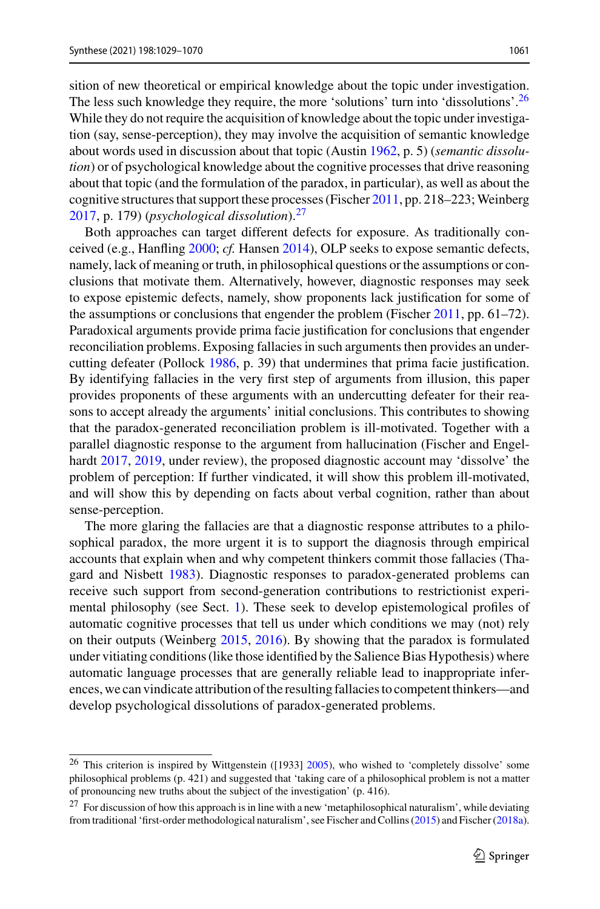sition of new theoretical or empirical knowledge about the topic under investigation. The less such knowledge they require, the more 'solutions' turn into 'dissolutions'.<sup>26</sup> While they do not require the acquisition of knowledge about the topic under investigation (say, sense-perception), they may involve the acquisition of semantic knowledge about words used in discussion about that topic (Austin [1962,](#page-35-0) p. 5) (*semantic dissolution*) or of psychological knowledge about the cognitive processes that drive reasoning about that topic (and the formulation of the paradox, in particular), as well as about the cognitive structures that support these processes (Fischer [2011,](#page-36-0) pp. 218-223; Weinberg [2017,](#page-41-3) p. 179) (*psychological dissolution*).[27](#page-32-1)

Both approaches can target different defects for exposure. As traditionally conceived (e.g., Hanfling [2000;](#page-37-28) *cf.* Hansen [2014\)](#page-37-2), OLP seeks to expose semantic defects, namely, lack of meaning or truth, in philosophical questions or the assumptions or conclusions that motivate them. Alternatively, however, diagnostic responses may seek to expose epistemic defects, namely, show proponents lack justification for some of the assumptions or conclusions that engender the problem (Fischer [2011,](#page-36-0) pp. 61–72). Paradoxical arguments provide prima facie justification for conclusions that engender reconciliation problems. Exposing fallacies in such arguments then provides an undercutting defeater (Pollock [1986,](#page-40-31) p. 39) that undermines that prima facie justification. By identifying fallacies in the very first step of arguments from illusion, this paper provides proponents of these arguments with an undercutting defeater for their reasons to accept already the arguments' initial conclusions. This contributes to showing that the paradox-generated reconciliation problem is ill-motivated. Together with a parallel diagnostic response to the argument from hallucination (Fischer and Engelhardt [2017,](#page-37-5) [2019,](#page-37-15) under review), the proposed diagnostic account may 'dissolve' the problem of perception: If further vindicated, it will show this problem ill-motivated, and will show this by depending on facts about verbal cognition, rather than about sense-perception.

The more glaring the fallacies are that a diagnostic response attributes to a philosophical paradox, the more urgent it is to support the diagnosis through empirical accounts that explain when and why competent thinkers commit those fallacies (Thagard and Nisbett [1983\)](#page-41-11). Diagnostic responses to paradox-generated problems can receive such support from second-generation contributions to restrictionist experimental philosophy (see Sect. [1\)](#page-1-2). These seek to develop epistemological profiles of automatic cognitive processes that tell us under which conditions we may (not) rely on their outputs (Weinberg [2015,](#page-41-5) [2016\)](#page-41-6). By showing that the paradox is formulated under vitiating conditions (like those identified by the Salience Bias Hypothesis) where automatic language processes that are generally reliable lead to inappropriate inferences, we can vindicate attribution of the resulting fallacies to competent thinkers—and develop psychological dissolutions of paradox-generated problems.

<span id="page-32-0"></span><sup>&</sup>lt;sup>26</sup> This criterion is inspired by Wittgenstein ([1933] [2005\)](#page-41-25), who wished to 'completely dissolve' some philosophical problems (p. 421) and suggested that 'taking care of a philosophical problem is not a matter of pronouncing new truths about the subject of the investigation' (p. 416).

<span id="page-32-1"></span><sup>&</sup>lt;sup>27</sup> For discussion of how this approach is in line with a new 'metaphilosophical naturalism', while deviating from traditional 'first-order methodological naturalism', see Fischer and Collins [\(2015\)](#page-36-25) and Fischer [\(2018a\)](#page-36-26).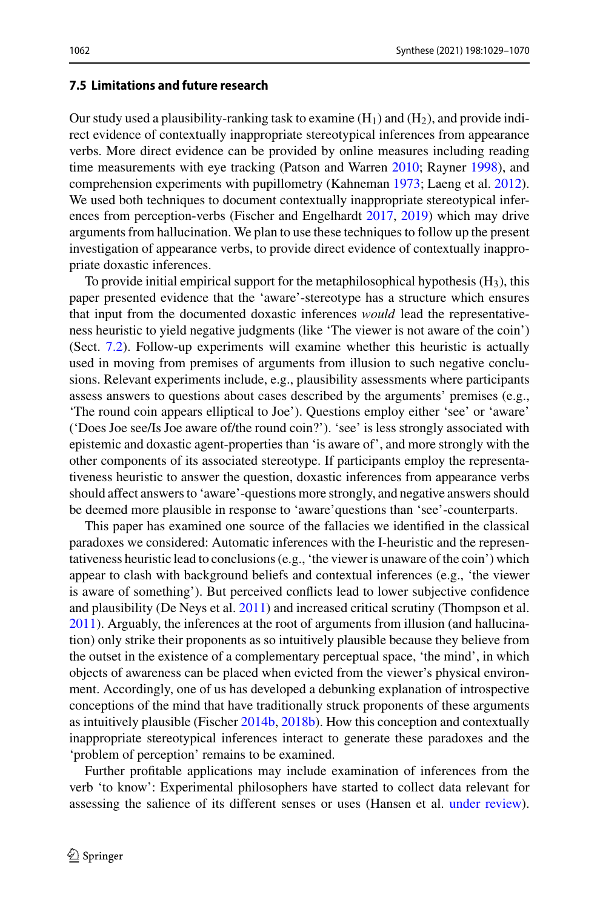### <span id="page-33-0"></span>**7.5 Limitations and future research**

Our study used a plausibility-ranking task to examine  $(H_1)$  and  $(H_2)$ , and provide indirect evidence of contextually inappropriate stereotypical inferences from appearance verbs. More direct evidence can be provided by online measures including reading time measurements with eye tracking (Patson and Warren [2010;](#page-40-4) Rayner [1998\)](#page-40-5), and comprehension experiments with pupillometry (Kahneman [1973;](#page-38-28) Laeng et al. [2012\)](#page-38-29). We used both techniques to document contextually inappropriate stereotypical inferences from perception-verbs (Fischer and Engelhardt [2017,](#page-37-5) [2019\)](#page-37-15) which may drive arguments from hallucination. We plan to use these techniques to follow up the present investigation of appearance verbs, to provide direct evidence of contextually inappropriate doxastic inferences.

To provide initial empirical support for the metaphilosophical hypothesis  $(H_3)$ , this paper presented evidence that the 'aware'-stereotype has a structure which ensures that input from the documented doxastic inferences *would* lead the representativeness heuristic to yield negative judgments (like 'The viewer is not aware of the coin') (Sect. [7.2\)](#page-24-0). Follow-up experiments will examine whether this heuristic is actually used in moving from premises of arguments from illusion to such negative conclusions. Relevant experiments include, e.g., plausibility assessments where participants assess answers to questions about cases described by the arguments' premises (e.g., 'The round coin appears elliptical to Joe'). Questions employ either 'see' or 'aware' ('Does Joe see/Is Joe aware of/the round coin?'). 'see' is less strongly associated with epistemic and doxastic agent-properties than 'is aware of', and more strongly with the other components of its associated stereotype. If participants employ the representativeness heuristic to answer the question, doxastic inferences from appearance verbs should affect answers to 'aware'-questions more strongly, and negative answers should be deemed more plausible in response to 'aware'questions than 'see'-counterparts.

This paper has examined one source of the fallacies we identified in the classical paradoxes we considered: Automatic inferences with the I-heuristic and the representativeness heuristic lead to conclusions (e.g., 'the viewer is unaware of the coin') which appear to clash with background beliefs and contextual inferences (e.g., 'the viewer is aware of something'). But perceived conflicts lead to lower subjective confidence and plausibility (De Neys et al. [2011\)](#page-36-27) and increased critical scrutiny (Thompson et al. [2011\)](#page-41-22). Arguably, the inferences at the root of arguments from illusion (and hallucination) only strike their proponents as so intuitively plausible because they believe from the outset in the existence of a complementary perceptual space, 'the mind', in which objects of awareness can be placed when evicted from the viewer's physical environment. Accordingly, one of us has developed a debunking explanation of introspective conceptions of the mind that have traditionally struck proponents of these arguments as intuitively plausible (Fischer [2014b,](#page-36-28) [2018b\)](#page-36-29). How this conception and contextually inappropriate stereotypical inferences interact to generate these paradoxes and the 'problem of perception' remains to be examined.

Further profitable applications may include examination of inferences from the verb 'to know': Experimental philosophers have started to collect data relevant for assessing the salience of its different senses or uses (Hansen et al. [under review\)](#page-38-30).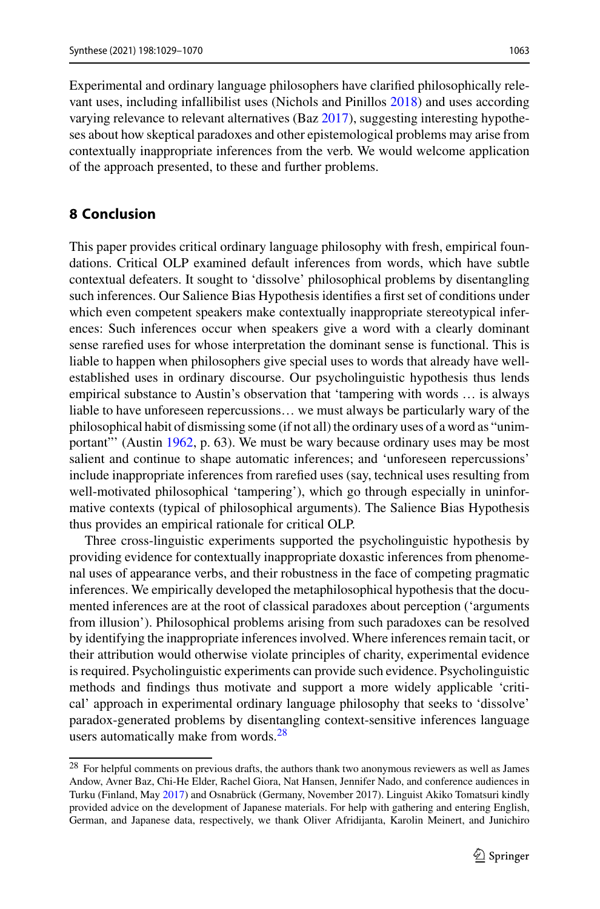Experimental and ordinary language philosophers have clarified philosophically relevant uses, including infallibilist uses (Nichols and Pinillos [2018\)](#page-39-27) and uses according varying relevance to relevant alternatives (Baz [2017\)](#page-35-12), suggesting interesting hypotheses about how skeptical paradoxes and other epistemological problems may arise from contextually inappropriate inferences from the verb. We would welcome application of the approach presented, to these and further problems.

## **8 Conclusion**

This paper provides critical ordinary language philosophy with fresh, empirical foundations. Critical OLP examined default inferences from words, which have subtle contextual defeaters. It sought to 'dissolve' philosophical problems by disentangling such inferences. Our Salience Bias Hypothesis identifies a first set of conditions under which even competent speakers make contextually inappropriate stereotypical inferences: Such inferences occur when speakers give a word with a clearly dominant sense rarefied uses for whose interpretation the dominant sense is functional. This is liable to happen when philosophers give special uses to words that already have wellestablished uses in ordinary discourse. Our psycholinguistic hypothesis thus lends empirical substance to Austin's observation that 'tampering with words … is always liable to have unforeseen repercussions… we must always be particularly wary of the philosophical habit of dismissing some (if not all) the ordinary uses of a word as "unimportant"' (Austin [1962,](#page-35-0) p. 63). We must be wary because ordinary uses may be most salient and continue to shape automatic inferences; and 'unforeseen repercussions' include inappropriate inferences from rarefied uses (say, technical uses resulting from well-motivated philosophical 'tampering'), which go through especially in uninformative contexts (typical of philosophical arguments). The Salience Bias Hypothesis thus provides an empirical rationale for critical OLP.

Three cross-linguistic experiments supported the psycholinguistic hypothesis by providing evidence for contextually inappropriate doxastic inferences from phenomenal uses of appearance verbs, and their robustness in the face of competing pragmatic inferences. We empirically developed the metaphilosophical hypothesis that the documented inferences are at the root of classical paradoxes about perception ('arguments from illusion'). Philosophical problems arising from such paradoxes can be resolved by identifying the inappropriate inferences involved. Where inferences remain tacit, or their attribution would otherwise violate principles of charity, experimental evidence is required. Psycholinguistic experiments can provide such evidence. Psycholinguistic methods and findings thus motivate and support a more widely applicable 'critical' approach in experimental ordinary language philosophy that seeks to 'dissolve' paradox-generated problems by disentangling context-sensitive inferences language users automatically make from words.<sup>[28](#page-34-0)</sup>

<span id="page-34-0"></span><sup>&</sup>lt;sup>28</sup> For helpful comments on previous drafts, the authors thank two anonymous reviewers as well as James Andow, Avner Baz, Chi-He Elder, Rachel Giora, Nat Hansen, Jennifer Nado, and conference audiences in Turku (Finland, May [2017\)](#page-37-29) and Osnabrück (Germany, November 2017). Linguist Akiko Tomatsuri kindly provided advice on the development of Japanese materials. For help with gathering and entering English, German, and Japanese data, respectively, we thank Oliver Afridijanta, Karolin Meinert, and Junichiro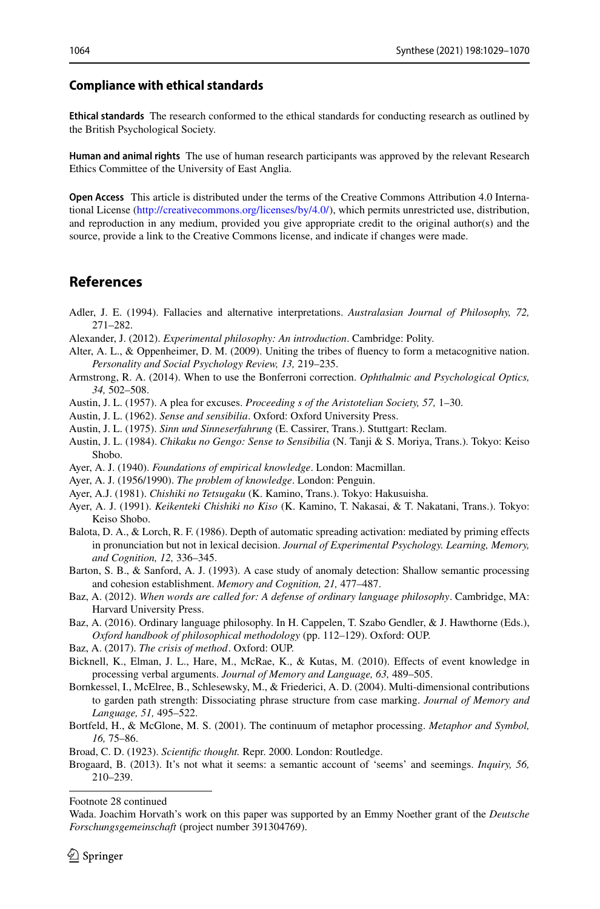#### **Compliance with ethical standards**

**Ethical standards** The research conformed to the ethical standards for conducting research as outlined by the British Psychological Society.

**Human and animal rights** The use of human research participants was approved by the relevant Research Ethics Committee of the University of East Anglia.

**Open Access** This article is distributed under the terms of the Creative Commons Attribution 4.0 International License [\(http://creativecommons.org/licenses/by/4.0/\)](http://creativecommons.org/licenses/by/4.0/), which permits unrestricted use, distribution, and reproduction in any medium, provided you give appropriate credit to the original author(s) and the source, provide a link to the Creative Commons license, and indicate if changes were made.

### **References**

- <span id="page-35-7"></span>Adler, J. E. (1994). Fallacies and alternative interpretations. *Australasian Journal of Philosophy, 72,* 271–282.
- <span id="page-35-3"></span>Alexander, J. (2012). *Experimental philosophy: An introduction*. Cambridge: Polity.
- <span id="page-35-13"></span>Alter, A. L., & Oppenheimer, D. M. (2009). Uniting the tribes of fluency to form a metacognitive nation. *Personality and Social Psychology Review, 13,* 219–235.
- <span id="page-35-14"></span>Armstrong, R. A. (2014). When to use the Bonferroni correction. *Ophthalmic and Psychological Optics, 34,* 502–508.
- <span id="page-35-4"></span>Austin, J. L. (1957). A plea for excuses. *Proceeding s of the Aristotelian Society, 57,* 1–30.
- <span id="page-35-0"></span>Austin, J. L. (1962). *Sense and sensibilia*. Oxford: Oxford University Press.
- <span id="page-35-15"></span>Austin, J. L. (1975). *Sinn und Sinneserfahrung* (E. Cassirer, Trans.). Stuttgart: Reclam.
- <span id="page-35-17"></span>Austin, J. L. (1984). *Chikaku no Gengo: Sense to Sensibilia* (N. Tanji & S. Moriya, Trans.). Tokyo: Keiso Shobo.
- <span id="page-35-16"></span>Ayer, A. J. (1940). *Foundations of empirical knowledge*. London: Macmillan.
- <span id="page-35-9"></span>Ayer, A. J. (1956/1990). *The problem of knowledge*. London: Penguin.
- <span id="page-35-19"></span>Ayer, A.J. (1981). *Chishiki no Tetsugaku* (K. Kamino, Trans.). Tokyo: Hakusuisha.
- <span id="page-35-18"></span>Ayer, A. J. (1991). *Keikenteki Chishiki no Kiso* (K. Kamino, T. Nakasai, & T. Nakatani, Trans.). Tokyo: Keiso Shobo.
- <span id="page-35-5"></span>Balota, D. A., & Lorch, R. F. (1986). Depth of automatic spreading activation: mediated by priming effects in pronunciation but not in lexical decision. *Journal of Experimental Psychology. Learning, Memory, and Cognition, 12,* 336–345.
- <span id="page-35-21"></span>Barton, S. B., & Sanford, A. J. (1993). A case study of anomaly detection: Shallow semantic processing and cohesion establishment. *Memory and Cognition, 21,* 477–487.
- <span id="page-35-1"></span>Baz, A. (2012). *When words are called for: A defense of ordinary language philosophy*. Cambridge, MA: Harvard University Press.
- <span id="page-35-2"></span>Baz, A. (2016). Ordinary language philosophy. In H. Cappelen, T. Szabo Gendler, & J. Hawthorne (Eds.), *Oxford handbook of philosophical methodology* (pp. 112–129). Oxford: OUP.
- <span id="page-35-12"></span>Baz, A. (2017). *The crisis of method*. Oxford: OUP.
- <span id="page-35-6"></span>Bicknell, K., Elman, J. L., Hare, M., McRae, K., & Kutas, M. (2010). Effects of event knowledge in processing verbal arguments. *Journal of Memory and Language, 63,* 489–505.
- <span id="page-35-11"></span>Bornkessel, I., McElree, B., Schlesewsky, M., & Friederici, A. D. (2004). Multi-dimensional contributions to garden path strength: Dissociating phrase structure from case marking. *Journal of Memory and Language, 51,* 495–522.
- <span id="page-35-10"></span>Bortfeld, H., & McGlone, M. S. (2001). The continuum of metaphor processing. *Metaphor and Symbol, 16,* 75–86.
- <span id="page-35-20"></span>Broad, C. D. (1923). *Scientific thought.* Repr. 2000. London: Routledge.
- <span id="page-35-8"></span>Brogaard, B. (2013). It's not what it seems: a semantic account of 'seems' and seemings. *Inquiry, 56,* 210–239.

Footnote 28 continued

Wada. Joachim Horvath's work on this paper was supported by an Emmy Noether grant of the *Deutsche Forschungsgemeinschaft* (project number 391304769).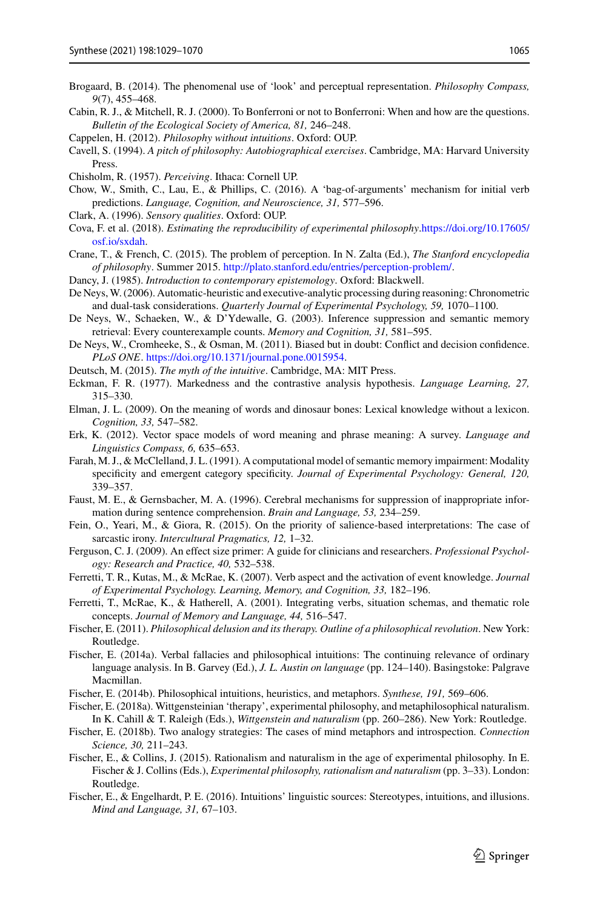- <span id="page-36-14"></span>Brogaard, B. (2014). The phenomenal use of 'look' and perceptual representation. *Philosophy Compass, 9*(7), 455–468.
- <span id="page-36-20"></span>Cabin, R. J., & Mitchell, R. J. (2000). To Bonferroni or not to Bonferroni: When and how are the questions. *Bulletin of the Ecological Society of America, 81,* 246–248.
- <span id="page-36-2"></span>Cappelen, H. (2012). *Philosophy without intuitions*. Oxford: OUP.
- <span id="page-36-22"></span>Cavell, S. (1994). *A pitch of philosophy: Autobiographical exercises*. Cambridge, MA: Harvard University Press.
- <span id="page-36-17"></span>Chisholm, R. (1957). *Perceiving*. Ithaca: Cornell UP.
- <span id="page-36-8"></span>Chow, W., Smith, C., Lau, E., & Phillips, C. (2016). A 'bag-of-arguments' mechanism for initial verb predictions. *Language, Cognition, and Neuroscience, 31,* 577–596.
- <span id="page-36-23"></span>Clark, A. (1996). *Sensory qualities*. Oxford: OUP.
- <span id="page-36-1"></span>Cova, F. et al. (2018). *[Estimating the reproducibility of experimental philosophy](https://doi.org/10.17605/osf.io/sxdah)*.https://doi.org/10.17605/ osf.io/sxdah.
- <span id="page-36-4"></span>Crane, T., & French, C. (2015). The problem of perception. In N. Zalta (Ed.), *The Stanford encyclopedia of philosophy*. Summer 2015. [http://plato.stanford.edu/entries/perception-problem/.](http://plato.stanford.edu/entries/perception-problem/)
- <span id="page-36-24"></span>Dancy, J. (1985). *Introduction to contemporary epistemology*. Oxford: Blackwell.
- <span id="page-36-19"></span>De Neys,W. (2006). Automatic-heuristic and executive-analytic processing during reasoning: Chronometric and dual-task considerations. *Quarterly Journal of Experimental Psychology, 59,* 1070–1100.
- <span id="page-36-13"></span>De Neys, W., Schaeken, W., & D'Ydewalle, G. (2003). Inference suppression and semantic memory retrieval: Every counterexample counts. *Memory and Cognition, 31,* 581–595.
- <span id="page-36-27"></span>De Neys, W., Cromheeke, S., & Osman, M. (2011). Biased but in doubt: Conflict and decision confidence. *PLoS ONE*. [https://doi.org/10.1371/journal.pone.0015954.](https://doi.org/10.1371/journal.pone.0015954)
- <span id="page-36-3"></span>Deutsch, M. (2015). *The myth of the intuitive*. Cambridge, MA: MIT Press.
- <span id="page-36-18"></span>Eckman, F. R. (1977). Markedness and the contrastive analysis hypothesis. *Language Learning, 27,* 315–330.
- <span id="page-36-10"></span>Elman, J. L. (2009). On the meaning of words and dinosaur bones: Lexical knowledge without a lexicon. *Cognition, 33,* 547–582.
- <span id="page-36-15"></span>Erk, K. (2012). Vector space models of word meaning and phrase meaning: A survey. *Language and Linguistics Compass, 6,* 635–653.
- <span id="page-36-12"></span>Farah, M. J., & McClelland, J. L. (1991). A computational model of semantic memory impairment: Modality specificity and emergent category specificity. *Journal of Experimental Psychology: General, 120,* 339–357.
- <span id="page-36-11"></span>Faust, M. E., & Gernsbacher, M. A. (1996). Cerebral mechanisms for suppression of inappropriate information during sentence comprehension. *Brain and Language, 53,* 234–259.
- <span id="page-36-5"></span>Fein, O., Yeari, M., & Giora, R. (2015). On the priority of salience-based interpretations: The case of sarcastic irony. *Intercultural Pragmatics, 12,* 1–32.
- <span id="page-36-21"></span>Ferguson, C. J. (2009). An effect size primer: A guide for clinicians and researchers. *Professional Psychology: Research and Practice, 40,* 532–538.
- <span id="page-36-9"></span>Ferretti, T. R., Kutas, M., & McRae, K. (2007). Verb aspect and the activation of event knowledge. *Journal of Experimental Psychology. Learning, Memory, and Cognition, 33,* 182–196.
- <span id="page-36-7"></span>Ferretti, T., McRae, K., & Hatherell, A. (2001). Integrating verbs, situation schemas, and thematic role concepts. *Journal of Memory and Language, 44,* 516–547.
- <span id="page-36-0"></span>Fischer, E. (2011). *Philosophical delusion and its therapy. Outline of a philosophical revolution*. New York: Routledge.
- <span id="page-36-6"></span>Fischer, E. (2014a). Verbal fallacies and philosophical intuitions: The continuing relevance of ordinary language analysis. In B. Garvey (Ed.), *J. L. Austin on language* (pp. 124–140). Basingstoke: Palgrave Macmillan.
- <span id="page-36-28"></span>Fischer, E. (2014b). Philosophical intuitions, heuristics, and metaphors. *Synthese, 191,* 569–606.
- <span id="page-36-26"></span>Fischer, E. (2018a). Wittgensteinian 'therapy', experimental philosophy, and metaphilosophical naturalism. In K. Cahill & T. Raleigh (Eds.), *Wittgenstein and naturalism* (pp. 260–286). New York: Routledge.
- <span id="page-36-29"></span>Fischer, E. (2018b). Two analogy strategies: The cases of mind metaphors and introspection. *Connection Science, 30,* 211–243.
- <span id="page-36-25"></span>Fischer, E., & Collins, J. (2015). Rationalism and naturalism in the age of experimental philosophy. In E. Fischer & J. Collins (Eds.), *Experimental philosophy, rationalism and naturalism* (pp. 3–33). London: Routledge.
- <span id="page-36-16"></span>Fischer, E., & Engelhardt, P. E. (2016). Intuitions' linguistic sources: Stereotypes, intuitions, and illusions. *Mind and Language, 31,* 67–103.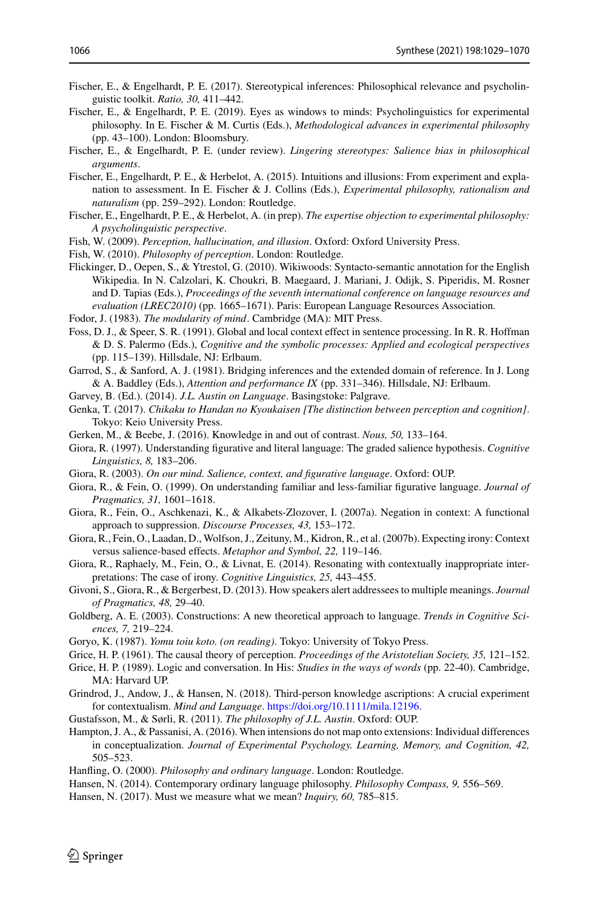- <span id="page-37-5"></span>Fischer, E., & Engelhardt, P. E. (2017). Stereotypical inferences: Philosophical relevance and psycholinguistic toolkit. *Ratio, 30,* 411–442.
- <span id="page-37-15"></span>Fischer, E., & Engelhardt, P. E. (2019). Eyes as windows to minds: Psycholinguistics for experimental philosophy. In E. Fischer & M. Curtis (Eds.), *Methodological advances in experimental philosophy* (pp. 43–100). London: Bloomsbury.
- <span id="page-37-19"></span>Fischer, E., & Engelhardt, P. E. (under review). *Lingering stereotypes: Salience bias in philosophical arguments*.
- <span id="page-37-21"></span>Fischer, E., Engelhardt, P. E., & Herbelot, A. (2015). Intuitions and illusions: From experiment and explanation to assessment. In E. Fischer & J. Collins (Eds.), *Experimental philosophy, rationalism and naturalism* (pp. 259–292). London: Routledge.
- Fischer, E., Engelhardt, P. E., & Herbelot, A. (in prep). *The expertise objection to experimental philosophy: A psycholinguistic perspective*.
- <span id="page-37-6"></span>Fish, W. (2009). *Perception, hallucination, and illusion*. Oxford: Oxford University Press.
- <span id="page-37-27"></span>Fish, W. (2010). *Philosophy of perception*. London: Routledge.
- <span id="page-37-22"></span>Flickinger, D., Oepen, S., & Ytrestol, G. (2010). Wikiwoods: Syntacto-semantic annotation for the English Wikipedia. In N. Calzolari, K. Choukri, B. Maegaard, J. Mariani, J. Odijk, S. Piperidis, M. Rosner and D. Tapias (Eds.), *Proceedings of the seventh international conference on language resources and evaluation (LREC2010)* (pp. 1665–1671). Paris: European Language Resources Association.
- <span id="page-37-11"></span>Fodor, J. (1983). *The modularity of mind*. Cambridge (MA): MIT Press.
- <span id="page-37-20"></span>Foss, D. J., & Speer, S. R. (1991). Global and local context effect in sentence processing. In R. R. Hoffman & D. S. Palermo (Eds.), *Cognitive and the symbolic processes: Applied and ecological perspectives* (pp. 115–139). Hillsdale, NJ: Erlbaum.
- <span id="page-37-9"></span>Garrod, S., & Sanford, A. J. (1981). Bridging inferences and the extended domain of reference. In J. Long & A. Baddley (Eds.), *Attention and performance IX* (pp. 331–346). Hillsdale, NJ: Erlbaum.
- <span id="page-37-0"></span>Garvey, B. (Ed.). (2014). *J.L. Austin on Language*. Basingstoke: Palgrave.
- <span id="page-37-25"></span>Genka, T. (2017). *Chikaku to Handan no Kyoukaisen [The distinction between perception and cognition]*. Tokyo: Keio University Press.
- <span id="page-37-3"></span>Gerken, M., & Beebe, J. (2016). Knowledge in and out of contrast. *Nous, 50,* 133–164.
- <span id="page-37-12"></span>Giora, R. (1997). Understanding figurative and literal language: The graded salience hypothesis. *Cognitive Linguistics, 8,* 183–206.
- <span id="page-37-7"></span>Giora, R. (2003). *On our mind. Salience, context, and figurative language*. Oxford: OUP.
- <span id="page-37-16"></span>Giora, R., & Fein, O. (1999). On understanding familiar and less-familiar figurative language. *Journal of Pragmatics, 31,* 1601–1618.
- <span id="page-37-18"></span>Giora, R., Fein, O., Aschkenazi, K., & Alkabets-Zlozover, I. (2007a). Negation in context: A functional approach to suppression. *Discourse Processes, 43,* 153–172.
- <span id="page-37-17"></span>Giora, R., Fein, O., Laadan, D., Wolfson, J., Zeituny, M., Kidron, R., et al. (2007b). Expecting irony: Context versus salience-based effects. *Metaphor and Symbol, 22,* 119–146.
- <span id="page-37-14"></span>Giora, R., Raphaely, M., Fein, O., & Livnat, E. (2014). Resonating with contextually inappropriate interpretations: The case of irony. *Cognitive Linguistics, 25,* 443–455.
- <span id="page-37-13"></span>Givoni, S., Giora, R., & Bergerbest, D. (2013). How speakers alert addressees to multiple meanings. *Journal of Pragmatics, 48,* 29–40.
- <span id="page-37-10"></span>Goldberg, A. E. (2003). Constructions: A new theoretical approach to language. *Trends in Cognitive Sciences, 7,* 219–224.
- <span id="page-37-26"></span>Goryo, K. (1987). *Yomu toiu koto. (on reading)*. Tokyo: University of Tokyo Press.

- <span id="page-37-23"></span>Grice, H. P. (1989). Logic and conversation. In His: *Studies in the ways of words* (pp. 22-40). Cambridge, MA: Harvard UP.
- <span id="page-37-4"></span>Grindrod, J., Andow, J., & Hansen, N. (2018). Third-person knowledge ascriptions: A crucial experiment for contextualism. *Mind and Language*. [https://doi.org/10.1111/mila.12196.](https://doi.org/10.1111/mila.12196)
- <span id="page-37-1"></span>Gustafsson, M., & Sørli, R. (2011). *The philosophy of J.L. Austin*. Oxford: OUP.
- <span id="page-37-8"></span>Hampton, J. A., & Passanisi, A. (2016). When intensions do not map onto extensions: Individual differences in conceptualization. *Journal of Experimental Psychology. Learning, Memory, and Cognition, 42,* 505–523.
- <span id="page-37-28"></span>Hanfling, O. (2000). *Philosophy and ordinary language*. London: Routledge.
- <span id="page-37-2"></span>Hansen, N. (2014). Contemporary ordinary language philosophy. *Philosophy Compass, 9,* 556–569.
- <span id="page-37-29"></span>Hansen, N. (2017). Must we measure what we mean? *Inquiry, 60,* 785–815.

<span id="page-37-24"></span>Grice, H. P. (1961). The causal theory of perception. *Proceedings of the Aristotelian Society, 35,* 121–152.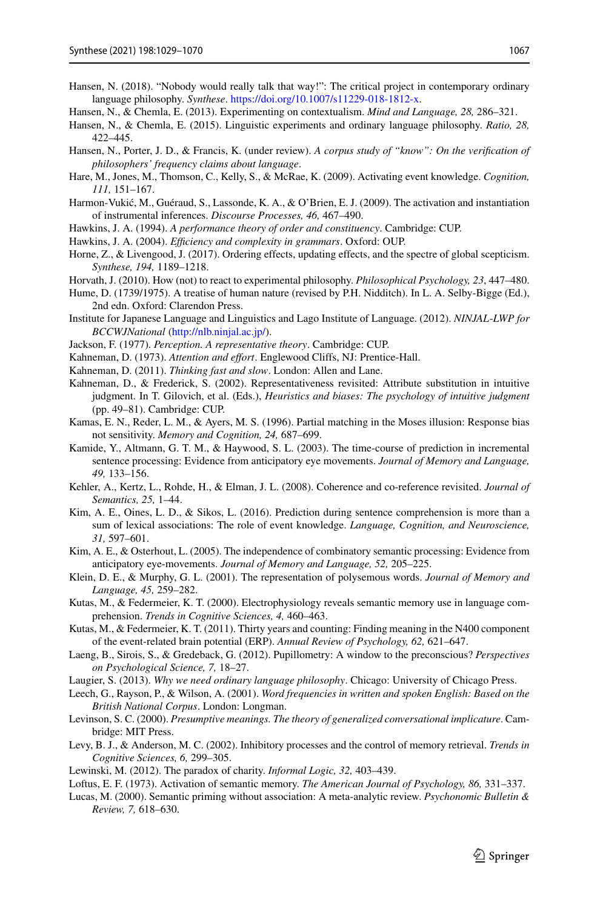- <span id="page-38-0"></span>Hansen, N. (2018). "Nobody would really talk that way!": The critical project in contemporary ordinary language philosophy. *Synthese*. [https://doi.org/10.1007/s11229-018-1812-x.](https://doi.org/10.1007/s11229-018-1812-x)
- <span id="page-38-4"></span>Hansen, N., & Chemla, E. (2013). Experimenting on contextualism. *Mind and Language, 28,* 286–321.
- <span id="page-38-2"></span>Hansen, N., & Chemla, E. (2015). Linguistic experiments and ordinary language philosophy. *Ratio, 28,* 422–445.
- <span id="page-38-30"></span>Hansen, N., Porter, J. D., & Francis, K. (under review). *A corpus study of "know": On the verification of philosophers' frequency claims about language*.
- <span id="page-38-7"></span>Hare, M., Jones, M., Thomson, C., Kelly, S., & McRae, K. (2009). Activating event knowledge. *Cognition, 111,* 151–167.
- <span id="page-38-10"></span>Harmon-Vukić, M., Guéraud, S., Lassonde, K. A., & O'Brien, E. J. (2009). The activation and instantiation of instrumental inferences. *Discourse Processes, 46,* 467–490.
- <span id="page-38-21"></span>Hawkins, J. A. (1994). *A performance theory of order and constituency*. Cambridge: CUP.
- <span id="page-38-22"></span>Hawkins, J. A. (2004). *Efficiency and complexity in grammars*. Oxford: OUP.
- <span id="page-38-5"></span>Horne, Z., & Livengood, J. (2017). Ordering effects, updating effects, and the spectre of global scepticism. *Synthese, 194,* 1189–1218.
- <span id="page-38-3"></span>Horvath, J. (2010). How (not) to react to experimental philosophy. *Philosophical Psychology, 23*, 447–480.
- <span id="page-38-25"></span>Hume, D. (1739/1975). A treatise of human nature (revised by P.H. Nidditch). In L. A. Selby-Bigge (Ed.), 2nd edn. Oxford: Clarendon Press.
- Institute for Japanese Language and Linguistics and Lago Institute of Language. (2012). *NINJAL*-*LWP for BCCWJNational* [\(http://nlb.ninjal.ac.jp/\)](http://nlb.ninjal.ac.jp/).
- <span id="page-38-20"></span>Jackson, F. (1977). *Perception. A representative theory*. Cambridge: CUP.
- <span id="page-38-28"></span>Kahneman, D. (1973). *Attention and effort*. Englewood Cliffs, NJ: Prentice-Hall.
- <span id="page-38-24"></span>Kahneman, D. (2011). *Thinking fast and slow*. London: Allen and Lane.
- <span id="page-38-26"></span>Kahneman, D., & Frederick, S. (2002). Representativeness revisited: Attribute substitution in intuitive judgment. In T. Gilovich, et al. (Eds.), *Heuristics and biases: The psychology of intuitive judgment* (pp. 49–81). Cambridge: CUP.
- <span id="page-38-27"></span>Kamas, E. N., Reder, L. M., & Ayers, M. S. (1996). Partial matching in the Moses illusion: Response bias not sensitivity. *Memory and Cognition, 24,* 687–699.
- <span id="page-38-12"></span>Kamide, Y., Altmann, G. T. M., & Haywood, S. L. (2003). The time-course of prediction in incremental sentence processing: Evidence from anticipatory eye movements. *Journal of Memory and Language, 49,* 133–156.
- <span id="page-38-13"></span>Kehler, A., Kertz, L., Rohde, H., & Elman, J. L. (2008). Coherence and co-reference revisited. *Journal of Semantics, 25,* 1–44.
- <span id="page-38-14"></span>Kim, A. E., Oines, L. D., & Sikos, L. (2016). Prediction during sentence comprehension is more than a sum of lexical associations: The role of event knowledge. *Language, Cognition, and Neuroscience, 31,* 597–601.
- <span id="page-38-15"></span>Kim, A. E., & Osterhout, L. (2005). The independence of combinatory semantic processing: Evidence from anticipatory eye-movements. *Journal of Memory and Language, 52,* 205–225.
- <span id="page-38-17"></span>Klein, D. E., & Murphy, G. L. (2001). The representation of polysemous words. *Journal of Memory and Language, 45,* 259–282.
- <span id="page-38-8"></span>Kutas, M., & Federmeier, K. T. (2000). Electrophysiology reveals semantic memory use in language comprehension. *Trends in Cognitive Sciences, 4,* 460–463.
- <span id="page-38-9"></span>Kutas, M., & Federmeier, K. T. (2011). Thirty years and counting: Finding meaning in the N400 component of the event-related brain potential (ERP). *Annual Review of Psychology, 62,* 621–647.
- <span id="page-38-29"></span>Laeng, B., Sirois, S., & Gredeback, G. (2012). Pupillometry: A window to the preconscious? *Perspectives on Psychological Science, 7,* 18–27.
- <span id="page-38-1"></span>Laugier, S. (2013). *Why we need ordinary language philosophy*. Chicago: University of Chicago Press.
- <span id="page-38-23"></span>Leech, G., Rayson, P., & Wilson, A. (2001). *Word frequencies in written and spoken English: Based on the British National Corpus*. London: Longman.
- <span id="page-38-6"></span>Levinson, S. C. (2000). *Presumptive meanings. The theory of generalized conversational implicature*. Cambridge: MIT Press.
- <span id="page-38-19"></span>Levy, B. J., & Anderson, M. C. (2002). Inhibitory processes and the control of memory retrieval. *Trends in Cognitive Sciences, 6,* 299–305.
- <span id="page-38-16"></span>Lewinski, M. (2012). The paradox of charity. *Informal Logic, 32,* 403–439.
- <span id="page-38-18"></span>Loftus, E. F. (1973). Activation of semantic memory. *The American Journal of Psychology, 86,* 331–337.
- <span id="page-38-11"></span>Lucas, M. (2000). Semantic priming without association: A meta-analytic review. *Psychonomic Bulletin & Review, 7,* 618–630.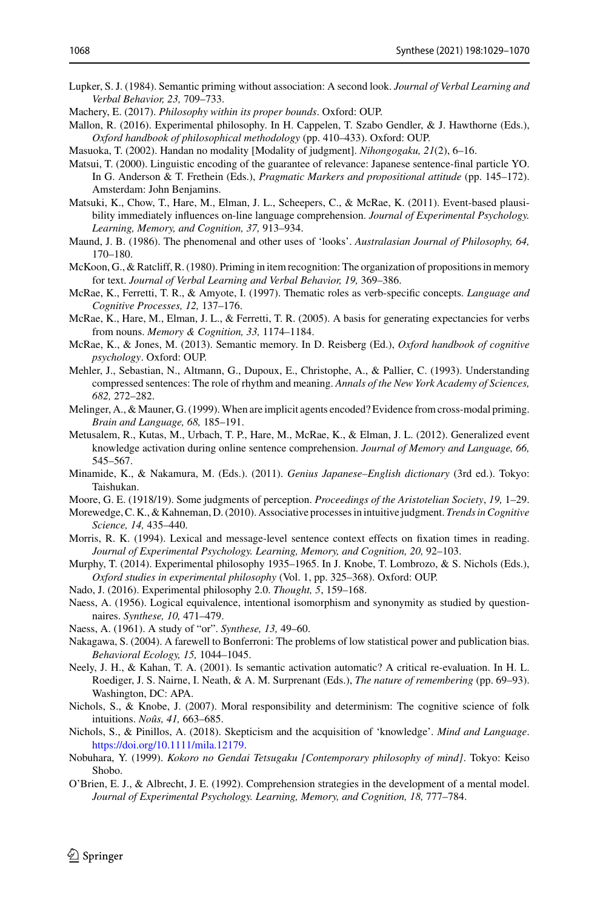- <span id="page-39-8"></span>Lupker, S. J. (1984). Semantic priming without association: A second look. *Journal of Verbal Learning and Verbal Behavior, 23,* 709–733.
- <span id="page-39-5"></span>Machery, E. (2017). *Philosophy within its proper bounds*. Oxford: OUP.
- <span id="page-39-1"></span>Mallon, R. (2016). Experimental philosophy. In H. Cappelen, T. Szabo Gendler, & J. Hawthorne (Eds.), *Oxford handbook of philosophical methodology* (pp. 410–433). Oxford: OUP.
- <span id="page-39-21"></span>Masuoka, T. (2002). Handan no modality [Modality of judgment]. *Nihongogaku, 21*(2), 6–16.
- <span id="page-39-22"></span>Matsui, T. (2000). Linguistic encoding of the guarantee of relevance: Japanese sentence-final particle YO. In G. Anderson & T. Frethein (Eds.), *Pragmatic Markers and propositional attitude* (pp. 145–172). Amsterdam: John Benjamins.
- <span id="page-39-13"></span>Matsuki, K., Chow, T., Hare, M., Elman, J. L., Scheepers, C., & McRae, K. (2011). Event-based plausibility immediately influences on-line language comprehension. *Journal of Experimental Psychology. Learning, Memory, and Cognition, 37,* 913–934.
- <span id="page-39-18"></span>Maund, J. B. (1986). The phenomenal and other uses of 'looks'. *Australasian Journal of Philosophy, 64,* 170–180.
- <span id="page-39-11"></span>McKoon, G., & Ratcliff, R. (1980). Priming in item recognition: The organization of propositions in memory for text. *Journal of Verbal Learning and Verbal Behavior, 19,* 369–386.
- <span id="page-39-7"></span>McRae, K., Ferretti, T. R., & Amyote, I. (1997). Thematic roles as verb-specific concepts. *Language and Cognitive Processes, 12,* 137–176.
- <span id="page-39-16"></span>McRae, K., Hare, M., Elman, J. L., & Ferretti, T. R. (2005). A basis for generating expectancies for verbs from nouns. *Memory & Cognition, 33,* 1174–1184.
- <span id="page-39-9"></span>McRae, K., & Jones, M. (2013). Semantic memory. In D. Reisberg (Ed.), *Oxford handbook of cognitive psychology*. Oxford: OUP.
- <span id="page-39-14"></span>Mehler, J., Sebastian, N., Altmann, G., Dupoux, E., Christophe, A., & Pallier, C. (1993). Understanding compressed sentences: The role of rhythm and meaning. *Annals of the New York Academy of Sciences, 682,* 272–282.
- <span id="page-39-20"></span>Melinger, A., & Mauner, G. (1999). When are implicit agents encoded? Evidence from cross-modal priming. *Brain and Language, 68,* 185–191.
- <span id="page-39-15"></span>Metusalem, R., Kutas, M., Urbach, T. P., Hare, M., McRae, K., & Elman, J. L. (2012). Generalized event knowledge activation during online sentence comprehension. *Journal of Memory and Language, 66,* 545–567.
- <span id="page-39-24"></span>Minamide, K., & Nakamura, M. (Eds.). (2011). *Genius Japanese–English dictionary* (3rd ed.). Tokyo: Taishukan.
- <span id="page-39-25"></span>Moore, G. E. (1918/19). Some judgments of perception. *Proceedings of the Aristotelian Society*, *19,* 1–29.
- <span id="page-39-26"></span>Morewedge, C. K., & Kahneman, D. (2010). Associative processes in intuitive judgment. *Trends in Cognitive Science, 14,* 435–440.
- <span id="page-39-17"></span>Morris, R. K. (1994). Lexical and message-level sentence context effects on fixation times in reading. *Journal of Experimental Psychology. Learning, Memory, and Cognition, 20,* 92–103.
- <span id="page-39-0"></span>Murphy, T. (2014). Experimental philosophy 1935–1965. In J. Knobe, T. Lombrozo, & S. Nichols (Eds.), *Oxford studies in experimental philosophy* (Vol. 1, pp. 325–368). Oxford: OUP.
- <span id="page-39-2"></span>Nado, J. (2016). Experimental philosophy 2.0. *Thought, 5*, 159–168.
- <span id="page-39-3"></span>Naess, A. (1956). Logical equivalence, intentional isomorphism and synonymity as studied by questionnaires. *Synthese, 10,* 471–479.
- <span id="page-39-4"></span>Naess, A. (1961). A study of "or". *Synthese, 13,* 49–60.
- <span id="page-39-23"></span>Nakagawa, S. (2004). A farewell to Bonferroni: The problems of low statistical power and publication bias. *Behavioral Ecology, 15,* 1044–1045.
- <span id="page-39-10"></span>Neely, J. H., & Kahan, T. A. (2001). Is semantic activation automatic? A critical re-evaluation. In H. L. Roediger, J. S. Nairne, I. Neath, & A. M. Surprenant (Eds.), *The nature of remembering* (pp. 69–93). Washington, DC: APA.
- <span id="page-39-6"></span>Nichols, S., & Knobe, J. (2007). Moral responsibility and determinism: The cognitive science of folk intuitions. *Noûs, 41,* 663–685.
- <span id="page-39-27"></span>Nichols, S., & Pinillos, A. (2018). Skepticism and the acquisition of 'knowledge'. *Mind and Language*. [https://doi.org/10.1111/mila.12179.](https://doi.org/10.1111/mila.12179)
- <span id="page-39-19"></span>Nobuhara, Y. (1999). *Kokoro no Gendai Tetsugaku [Contemporary philosophy of mind]*. Tokyo: Keiso Shobo.
- <span id="page-39-12"></span>O'Brien, E. J., & Albrecht, J. E. (1992). Comprehension strategies in the development of a mental model. *Journal of Experimental Psychology. Learning, Memory, and Cognition, 18,* 777–784.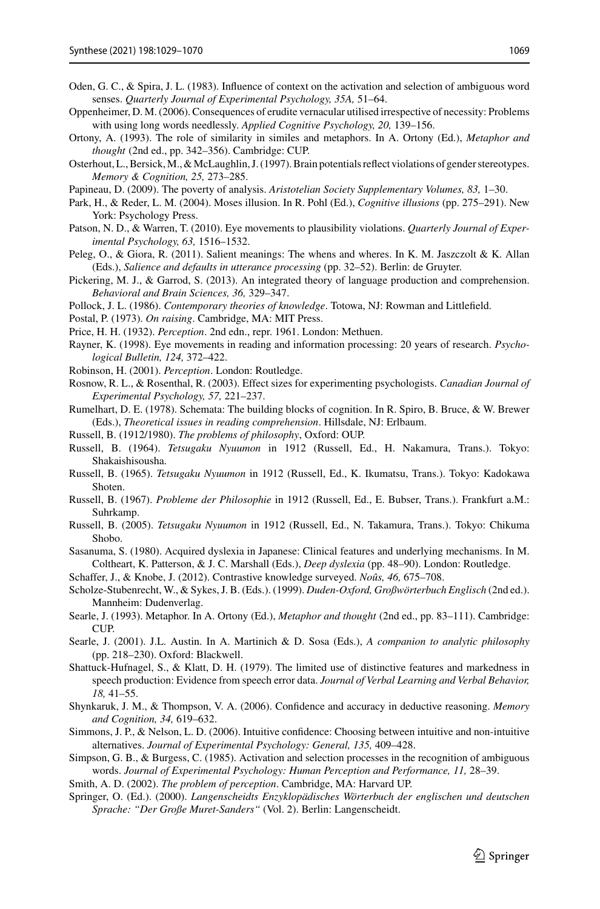- <span id="page-40-10"></span>Oden, G. C., & Spira, J. L. (1983). Influence of context on the activation and selection of ambiguous word senses. *Quarterly Journal of Experimental Psychology, 35A,* 51–64.
- <span id="page-40-16"></span>Oppenheimer, D. M. (2006). Consequences of erudite vernacular utilised irrespective of necessity: Problems with using long words needlessly. *Applied Cognitive Psychology, 20,* 139–156.
- <span id="page-40-13"></span>Ortony, A. (1993). The role of similarity in similes and metaphors. In A. Ortony (Ed.), *Metaphor and thought* (2nd ed., pp. 342–356). Cambridge: CUP.
- <span id="page-40-11"></span>Osterhout, L., Bersick,M., &McLaughlin, J. (1997). Brain potentials reflect violations of gender stereotypes. *Memory & Cognition, 25,* 273–285.
- <span id="page-40-30"></span>Papineau, D. (2009). The poverty of analysis. *Aristotelian Society Supplementary Volumes, 83,* 1–30.
- <span id="page-40-29"></span>Park, H., & Reder, L. M. (2004). Moses illusion. In R. Pohl (Ed.), *Cognitive illusions* (pp. 275–291). New York: Psychology Press.
- <span id="page-40-4"></span>Patson, N. D., & Warren, T. (2010). Eye movements to plausibility violations. *Quarterly Journal of Experimental Psychology, 63,* 1516–1532.
- <span id="page-40-9"></span>Peleg, O., & Giora, R. (2011). Salient meanings: The whens and wheres. In K. M. Jaszczolt & K. Allan (Eds.), *Salience and defaults in utterance processing* (pp. 32–52). Berlin: de Gruyter.
- <span id="page-40-7"></span>Pickering, M. J., & Garrod, S. (2013). An integrated theory of language production and comprehension. *Behavioral and Brain Sciences, 36,* 329–347.
- <span id="page-40-31"></span>Pollock, J. L. (1986). *Contemporary theories of knowledge*. Totowa, NJ: Rowman and Littlefield.
- <span id="page-40-12"></span>Postal, P. (1973). *On raising*. Cambridge, MA: MIT Press.
- <span id="page-40-3"></span>Price, H. H. (1932). *Perception*. 2nd edn., repr. 1961. London: Methuen.
- <span id="page-40-5"></span>Rayner, K. (1998). Eye movements in reading and information processing: 20 years of research. *Psychological Bulletin, 124,* 372–422.
- <span id="page-40-1"></span>Robinson, H. (2001). *Perception*. London: Routledge.
- <span id="page-40-24"></span>Rosnow, R. L., & Rosenthal, R. (2003). Effect sizes for experimenting psychologists. *Canadian Journal of Experimental Psychology, 57,* 221–237.
- <span id="page-40-6"></span>Rumelhart, D. E. (1978). Schemata: The building blocks of cognition. In R. Spiro, B. Bruce, & W. Brewer (Eds.), *Theoretical issues in reading comprehension*. Hillsdale, NJ: Erlbaum.
- <span id="page-40-26"></span>Russell, B. (1912/1980). *The problems of philosophy*, Oxford: OUP.
- <span id="page-40-20"></span>Russell, B. (1964). *Tetsugaku Nyuumon* in 1912 (Russell, Ed., H. Nakamura, Trans.). Tokyo: Shakaishisousha.
- <span id="page-40-21"></span>Russell, B. (1965). *Tetsugaku Nyuumon* in 1912 (Russell, Ed., K. Ikumatsu, Trans.). Tokyo: Kadokawa Shoten.
- <span id="page-40-17"></span>Russell, B. (1967). *Probleme der Philosophie* in 1912 (Russell, Ed., E. Bubser, Trans.). Frankfurt a.M.: Suhrkamp.
- <span id="page-40-22"></span>Russell, B. (2005). *Tetsugaku Nyuumon* in 1912 (Russell, Ed., N. Takamura, Trans.). Tokyo: Chikuma Shobo.
- <span id="page-40-23"></span>Sasanuma, S. (1980). Acquired dyslexia in Japanese: Clinical features and underlying mechanisms. In M. Coltheart, K. Patterson, & J. C. Marshall (Eds.), *Deep dyslexia* (pp. 48–90). London: Routledge.
- <span id="page-40-0"></span>Schaffer, J., & Knobe, J. (2012). Contrastive knowledge surveyed. *Noûs, 46,* 675–708.
- <span id="page-40-18"></span>Scholze-Stubenrecht, W., & Sykes, J. B. (Eds.). (1999). *Duden-Oxford, Großwörterbuch Englisch* (2nd ed.). Mannheim: Dudenverlag.
- <span id="page-40-14"></span>Searle, J. (1993). Metaphor. In A. Ortony (Ed.), *Metaphor and thought* (2nd ed., pp. 83–111). Cambridge: **CUP**
- <span id="page-40-25"></span>Searle, J. (2001). J.L. Austin. In A. Martinich & D. Sosa (Eds.), *A companion to analytic philosophy* (pp. 218–230). Oxford: Blackwell.
- <span id="page-40-15"></span>Shattuck-Hufnagel, S., & Klatt, D. H. (1979). The limited use of distinctive features and markedness in speech production: Evidence from speech error data. *Journal of Verbal Learning and Verbal Behavior, 18,* 41–55.
- <span id="page-40-28"></span>Shynkaruk, J. M., & Thompson, V. A. (2006). Confidence and accuracy in deductive reasoning. *Memory and Cognition, 34,* 619–632.
- <span id="page-40-27"></span>Simmons, J. P., & Nelson, L. D. (2006). Intuitive confidence: Choosing between intuitive and non-intuitive alternatives. *Journal of Experimental Psychology: General, 135,* 409–428.
- <span id="page-40-8"></span>Simpson, G. B., & Burgess, C. (1985). Activation and selection processes in the recognition of ambiguous words. *Journal of Experimental Psychology: Human Perception and Performance, 11,* 28–39.
- <span id="page-40-2"></span>Smith, A. D. (2002). *The problem of perception*. Cambridge, MA: Harvard UP.
- <span id="page-40-19"></span>Springer, O. (Ed.). (2000). *Langenscheidts Enzyklopädisches Wörterbuch der englischen und deutschen Sprache: "Der Große Muret-Sanders"* (Vol. 2). Berlin: Langenscheidt.